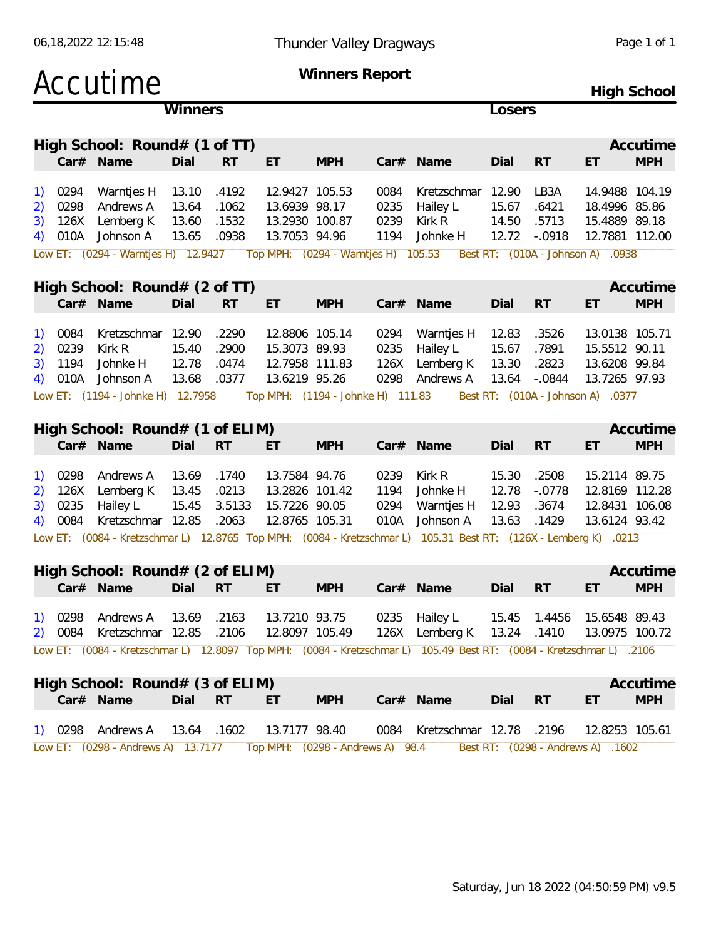| Winners<br>Losers<br>High School: Round# (1 of TT)<br>Accutime<br>Car# Name<br><b>MPH</b><br>Dial<br><b>RT</b><br>ET<br><b>MPH</b><br>Car# Name<br>Dial<br><b>RT</b><br>ET<br>13.10<br>.4192<br>12.9427 105.53<br>12.90<br>LB3A<br>14.9488 104.19<br>0294<br>Warntjes H<br>0084<br>Kretzschmar<br><sup>1</sup><br>13.6939 98.17<br>0298<br>Andrews A<br>13.64<br>.1062<br>0235<br>Hailey L<br>15.67<br>18.4996 85.86<br>2)<br>.6421<br>126X<br>Lemberg K<br>13.60<br>.1532<br>13.2930 100.87<br>0239<br>Kirk R<br>14.50<br>.5713<br>15.4889 89.18<br>3)<br>$-.0918$<br>010A<br>Johnson A<br>13.65<br>.0938<br>13.7053 94.96<br>1194<br>12.72<br>12.7881 112.00<br>Johnke H<br>4)<br>Low ET: (0294 - Warntjes H) 12.9427<br>Top MPH: (0294 - Warntjes H) 105.53<br>Best RT: (010A - Johnson A) .0938<br>High School: $Round# (2 of TT)$<br>Accutime<br>Car# Name<br><b>MPH</b><br>Dial<br><b>RT</b><br>ET<br><b>MPH</b><br>Car# Name<br><b>RT</b><br>Dial<br>ET<br>Kretzschmar 12.90<br>.2290<br>12.8806 105.14<br>12.83<br>13.0138 105.71<br>0084<br>0294<br>Warntjes H<br>.3526<br>1)<br>15.40<br>15.5512 90.11<br>0239<br>Kirk R<br>.2900<br>15.3073 89.93<br>0235<br>Hailey L<br>15.67<br>.7891<br>2)<br>12.78<br>1194<br>Johnke H<br>.0474<br>12.7958 111.83<br>13.30<br>.2823<br>13.6208 99.84<br>3)<br>126X<br>Lemberg K<br>$-.0844$<br>010A<br>Johnson A<br>13.68<br>.0377<br>13.6219 95.26<br>0298<br>13.64<br>13.7265 97.93<br>Andrews A<br>4)<br>Low ET: (1194 - Johnke H) 12.7958<br>Top MPH: (1194 - Johnke H) 111.83<br>Best RT: (010A - Johnson A) .0377<br>High School: Round# (1 of ELIM)<br>Accutime<br>Car# Name<br><b>RT</b><br><b>MPH</b><br>Dial<br>ET<br><b>MPH</b><br>Car# Name<br><b>RT</b><br>Dial<br>ET<br>15.30<br>0298<br>.1740<br>13.7584 94.76<br>Kirk R<br>.2508<br>15.2114 89.75<br>Andrews A<br>13.69<br>0239<br>1)<br>13.2826 101.42<br>12.78<br>$-.0778$<br>126X<br>Lemberg K<br>13.45<br>.0213<br>1194<br>Johnke H<br>12.8169 112.28<br>2)<br>0235<br>Hailey L<br>15.45<br>3.5133<br>15.7226 90.05<br>0294<br>12.93<br>.3674<br>12.8431 106.08<br>3)<br>Warntjes H<br>0084<br>Kretzschmar 12.85<br>.2063<br>12.8765 105.31<br>010A<br>Johnson A<br>13.63<br>.1429<br>13.6124 93.42<br>4)<br>Low ET: (0084 - Kretzschmar L) 12.8765 Top MPH: (0084 - Kretzschmar L) 105.31 Best RT: (126X - Lemberg K) .0213<br>High School: Round# (2 of ELIM)<br>Accutime<br><b>MPH</b><br>Dial RT ET<br><b>MPH</b><br>Car# Name Dial RT ET<br>Car# Name<br>15.45  1.4456  15.6548  89.43<br>1) 0298 Andrews A 13.69 .2163<br>13.7210 93.75<br>0235 Hailey L<br>12.8097 105.49<br>2) 0084 Kretzschmar 12.85 .2106<br>126X Lemberg K 13.24 .1410<br>13.0975 100.72<br>Low ET: (0084 - Kretzschmar L) 12.8097 Top MPH: (0084 - Kretzschmar L) 105.49 Best RT: (0084 - Kretzschmar L) 2106<br>High School: Round# (3 of ELIM)<br>Accutime<br><b>MPH</b><br>Car# Name<br>Dial RT<br><b>MPH</b><br>Car# Name<br>Dial<br><b>RT</b><br>ET.<br>ET<br>13.7177 98.40<br>1) 0298 Andrews A 13.64 .1602<br>0084 Kretzschmar 12.78 .2196<br>12.8253 105.61<br>Low ET: (0298 - Andrews A) 13.7177  Top MPH: (0298 - Andrews A) 98.4<br>Best RT: (0298 - Andrews A) .1602 | Accutime |  | Winners Report | High School |  |  |  |  |
|---------------------------------------------------------------------------------------------------------------------------------------------------------------------------------------------------------------------------------------------------------------------------------------------------------------------------------------------------------------------------------------------------------------------------------------------------------------------------------------------------------------------------------------------------------------------------------------------------------------------------------------------------------------------------------------------------------------------------------------------------------------------------------------------------------------------------------------------------------------------------------------------------------------------------------------------------------------------------------------------------------------------------------------------------------------------------------------------------------------------------------------------------------------------------------------------------------------------------------------------------------------------------------------------------------------------------------------------------------------------------------------------------------------------------------------------------------------------------------------------------------------------------------------------------------------------------------------------------------------------------------------------------------------------------------------------------------------------------------------------------------------------------------------------------------------------------------------------------------------------------------------------------------------------------------------------------------------------------------------------------------------------------------------------------------------------------------------------------------------------------------------------------------------------------------------------------------------------------------------------------------------------------------------------------------------------------------------------------------------------------------------------------------------------------------------------------------------------------------------------------------------------------------------------------------------------------------------------------------------------------------------------------------------------------------------------------------------------------------------------------------------------------------------------------------------------------------------------------------------------------------------------------------------------------------------------------------------------------------------------------------------------------------------------------------------------------------------------------------------------------------------------------------------------------------|----------|--|----------------|-------------|--|--|--|--|
|                                                                                                                                                                                                                                                                                                                                                                                                                                                                                                                                                                                                                                                                                                                                                                                                                                                                                                                                                                                                                                                                                                                                                                                                                                                                                                                                                                                                                                                                                                                                                                                                                                                                                                                                                                                                                                                                                                                                                                                                                                                                                                                                                                                                                                                                                                                                                                                                                                                                                                                                                                                                                                                                                                                                                                                                                                                                                                                                                                                                                                                                                                                                                                                 |          |  |                |             |  |  |  |  |
|                                                                                                                                                                                                                                                                                                                                                                                                                                                                                                                                                                                                                                                                                                                                                                                                                                                                                                                                                                                                                                                                                                                                                                                                                                                                                                                                                                                                                                                                                                                                                                                                                                                                                                                                                                                                                                                                                                                                                                                                                                                                                                                                                                                                                                                                                                                                                                                                                                                                                                                                                                                                                                                                                                                                                                                                                                                                                                                                                                                                                                                                                                                                                                                 |          |  |                |             |  |  |  |  |
|                                                                                                                                                                                                                                                                                                                                                                                                                                                                                                                                                                                                                                                                                                                                                                                                                                                                                                                                                                                                                                                                                                                                                                                                                                                                                                                                                                                                                                                                                                                                                                                                                                                                                                                                                                                                                                                                                                                                                                                                                                                                                                                                                                                                                                                                                                                                                                                                                                                                                                                                                                                                                                                                                                                                                                                                                                                                                                                                                                                                                                                                                                                                                                                 |          |  |                |             |  |  |  |  |
|                                                                                                                                                                                                                                                                                                                                                                                                                                                                                                                                                                                                                                                                                                                                                                                                                                                                                                                                                                                                                                                                                                                                                                                                                                                                                                                                                                                                                                                                                                                                                                                                                                                                                                                                                                                                                                                                                                                                                                                                                                                                                                                                                                                                                                                                                                                                                                                                                                                                                                                                                                                                                                                                                                                                                                                                                                                                                                                                                                                                                                                                                                                                                                                 |          |  |                |             |  |  |  |  |
|                                                                                                                                                                                                                                                                                                                                                                                                                                                                                                                                                                                                                                                                                                                                                                                                                                                                                                                                                                                                                                                                                                                                                                                                                                                                                                                                                                                                                                                                                                                                                                                                                                                                                                                                                                                                                                                                                                                                                                                                                                                                                                                                                                                                                                                                                                                                                                                                                                                                                                                                                                                                                                                                                                                                                                                                                                                                                                                                                                                                                                                                                                                                                                                 |          |  |                |             |  |  |  |  |
|                                                                                                                                                                                                                                                                                                                                                                                                                                                                                                                                                                                                                                                                                                                                                                                                                                                                                                                                                                                                                                                                                                                                                                                                                                                                                                                                                                                                                                                                                                                                                                                                                                                                                                                                                                                                                                                                                                                                                                                                                                                                                                                                                                                                                                                                                                                                                                                                                                                                                                                                                                                                                                                                                                                                                                                                                                                                                                                                                                                                                                                                                                                                                                                 |          |  |                |             |  |  |  |  |
|                                                                                                                                                                                                                                                                                                                                                                                                                                                                                                                                                                                                                                                                                                                                                                                                                                                                                                                                                                                                                                                                                                                                                                                                                                                                                                                                                                                                                                                                                                                                                                                                                                                                                                                                                                                                                                                                                                                                                                                                                                                                                                                                                                                                                                                                                                                                                                                                                                                                                                                                                                                                                                                                                                                                                                                                                                                                                                                                                                                                                                                                                                                                                                                 |          |  |                |             |  |  |  |  |
|                                                                                                                                                                                                                                                                                                                                                                                                                                                                                                                                                                                                                                                                                                                                                                                                                                                                                                                                                                                                                                                                                                                                                                                                                                                                                                                                                                                                                                                                                                                                                                                                                                                                                                                                                                                                                                                                                                                                                                                                                                                                                                                                                                                                                                                                                                                                                                                                                                                                                                                                                                                                                                                                                                                                                                                                                                                                                                                                                                                                                                                                                                                                                                                 |          |  |                |             |  |  |  |  |
|                                                                                                                                                                                                                                                                                                                                                                                                                                                                                                                                                                                                                                                                                                                                                                                                                                                                                                                                                                                                                                                                                                                                                                                                                                                                                                                                                                                                                                                                                                                                                                                                                                                                                                                                                                                                                                                                                                                                                                                                                                                                                                                                                                                                                                                                                                                                                                                                                                                                                                                                                                                                                                                                                                                                                                                                                                                                                                                                                                                                                                                                                                                                                                                 |          |  |                |             |  |  |  |  |
|                                                                                                                                                                                                                                                                                                                                                                                                                                                                                                                                                                                                                                                                                                                                                                                                                                                                                                                                                                                                                                                                                                                                                                                                                                                                                                                                                                                                                                                                                                                                                                                                                                                                                                                                                                                                                                                                                                                                                                                                                                                                                                                                                                                                                                                                                                                                                                                                                                                                                                                                                                                                                                                                                                                                                                                                                                                                                                                                                                                                                                                                                                                                                                                 |          |  |                |             |  |  |  |  |
|                                                                                                                                                                                                                                                                                                                                                                                                                                                                                                                                                                                                                                                                                                                                                                                                                                                                                                                                                                                                                                                                                                                                                                                                                                                                                                                                                                                                                                                                                                                                                                                                                                                                                                                                                                                                                                                                                                                                                                                                                                                                                                                                                                                                                                                                                                                                                                                                                                                                                                                                                                                                                                                                                                                                                                                                                                                                                                                                                                                                                                                                                                                                                                                 |          |  |                |             |  |  |  |  |
|                                                                                                                                                                                                                                                                                                                                                                                                                                                                                                                                                                                                                                                                                                                                                                                                                                                                                                                                                                                                                                                                                                                                                                                                                                                                                                                                                                                                                                                                                                                                                                                                                                                                                                                                                                                                                                                                                                                                                                                                                                                                                                                                                                                                                                                                                                                                                                                                                                                                                                                                                                                                                                                                                                                                                                                                                                                                                                                                                                                                                                                                                                                                                                                 |          |  |                |             |  |  |  |  |
|                                                                                                                                                                                                                                                                                                                                                                                                                                                                                                                                                                                                                                                                                                                                                                                                                                                                                                                                                                                                                                                                                                                                                                                                                                                                                                                                                                                                                                                                                                                                                                                                                                                                                                                                                                                                                                                                                                                                                                                                                                                                                                                                                                                                                                                                                                                                                                                                                                                                                                                                                                                                                                                                                                                                                                                                                                                                                                                                                                                                                                                                                                                                                                                 |          |  |                |             |  |  |  |  |

06,18,2022 12:15:48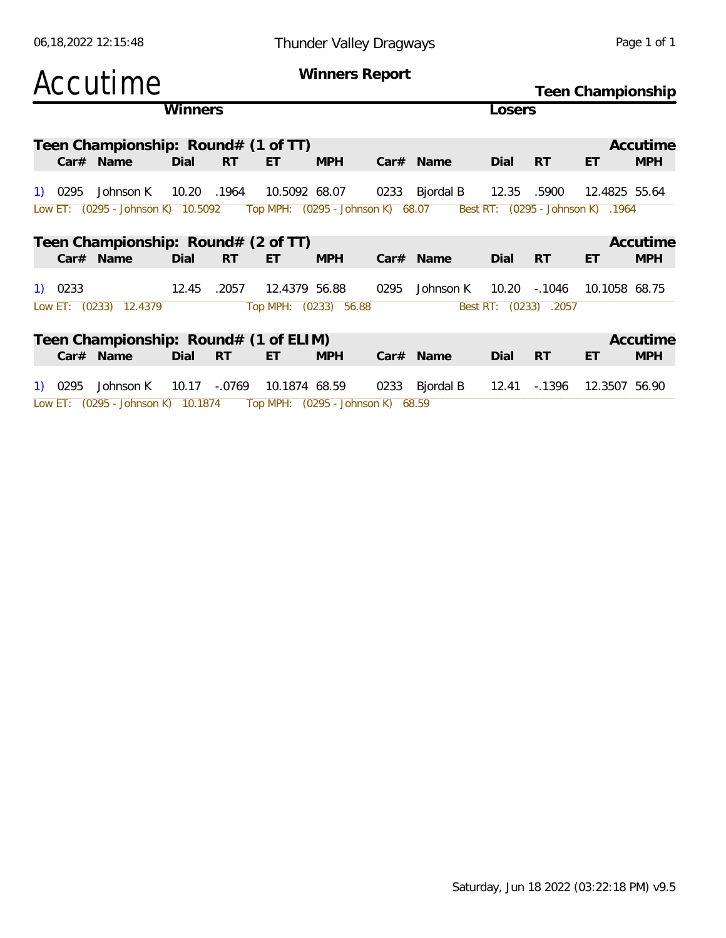| Accutime  |                                                                      |         |           |                            | Winners Report        | Teen Championship |                |        |                       |                                   |                        |
|-----------|----------------------------------------------------------------------|---------|-----------|----------------------------|-----------------------|-------------------|----------------|--------|-----------------------|-----------------------------------|------------------------|
|           |                                                                      | Winners |           |                            |                       |                   |                | _osers |                       |                                   |                        |
| Car# Name | Teen Championship: Round# (1 of TT)                                  | Dial    | <b>RT</b> | ET.                        | <b>MPH</b>            |                   | Car# Name      | Dial   | <b>RT</b>             | ET                                | Accutime<br><b>MPH</b> |
| 1) 0295   | Johnson K                                                            | 10.20   | .1964     | 10.5092 68.07              |                       |                   | 0233 Bjordal B | 12.35  | .5900                 | 12.4825 55.64                     |                        |
|           | Low ET: (0295 - Johnson K) 10.5092 Top MPH: (0295 - Johnson K) 68.07 |         |           |                            |                       |                   |                |        |                       | Best RT: (0295 - Johnson K) .1964 |                        |
|           | Teen Championship: Round# (2 of TT)                                  |         |           |                            |                       |                   |                |        |                       |                                   | Accutime               |
| Car# Name |                                                                      | Dial    | RT.       | ET                         | <b>MPH</b>            |                   | $Car#$ Name    | Dial   | <b>RT</b>             | ET                                | <b>MPH</b>             |
| 1) 0233   |                                                                      | 12.45   | .2057     | 12.4379 56.88              |                       | 0295              | Johnson K      |        | 10.20 -.1046          | 10.1058 68.75                     |                        |
|           | Low ET: (0233) 12.4379                                               |         |           |                            | Top MPH: (0233) 56.88 |                   |                |        | Best RT: (0233) .2057 |                                   |                        |
| Car# Name | Teen Championship: Round# (1 of ELIM)                                | Dial    | <b>RT</b> | ET.                        | <b>MPH</b>            |                   | $Car#$ Name    | Dial   | <b>RT</b>             | ET                                | Accutime<br><b>MPH</b> |
| 1) 0295   | Johnson K                                                            |         |           | 10.17 - 0769 10.1874 68.59 |                       |                   | 0233 Bjordal B |        | 12.41 - 1396          | 12.3507 56.90                     |                        |

Low ET: (0295 - Johnson K) 10.1874 Top MPH: (0295 - Johnson K) 68.59

06,18,2022 12:15:48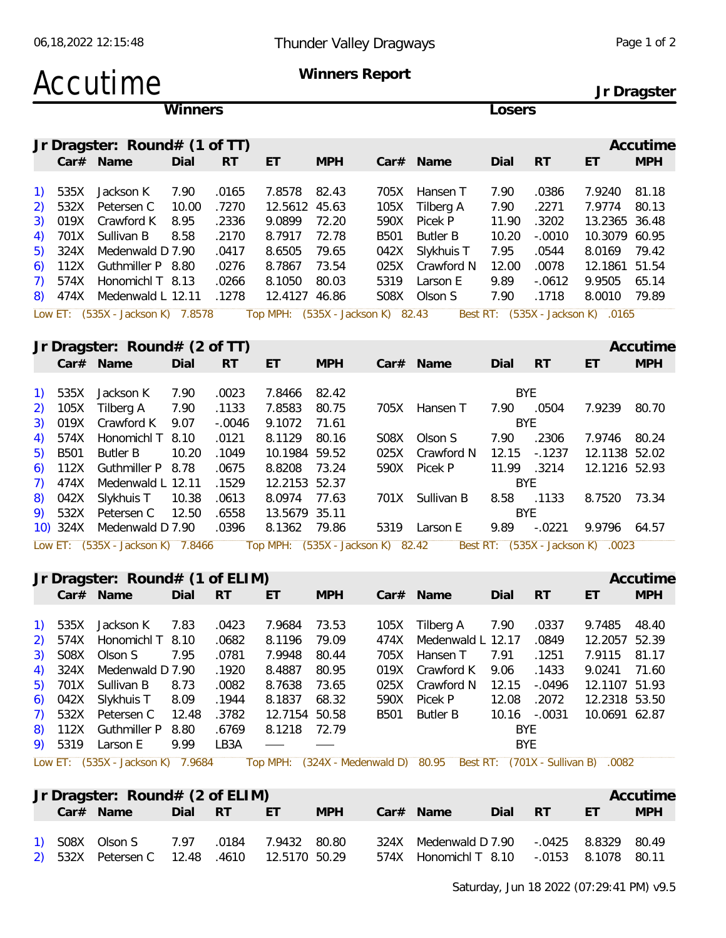### Accutime **Winners Report**

**Jr Dragster**

| <b>Winners</b> |      |                                 |       |           |               |            |             |                 |       | Losers    |               |            |  |  |  |  |  |
|----------------|------|---------------------------------|-------|-----------|---------------|------------|-------------|-----------------|-------|-----------|---------------|------------|--|--|--|--|--|
|                |      | Jr Dragster: $Round# (1 of TT)$ |       |           |               |            |             |                 |       |           |               | Accutime   |  |  |  |  |  |
|                |      | Car# Name                       | Dial  | <b>RT</b> | ET            | <b>MPH</b> |             | $Car#$ Name     | Dial  | <b>RT</b> | ET            | <b>MPH</b> |  |  |  |  |  |
|                | 535X | Jackson K                       | 7.90  | .0165     | 7.8578        | 82.43      | 705X        | Hansen T        | 7.90  | .0386     | 7.9240        | -81.18     |  |  |  |  |  |
| 2)             | 532X | Petersen C                      | 10.00 | .7270     | 12.5612 45.63 |            | 105X        | Tilberg A       | 7.90  | .2271     | 7.9774        | 80.13      |  |  |  |  |  |
| 3)             | 019X | Crawford K                      | 8.95  | .2336     | 9.0899        | 72.20      | 590X        | Picek P         | 11.90 | .3202     | 13.2365 36.48 |            |  |  |  |  |  |
| 4)             | 701X | Sullivan B                      | 8.58  | .2170     | 8.7917        | 72.78      | <b>B501</b> | <b>Butler B</b> | 10.20 | $-.0010$  | 10.3079 60.95 |            |  |  |  |  |  |
| 5)             | 324X | Medenwald D 7.90                |       | .0417     | 8.6505        | 79.65      | 042X        | Slykhuis T      | 7.95  | .0544     | 8.0169        | 79.42      |  |  |  |  |  |
| 6)             | 112X | Guthmiller P 8.80               |       | .0276     | 8.7867        | 73.54      | 025X        | Crawford N      | 12.00 | .0078     | 12.1861 51.54 |            |  |  |  |  |  |
|                | 574X | Honomichl T 8.13                |       | .0266     | 8.1050        | 80.03      | 5319        | Larson E        | 9.89  | $-.0612$  | 9.9505        | 65.14      |  |  |  |  |  |
| 8)             | 474X | Medenwald L 12.11               |       | .1278     | 12.4127 46.86 |            | S08X        | Olson S         | 7.90  | .1718     | 8.0010        | 79.89      |  |  |  |  |  |

|         | Jr Dragster: $Round# (2 of TT)$   |       |           |                                   |            |      |             |            |           |                                   | Accutime   |
|---------|-----------------------------------|-------|-----------|-----------------------------------|------------|------|-------------|------------|-----------|-----------------------------------|------------|
|         | Car# Name                         | Dial  | <b>RT</b> | ET                                | <b>MPH</b> |      | $Car#$ Name | Dial       | <b>RT</b> | ET                                | <b>MPH</b> |
|         |                                   |       |           |                                   |            |      |             |            |           |                                   |            |
| 1) 535X | Jackson K                         | 7.90  | .0023     | 7.8466                            | 82.42      |      |             | <b>BYE</b> |           |                                   |            |
|         | 2) 105X Tilberg A                 | 7.90  | .1133     | 7.8583                            | 80.75      | 705X | Hansen T    | 7.90       | .0504     | 7.9239                            | 80.70      |
|         | 3) 019X Crawford K                | 9.07  | -.0046    | 9.1072                            | 71.61      |      |             |            | BYF.      |                                   |            |
|         | 4) 574X Honomichl T 8.10          |       | .0121     | 8.1129                            | 80.16      | S08X | Olson S     | 7.90       | .2306     | 7.9746                            | 80.24      |
| 5) B501 | Butler B                          | 10.20 | .1049     | 10.1984 59.52                     |            | 025X | Crawford N  | 12.15      | -.1237    | 12.1138 52.02                     |            |
|         | 6) 112X Guthmiller P 8.78         |       | .0675     | 8.8208                            | 73.24      | 590X | Picek P     | 11.99      | .3214     | 12.1216 52.93                     |            |
|         | 7) 474X Medenwald L 12.11         |       | .1529     | 12.2153 52.37                     |            |      |             |            | BYE.      |                                   |            |
|         | 8) 042X Slykhuis T                | 10.38 | .0613     | 8.0974 77.63                      |            | 701X | Sullivan B  | 8.58       | .1133     | 8.7520                            | 73.34      |
|         | 9) 532X Petersen C 12.50          |       | .6558     | 13.5679 35.11                     |            |      |             | <b>BYF</b> |           |                                   |            |
|         | 10) 324X Medenwald D 7.90         |       | .0396     | 8.1362 79.86                      |            | 5319 | Larson E    | 9.89       | $-.0221$  | 9.9796                            | 64.57      |
|         | Low ET: (535X - Jackson K) 7.8466 |       |           | Top MPH: (535X - Jackson K) 82.42 |            |      |             |            |           | Best RT: (535X - Jackson K) .0023 |            |

#### **Jr Dragster: Round# (1 of ELIM) Accutime**

|  | JI DIAYSTEI: ROUNTU# (I OF ELINI) |      |       |                          |            |                                                                                                          |            |              |               | ACCULIFIE  |
|--|-----------------------------------|------|-------|--------------------------|------------|----------------------------------------------------------------------------------------------------------|------------|--------------|---------------|------------|
|  | Car# Name                         | Dial | -RT   | ET.                      | <b>MPH</b> | $Car#$ Name                                                                                              | Dial       | <b>RT</b>    | ET            | <b>MPH</b> |
|  |                                   |      |       |                          |            |                                                                                                          |            |              |               |            |
|  | 1) 535X Jackson K 7.83            |      | .0423 | 7.9684 73.53             |            | 105X Tilberg A                                                                                           | 7.90       | .0337        | 9.7485 48.40  |            |
|  | 2) 574X Honomichl T 8.10          |      | .0682 | 8.1196 79.09             |            | 474X Medenwald L 12.17 .0849                                                                             |            |              | 12.2057 52.39 |            |
|  | 3) SO8X Olson S                   | 7.95 | .0781 | 7.9948 80.44             |            | 705X Hansen T                                                                                            | 7.91       | .1251        | 7.9115 81.17  |            |
|  | 4) 324X Medenwald D 7.90          |      | .1920 | 8.4887 80.95             |            | 019X Crawford K 9.06                                                                                     |            | .1433        | 9.0241 71.60  |            |
|  | 5) 701X Sullivan B 8.73           |      | .0082 | 8.7638 73.65             |            | 025X Crawford N 12.15                                                                                    |            | -.0496       | 12.1107 51.93 |            |
|  | 6) 042X Slykhuis T 8.09           |      | .1944 | 8.1837 68.32             |            | 590X Picek P                                                                                             | 12.08      | .2072        | 12.2318 53.50 |            |
|  | 7) 532X Petersen C 12.48 .3782    |      |       | 12.7154 50.58            |            | B501 Butler B                                                                                            |            | 10.16 -.0031 | 10.0691 62.87 |            |
|  | 8) 112X Guthmiller P 8.80         |      | .6769 | 8.1218 72.79             |            |                                                                                                          | BYE.       |              |               |            |
|  | 9) 5319 Larson E                  | 9.99 | LB3A  | $\overline{\phantom{a}}$ |            |                                                                                                          | <b>BYE</b> |              |               |            |
|  |                                   |      |       |                          |            | Low ET: (535X - Jackson K) 7.9684 Top MPH: (324X - Medenwald D) 80.95 Best RT: (701X - Sullivan B) .0082 |            |              |               |            |

|  | Jr Dragster: Round# (2 of ELIM)              |            |            |                                           |         |    | Accutime |
|--|----------------------------------------------|------------|------------|-------------------------------------------|---------|----|----------|
|  | Car# Name                                    | Dial RT ET | <b>MPH</b> | Car# Name                                 | Dial RT | ET | MPH      |
|  | 1) SO8X Olson S 7.97 .0184 7.9432 80.80      |            |            | 324X Medenwald D 7.90 -.0425 8.8329 80.49 |         |    |          |
|  | 2) 532X Petersen C 12.48 .4610 12.5170 50.29 |            |            | 574X Honomichl T 8.10 -.0153 8.1078 80.11 |         |    |          |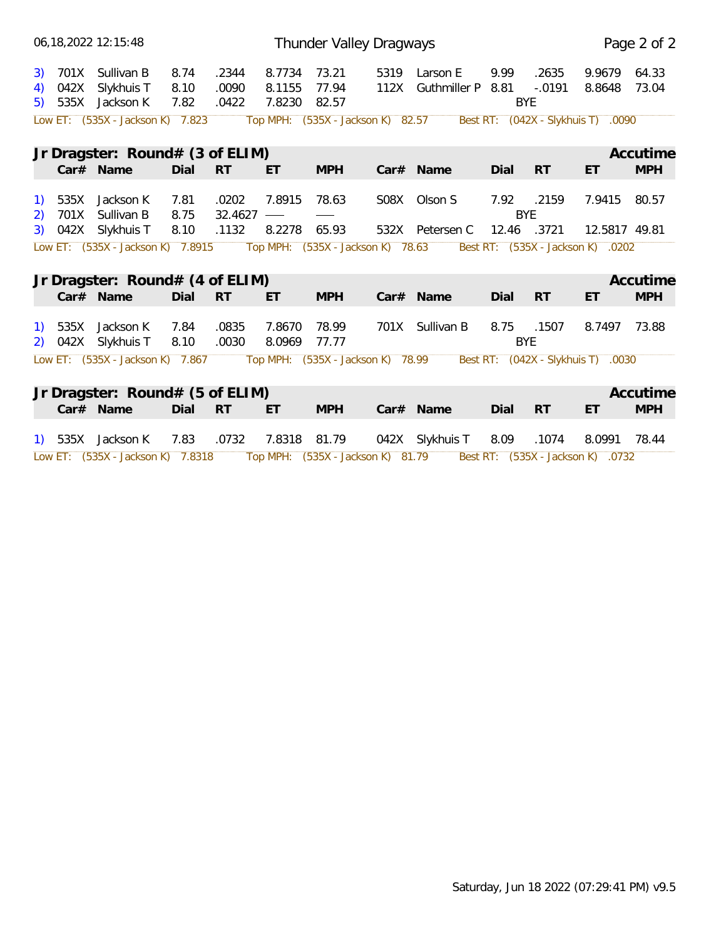|         | 06, 18, 2022 12: 15: 48                                            |                      |                         |                            | Thunder Valley Dragways           |                                         |                          |                   |                                    | Page 2 of 2    |
|---------|--------------------------------------------------------------------|----------------------|-------------------------|----------------------------|-----------------------------------|-----------------------------------------|--------------------------|-------------------|------------------------------------|----------------|
|         | 3) 701X Sullivan B<br>4) 042X Slykhuis T<br>5) 535X Jackson K      | 8.74<br>8.10<br>7.82 | .2344<br>.0090<br>.0422 | 8.7734<br>8.1155<br>7.8230 | 73.21<br>77.94<br>82.57           | 5319 Larson E<br>112X Guthmiller P 8.81 | 9.99<br><b>BYE</b>       | .2635<br>$-.0191$ | 9.9679<br>8.8648                   | 64.33<br>73.04 |
|         | Low ET: (535X - Jackson K) 7.823                                   |                      |                         |                            | Top MPH: (535X - Jackson K) 82.57 |                                         |                          |                   | Best RT: (042X - Slykhuis T) .0090 |                |
|         | Jr Dragster: $Round#$ (3 of ELIM)                                  |                      |                         |                            |                                   |                                         |                          |                   |                                    | Accutime       |
|         | Car# Name                                                          | Dial RT              |                         | ET.                        | <b>MPH</b>                        | Car# Name                               | Dial                     | <b>RT</b>         | ET                                 | <b>MPH</b>     |
| 1) 535X | Jackson K<br>2) 701X Sullivan B                                    | 7.81<br>8.75         | .0202<br>32.4627        | 7.8915<br>$\hspace{0.1cm}$ | 78.63                             | S08X Olson S                            | 7.92 .2159<br><b>BYE</b> |                   | 7.9415 80.57                       |                |
|         | 3) 042X Slykhuis T                                                 | 8.10                 | .1132                   | 8.2278                     | 65.93                             | 532X Petersen C                         | 12.46 .3721              |                   | 12.5817 49.81                      |                |
|         | Low ET: (535X - Jackson K) 7.8915                                  |                      |                         |                            | Top MPH: (535X - Jackson K) 78.63 |                                         |                          |                   | Best RT: (535X - Jackson K) .0202  |                |
|         | Jr Dragster: $Round# (4 of ELIM)$                                  |                      |                         |                            |                                   |                                         |                          |                   |                                    | Accutime       |
|         |                                                                    |                      |                         |                            |                                   |                                         |                          |                   |                                    |                |
|         | Car# Name                                                          | Dial                 | <b>RT</b>               | ET                         | <b>MPH</b>                        | Car# Name                               | Dial                     | RT                | ET                                 | <b>MPH</b>     |
|         | 1) 535X Jackson K<br>2) 042X Slykhuis T                            | 7.84<br>8.10         | .0835<br>.0030          | 7.8670<br>8.0969           | 78.99<br>77.77                    | 701X Sullivan B                         | 8.75 .1507<br><b>BYE</b> |                   | 8.7497 73.88                       |                |
|         | Low ET: (535X - Jackson K) 7.867 Top MPH: (535X - Jackson K) 78.99 |                      |                         |                            |                                   |                                         |                          |                   | Best RT: (042X - Slykhuis T) .0030 |                |
|         |                                                                    |                      |                         |                            |                                   |                                         |                          |                   |                                    | Accutime       |
|         | Jr Dragster: Round# (5 of ELIM)<br>Car# Name                       | Dial                 | <b>RT</b>               | ET.                        | <b>MPH</b>                        | Car# Name                               | Dial                     | <b>RT</b>         | ET                                 | <b>MPH</b>     |
|         | 1) 535X Jackson K                                                  | 7.83                 | .0732                   | 7.8318 81.79               |                                   | 042X Slykhuis T                         | 8.09                     | .1074             | 8.0991 78.44                       |                |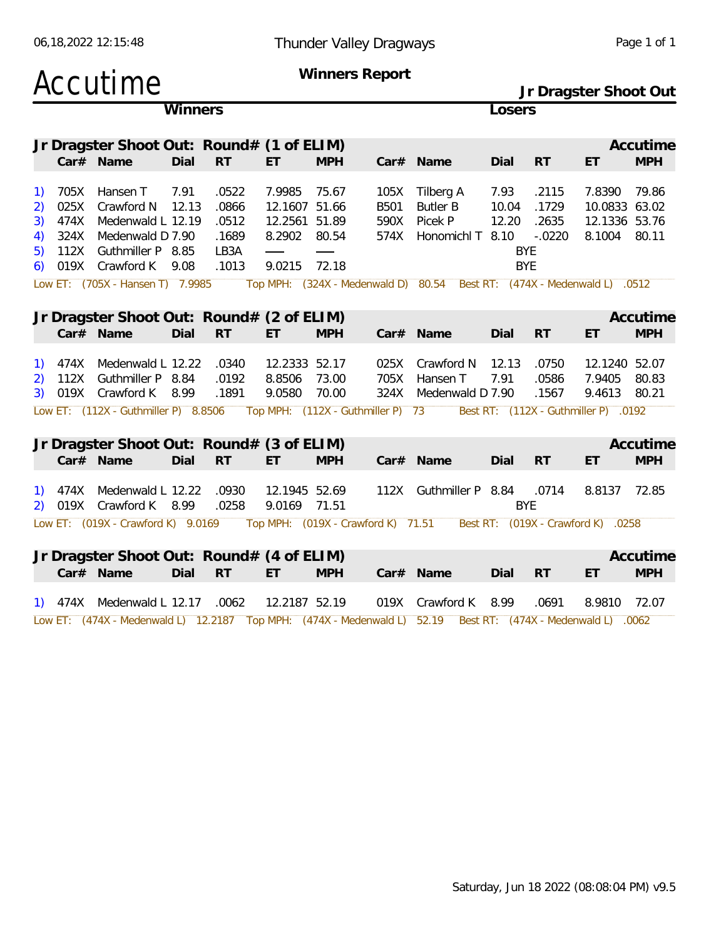| 06, 18, 2022 12: 15: 48    |                                      |                                                                                      |               |                                          |                                                          | Thunder Valley Dragways | Page 1 of 1                        |                                                                         |                        |                                                   |                                                    |                        |
|----------------------------|--------------------------------------|--------------------------------------------------------------------------------------|---------------|------------------------------------------|----------------------------------------------------------|-------------------------|------------------------------------|-------------------------------------------------------------------------|------------------------|---------------------------------------------------|----------------------------------------------------|------------------------|
|                            |                                      | Accutime                                                                             |               |                                          |                                                          |                         | Winners Report                     |                                                                         |                        |                                                   | Jr Dragster Shoot Out                              |                        |
|                            |                                      |                                                                                      | Winners       |                                          |                                                          |                         |                                    |                                                                         | Losers                 |                                                   |                                                    |                        |
|                            |                                      | Jr Dragster Shoot Out: Round# (1 of ELIM)<br>Car# Name                               | Dial          | RT                                       | ET                                                       | <b>MPH</b>              |                                    | Car# Name                                                               | Dial                   | RT                                                | ET                                                 | Accutime<br><b>MPH</b> |
| 1)<br>2)<br>3)<br>4)<br>5) | 705X<br>025X<br>474X<br>324X<br>112X | Hansen T<br>Crawford N<br>Medenwald L 12.19<br>Medenwald D 7.90<br>Guthmiller P 8.85 | 7.91<br>12.13 | .0522<br>.0866<br>.0512<br>.1689<br>LB3A | 7.9985<br>12.1607 51.66<br>12.2561 51.89<br>8.2902 80.54 | 75.67                   | 105X<br>B501<br>590X<br>574X       | Tilberg A<br><b>Butler B</b><br>Picek P<br>Honomichl T 8.10             | 7.93<br>10.04<br>12.20 | .2115<br>.1729<br>.2635<br>$-.0220$<br><b>BYE</b> | 7.8390<br>10.0833 63.02<br>12.1336 53.76<br>8.1004 | 79.86<br>80.11         |
| 6)                         | 019X                                 | Crawford K<br>Low ET: (705X - Hansen T) 7.9985                                       | 9.08          | .1013                                    | 9.0215                                                   | 72.18                   |                                    | Top MPH: (324X - Medenwald D) 80.54 Best RT: (474X - Medenwald L) .0512 |                        | <b>BYE</b>                                        |                                                    |                        |
|                            |                                      | Jr Dragster Shoot Out: Round# (2 of ELIM)<br>Car# Name                               | Dial          | <b>RT</b>                                | ET                                                       | <b>MPH</b>              |                                    | Car# Name                                                               | Dial                   | <b>RT</b>                                         | ET                                                 | Accutime<br><b>MPH</b> |
| 1)<br>3)                   | 474X<br>112X                         | Medenwald L 12.22<br>Guthmiller P 8.84<br>019X Crawford K 8.99                       |               | .0340<br>.0192<br>.1891                  | 12.2333 52.17<br>8.8506<br>9.0580                        | 73.00<br>70.00          | 025X<br>705X<br>324X               | Crawford N<br>Hansen T<br>Medenwald D 7.90                              | 12.13<br>7.91          | .0750<br>.0586<br>.1567                           | 12.1240 52.07<br>7.9405<br>9.4613                  | 80.83<br>80.21         |
|                            |                                      | Low ET: (112X - Guthmiller P) 8.8506                                                 |               |                                          |                                                          |                         | Top MPH: (112X - Guthmiller P) 73  |                                                                         |                        |                                                   | Best RT: (112X - Guthmiller P) .0192               |                        |
|                            |                                      | Jr Dragster Shoot Out: Round# (3 of ELIM)<br>Car# Name                               | Dial          | <b>RT</b>                                | ET.                                                      | <b>MPH</b>              |                                    | Car# Name                                                               | Dial                   | RT                                                | ET                                                 | Accutime<br><b>MPH</b> |
|                            | $1)$ 474X                            | Medenwald L 12.22<br>2) 019X Crawford K 8.99                                         |               | .0930<br>.0258                           | 12.1945 52.69<br>9.0169 71.51                            |                         |                                    | 112X Guthmiller P 8.84                                                  |                        | .0714<br><b>BYE</b>                               | 8.8137                                             | 72.85                  |
|                            |                                      | Low ET: (019X - Crawford K) 9.0169                                                   |               |                                          |                                                          |                         | Top MPH: (019X - Crawford K) 71.51 |                                                                         |                        |                                                   | Best RT: (019X - Crawford K) .0258                 |                        |
|                            |                                      | Jr Dragster Shoot Out: Round# (4 of ELIM)<br>Car# Name                               | Dial          | <b>RT</b>                                | ET                                                       | <b>MPH</b>              |                                    | Car# Name                                                               | Dial                   | <b>RT</b>                                         | ET                                                 | Accutime<br><b>MPH</b> |
|                            | 1) 474X                              | Medenwald L 12.17                                                                    |               | .0062                                    | 12.2187 52.19                                            |                         |                                    | 019X Crawford K                                                         | 8.99                   | .0691                                             | 8.9810                                             | 72.07                  |

Low ET: (474X - Medenwald L) 12.2187 Top MPH: (474X - Medenwald L) 52.19 Best RT: (474X - Medenwald L) .0062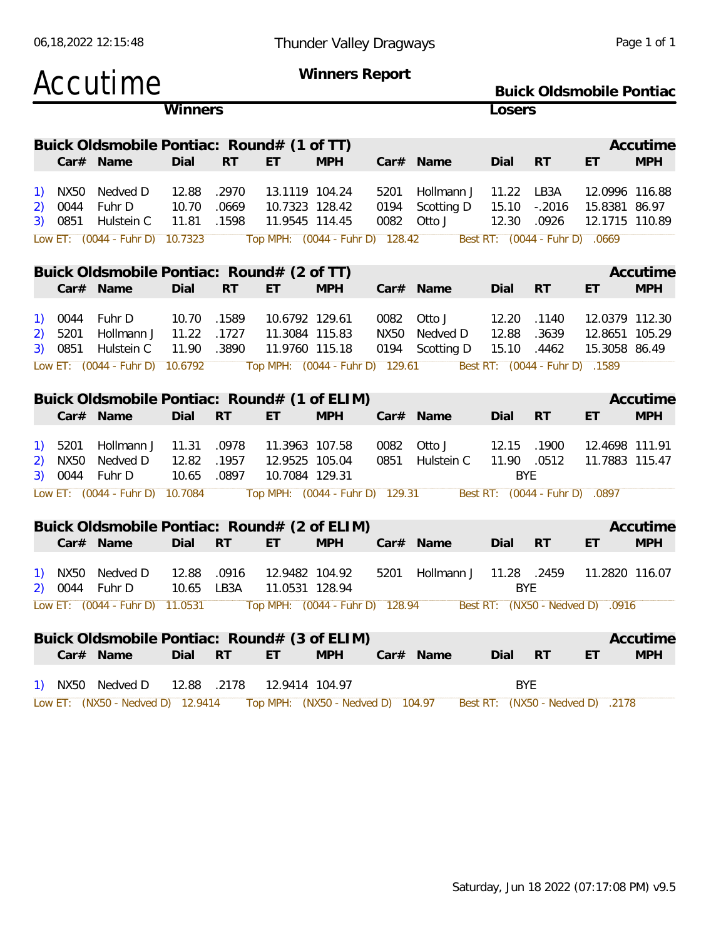| Accutime                  |                                               |                |                |                                                   | Winners Report |              |                                                                                                  |                      |                                | <b>Buick Oldsmobile Pontiac</b>                  |                        |
|---------------------------|-----------------------------------------------|----------------|----------------|---------------------------------------------------|----------------|--------------|--------------------------------------------------------------------------------------------------|----------------------|--------------------------------|--------------------------------------------------|------------------------|
|                           |                                               | Winners        |                |                                                   |                |              |                                                                                                  | Losers               |                                |                                                  |                        |
|                           | Buick Oldsmobile Pontiac: Round# (1 of TT)    |                |                |                                                   |                |              |                                                                                                  |                      |                                |                                                  | Accutime               |
| Car# Name                 |                                               | Dial           | <b>RT</b>      | ET                                                | <b>MPH</b>     |              | Car# Name                                                                                        | Dial                 | <b>RT</b>                      | ET                                               | <b>MPH</b>             |
| NX50<br><sup>1</sup>      | Nedved D                                      | 12.88          | .2970          | 13.1119 104.24                                    |                | 5201         | Hollmann J                                                                                       | 11.22                | LB3A                           | 12.0996 116.88                                   |                        |
| 0044<br>2)                | Fuhr D                                        | 10.70          | .0669          | 10.7323 128.42                                    |                | 0194         | Scotting D                                                                                       | 15.10                | $-.2016$                       | 15.8381 86.97                                    |                        |
| 3) 0851                   | Hulstein C<br>Low ET: (0044 - Fuhr D) 10.7323 | 11.81          | .1598          | 11.9545 114.45<br>Top MPH: (0044 - Fuhr D) 128.42 |                | 0082         | Otto J                                                                                           | 12.30                | .0926                          | 12.1715 110.89<br>Best RT: (0044 - Fuhr D) .0669 |                        |
|                           |                                               |                |                |                                                   |                |              |                                                                                                  |                      |                                |                                                  |                        |
|                           | Buick Oldsmobile Pontiac: Round# (2 of TT)    |                |                |                                                   |                |              |                                                                                                  |                      |                                |                                                  | Accutime               |
| Car# Name                 |                                               | Dial           | <b>RT</b>      | ET                                                | <b>MPH</b>     |              | Car# Name                                                                                        | Dial                 | <b>RT</b>                      | ET                                               | <b>MPH</b>             |
| 0044<br>1)                | Fuhr D                                        | 10.70          | .1589          | 10.6792 129.61                                    |                | 0082         | Otto J                                                                                           | 12.20                | .1140                          | 12.0379 112.30                                   |                        |
| 5201<br>2)                | Hollmann J                                    | 11.22          | .1727          | 11.3084 115.83                                    |                | NX50         | Nedved D                                                                                         | 12.88                | .3639                          | 12.8651 105.29                                   |                        |
| 3)<br>0851                | Hulstein C                                    | 11.90          | .3890          | 11.9760 115.18                                    |                | 0194         | Scotting D                                                                                       | 15.10                | .4462                          | 15.3058 86.49                                    |                        |
|                           | Low ET: (0044 - Fuhr D) 10.6792               |                |                | Top MPH: (0044 - Fuhr D) 129.61                   |                |              |                                                                                                  |                      | Best RT: (0044 - Fuhr D) .1589 |                                                  |                        |
|                           | Buick Oldsmobile Pontiac: Round# (1 of ELIM)  |                |                |                                                   |                |              |                                                                                                  |                      |                                |                                                  | Accutime               |
| Car# Name                 |                                               | Dial           | <b>RT</b>      | ET                                                | <b>MPH</b>     |              | Car# Name                                                                                        | Dial                 | <b>RT</b>                      | ET                                               | <b>MPH</b>             |
|                           |                                               |                |                |                                                   |                |              |                                                                                                  |                      |                                |                                                  |                        |
| 5201<br><b>NX50</b><br>2) | Hollmann J<br>Nedved D                        | 11.31<br>12.82 | .0978<br>.1957 | 11.3963 107.58<br>12.9525 105.04                  |                | 0082<br>0851 | Otto J<br>Hulstein C                                                                             | 12.15<br>11.90 .0512 | .1900                          | 12.4698 111.91<br>11.7883 115.47                 |                        |
| 3) 0044                   | Fuhr D                                        | 10.65          | .0897          | 10.7084 129.31                                    |                |              |                                                                                                  | <b>BYE</b>           |                                |                                                  |                        |
|                           | Low ET: (0044 - Fuhr D) 10.7084               |                |                | Top MPH: (0044 - Fuhr D) 129.31                   |                |              |                                                                                                  |                      | Best RT: (0044 - Fuhr D) .0897 |                                                  |                        |
|                           | Buick Oldsmobile Pontiac: Round# (2 of ELIM)  |                |                |                                                   |                |              |                                                                                                  |                      |                                |                                                  | Accutime               |
| Car# Name                 |                                               | Dial           | <b>RT</b>      | ET                                                | <b>MPH</b>     |              | Car# Name                                                                                        | Dial                 | <b>RT</b>                      | ET                                               | <b>MPH</b>             |
| NX50                      | Nedved D                                      |                |                |                                                   |                |              | Hollmann J                                                                                       | 11.28                |                                |                                                  |                        |
| <b>1</b><br>2) 0044       | Fuhr D                                        | 12.88<br>10.65 | .0916<br>LB3A  | 12.9482 104.92<br>11.0531 128.94                  |                | 5201         |                                                                                                  | <b>BYE</b>           | .2459                          | 11.2820 116.07                                   |                        |
|                           |                                               |                |                |                                                   |                |              | Low ET: (0044 - Fuhr D) 11.0531 Top MPH: (0044 - Fuhr D) 128.94 Best RT: (NX50 - Nedved D) .0916 |                      |                                |                                                  |                        |
|                           |                                               |                |                |                                                   |                |              |                                                                                                  |                      |                                |                                                  |                        |
|                           | Buick Oldsmobile Pontiac: Round# (3 of ELIM)  |                | <b>RT</b>      | ET.                                               | <b>MPH</b>     |              |                                                                                                  |                      |                                |                                                  | Accutime<br><b>MPH</b> |
| Car# Name                 |                                               | Dial           |                |                                                   |                |              | Car# Name                                                                                        | Dial RT              |                                | ET                                               |                        |
| 1) NX50 Nedved D          |                                               | 12.88 .2178    |                | 12.9414 104.97                                    |                |              |                                                                                                  | <b>BYE</b>           |                                |                                                  |                        |
|                           | Low ET: (NX50 - Nedved D) 12.9414             |                |                | Top MPH: (NX50 - Nedved D) 104.97                 |                |              |                                                                                                  |                      |                                | Best RT: (NX50 - Nedved D) .2178                 |                        |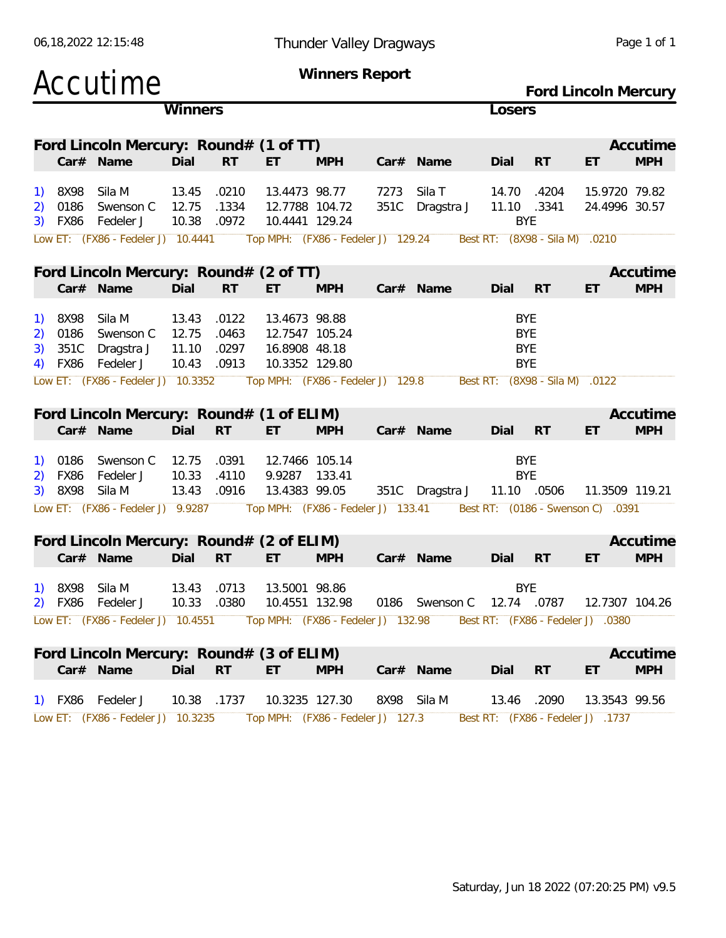| 06,18,2022 12:15:48 |
|---------------------|
|                     |

#### 06,18,2022 12:15:48 Thunder Valley Dragways Page 1 of 1

|                |                              | Accutime                                                                             |                                  |                                  |                                                                                                         | Winners Report | Ford Lincoln Mercury |                                                                              |            |                                                                          |                                   |                        |
|----------------|------------------------------|--------------------------------------------------------------------------------------|----------------------------------|----------------------------------|---------------------------------------------------------------------------------------------------------|----------------|----------------------|------------------------------------------------------------------------------|------------|--------------------------------------------------------------------------|-----------------------------------|------------------------|
|                |                              |                                                                                      | Winners                          |                                  |                                                                                                         |                |                      |                                                                              | Losers     |                                                                          |                                   |                        |
|                |                              | Ford Lincoln Mercury: Round# (1 of TT)                                               |                                  |                                  |                                                                                                         |                |                      |                                                                              |            |                                                                          |                                   | Accutime               |
|                |                              | Car# Name                                                                            | Dial                             | <b>RT</b>                        | ET.                                                                                                     | <b>MPH</b>     |                      | Car# Name                                                                    | Dial       | RT                                                                       | ET                                | <b>MPH</b>             |
| 2)<br>3)       | 8X98<br>0186<br>FX86         | Sila M<br>Swenson C<br>Fedeler J                                                     | 13.45<br>12.75<br>10.38          | .0210<br>.1334<br>.0972          | 13.4473 98.77<br>12.7788 104.72<br>10.4441 129.24                                                       |                | 7273<br>351C         | Sila T<br>Dragstra J                                                         | 14.70      | .4204<br>11.10 .3341<br><b>BYE</b>                                       | 15.9720 79.82<br>24.4996 30.57    |                        |
|                |                              | Low ET: (FX86 - Fedeler J) 10.4441                                                   |                                  |                                  | Top MPH: (FX86 - Fedeler J) 129.24                                                                      |                |                      |                                                                              |            | Best RT: (8X98 - Sila M)                                                 | .0210                             |                        |
|                |                              | Ford Lincoln Mercury: Round# (2 of TT)<br>Car# Name                                  | Dial                             | <b>RT</b>                        | ET                                                                                                      | <b>MPH</b>     |                      | Car# Name                                                                    | Dial       | <b>RT</b>                                                                | ET                                | Accutime<br><b>MPH</b> |
| 2)<br>3)<br>4) | 8X98<br>0186<br>351C<br>FX86 | Sila M<br>Swenson C<br>Dragstra J<br>Fedeler J<br>Low ET: (FX86 - Fedeler J) 10.3352 | 13.43<br>12.75<br>11.10<br>10.43 | .0122<br>.0463<br>.0297<br>.0913 | 13.4673 98.88<br>12.7547 105.24<br>16.8908 48.18<br>10.3352 129.80<br>Top MPH: (FX86 - Fedeler J) 129.8 |                |                      |                                                                              | <b>BYE</b> | <b>BYE</b><br><b>BYE</b><br><b>BYE</b><br>Best RT: (8X98 - Sila M) .0122 |                                   |                        |
|                |                              |                                                                                      |                                  |                                  |                                                                                                         |                |                      |                                                                              |            |                                                                          |                                   |                        |
|                |                              | Ford Lincoln Mercury: Round# (1 of ELIM)<br>Car# Name                                | Dial                             | <b>RT</b>                        | ET                                                                                                      | <b>MPH</b>     |                      | Car# Name                                                                    | Dial       | <b>RT</b>                                                                | ET                                | Accutime<br><b>MPH</b> |
| 2)<br>3)       | 0186<br>FX86<br>8X98         | Swenson C<br>Fedeler J<br>Sila M                                                     | 12.75<br>10.33<br>13.43          | .0391<br>.4110<br>.0916          | 12.7466 105.14<br>9.9287 133.41<br>13.4383 99.05                                                        |                |                      | 351C Dragstra J                                                              |            | <b>BYE</b><br><b>BYE</b><br>11.10 .0506                                  | 11.3509 119.21                    |                        |
|                |                              | Low ET: (FX86 - Fedeler J) 9.9287                                                    |                                  |                                  | Top MPH: (FX86 - Fedeler J) 133.41                                                                      |                |                      |                                                                              |            |                                                                          | Best RT: (0186 - Swenson C) .0391 |                        |
|                |                              | Ford Lincoln Mercury: Round# (2 of ELIM)<br>Car# Name                                | Dial                             | <b>RT</b>                        | ET                                                                                                      | <b>MPH</b>     |                      | Car# Name                                                                    | Dial       | <b>RT</b>                                                                | ET                                | Accutime<br><b>MPH</b> |
|                | 1) 8X98 Sila M               | 2) FX86 Fedeler J                                                                    | 13.43 .0713                      |                                  | 13.5001 98.86                                                                                           |                |                      | 10.33 .0380  10.4551  132.98  0186  Swenson C  12.74  .0787  12.7307  104.26 | <b>BYE</b> |                                                                          |                                   |                        |
|                |                              | Low ET: (FX86 - Fedeler J) 10.4551 Top MPH: (FX86 - Fedeler J) 132.98                |                                  |                                  |                                                                                                         |                |                      |                                                                              |            |                                                                          | Best RT: (FX86 - Fedeler J) .0380 |                        |
|                |                              | Ford Lincoln Mercury: Round# (3 of ELIM)<br>Car# Name                                | Dial                             | <b>RT</b>                        | ET.                                                                                                     | <b>MPH</b>     |                      | Car# Name                                                                    | Dial RT    |                                                                          | ET                                | Accutime<br><b>MPH</b> |
|                |                              | 1) FX86 Fedeler J                                                                    |                                  | 10.38 .1737                      | 10.3235 127.30                                                                                          |                |                      | 8X98 Sila M                                                                  |            | 13.46 .2090                                                              | 13.3543 99.56                     |                        |

Low ET: (FX86 - Fedeler J) 10.3235 Top MPH: (FX86 - Fedeler J) 127.3 Best RT: (FX86 - Fedeler J) .1737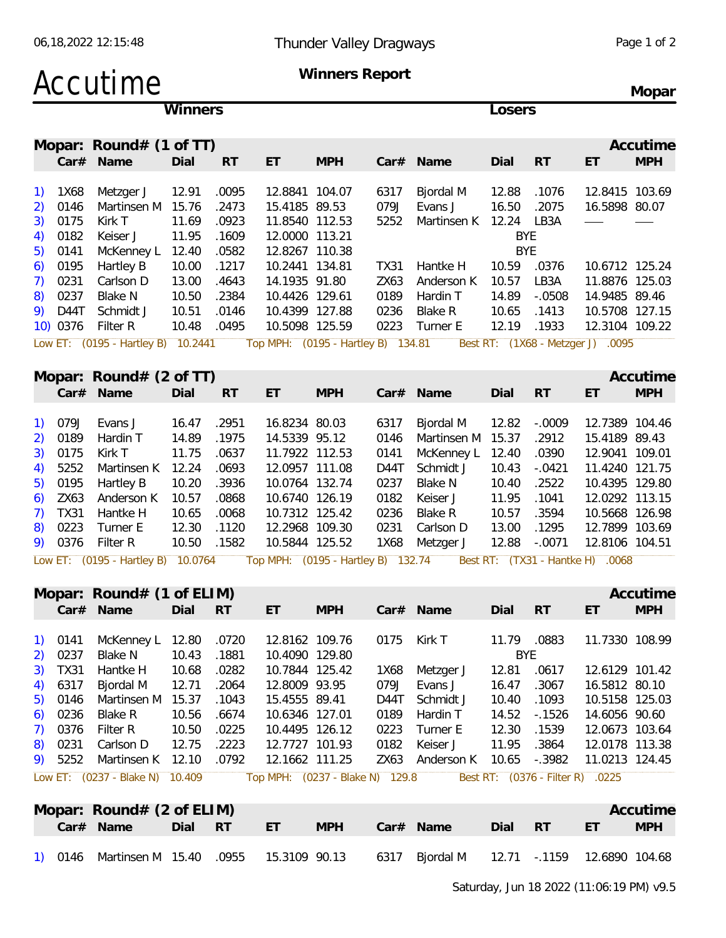### Accutime **Winners Report**

**Mopar**

| Winners                                        |             |                                     |       |           |                                    |            |             | Losers            |             |                                  |                                   |            |  |  |
|------------------------------------------------|-------------|-------------------------------------|-------|-----------|------------------------------------|------------|-------------|-------------------|-------------|----------------------------------|-----------------------------------|------------|--|--|
|                                                |             | Mopar: Round# $(1$ of TT)           |       |           |                                    |            |             |                   |             |                                  |                                   | Accutime   |  |  |
|                                                |             | Car# Name                           | Dial  | <b>RT</b> | ET                                 | <b>MPH</b> |             | Car# Name         | Dial        | <b>RT</b>                        | ET                                | <b>MPH</b> |  |  |
|                                                |             |                                     |       |           |                                    |            |             |                   |             |                                  |                                   |            |  |  |
| $\left( \begin{matrix} 1 \end{matrix} \right)$ | 1X68        | Metzger J                           | 12.91 | .0095     | 12.8841 104.07                     |            | 6317        | Bjordal M         | 12.88       | .1076                            | 12.8415 103.69                    |            |  |  |
| 2)                                             | 0146        | Martinsen M                         | 15.76 | .2473     | 15.4185 89.53                      |            | 079J        | Evans J           | 16.50       | .2075                            | 16.5898 80.07                     |            |  |  |
| 3)                                             | 0175        | Kirk T                              | 11.69 | .0923     | 11.8540 112.53                     |            | 5252        | Martinsen K       | 12.24       | LB3A                             |                                   |            |  |  |
| 4)                                             | 0182        | Keiser J                            | 11.95 | .1609     | 12.0000 113.21                     |            |             |                   | <b>BYE</b>  |                                  |                                   |            |  |  |
| 5)                                             | 0141        | McKenney L                          | 12.40 | .0582     | 12.8267 110.38                     |            |             |                   | <b>BYE</b>  |                                  |                                   |            |  |  |
| 6)                                             | 0195        | Hartley B                           | 10.00 | .1217     | 10.2441 134.81                     |            | <b>TX31</b> | Hantke H          | 10.59       | .0376                            | 10.6712 125.24                    |            |  |  |
| 7)                                             | 0231        | Carlson D                           | 13.00 | .4643     | 14.1935 91.80                      |            | ZX63        | Anderson K        | 10.57       | LB3A                             | 11.8876 125.03                    |            |  |  |
| 8)                                             | 0237        | <b>Blake N</b>                      | 10.50 | .2384     | 10.4426 129.61                     |            | 0189        | Hardin T          | 14.89       | $-.0508$                         | 14.9485 89.46                     |            |  |  |
| 9)                                             | D44T        | Schmidt J                           | 10.51 | .0146     | 10.4399 127.88                     |            | 0236        | <b>Blake R</b>    | 10.65       | .1413                            | 10.5708 127.15                    |            |  |  |
|                                                | 10) 0376    | Filter R                            | 10.48 | .0495     | 10.5098 125.59                     |            | 0223        | Turner E          | 12.19       | .1933                            | 12.3104 109.22                    |            |  |  |
|                                                |             | Low ET: (0195 - Hartley B) 10.2441  |       |           | Top MPH: (0195 - Hartley B) 134.81 |            |             |                   |             |                                  | Best RT: (1X68 - Metzger J) .0095 |            |  |  |
|                                                |             | Mopar: Round# $(2 \text{ of } TT)$  |       |           |                                    |            |             |                   |             |                                  |                                   | Accutime   |  |  |
|                                                |             | Car# Name                           | Dial  | <b>RT</b> | ET                                 | <b>MPH</b> |             | Car# Name         | Dial        | <b>RT</b>                        | ET                                | <b>MPH</b> |  |  |
| $\left( \begin{matrix} 1 \end{matrix} \right)$ | 079J        | Evans J                             | 16.47 | .2951     | 16.8234 80.03                      |            | 6317        | Bjordal M         | 12.82       | $-.0009$                         | 12.7389 104.46                    |            |  |  |
| 2)                                             | 0189        | Hardin T                            | 14.89 | .1975     | 14.5339 95.12                      |            | 0146        | Martinsen M 15.37 |             | .2912                            | 15.4189 89.43                     |            |  |  |
| 3)                                             | 0175        | Kirk T                              | 11.75 | .0637     | 11.7922 112.53                     |            | 0141        | McKenney L        | 12.40       | .0390                            | 12.9041 109.01                    |            |  |  |
| 4)                                             | 5252        | Martinsen K                         | 12.24 | .0693     | 12.0957 111.08                     |            | D44T        | Schmidt J         | 10.43       | $-.0421$                         | 11.4240 121.75                    |            |  |  |
| 5)                                             | 0195        | Hartley B                           | 10.20 | .3936     | 10.0764 132.74                     |            | 0237        | Blake N           | 10.40       | .2522                            | 10.4395 129.80                    |            |  |  |
| 6)                                             | ZX63        | Anderson K                          | 10.57 | .0868     | 10.6740 126.19                     |            | 0182        | Keiser J          | 11.95       | .1041                            | 12.0292 113.15                    |            |  |  |
| 7)                                             | <b>TX31</b> | Hantke H                            | 10.65 | .0068     | 10.7312 125.42                     |            | 0236        | <b>Blake R</b>    | 10.57       | .3594                            | 10.5668 126.98                    |            |  |  |
| 8)                                             | 0223        | Turner E                            | 12.30 | .1120     | 12.2968 109.30                     |            | 0231        | Carlson D         | 13.00       | .1295                            | 12.7899 103.69                    |            |  |  |
| 9)                                             | 0376        | Filter R                            | 10.50 | .1582     | 10.5844 125.52                     |            | 1X68        | Metzger J         | 12.88       | $-.0071$                         | 12.8106 104.51                    |            |  |  |
|                                                |             | Low ET: (0195 - Hartley B) 10.0764  |       |           | Top MPH: (0195 - Hartley B) 132.74 |            |             |                   |             |                                  | Best RT: (TX31 - Hantke H) .0068  |            |  |  |
|                                                |             |                                     |       |           |                                    |            |             |                   |             |                                  |                                   |            |  |  |
|                                                |             | Mopar: $Round# (1 of ELIM)$         |       |           |                                    |            |             |                   |             |                                  |                                   | Accutime   |  |  |
|                                                |             | Car# Name                           | Dial  | <b>RT</b> | ET                                 | <b>MPH</b> |             | Car# Name         | Dial        | <b>RT</b>                        | ET                                | <b>MPH</b> |  |  |
| 1)                                             | 0141        | McKenney L                          | 12.80 | .0720     | 12.8162 109.76                     |            | 0175        | Kirk T            | 11.79 .0883 |                                  | 11.7330 108.99                    |            |  |  |
| 2)                                             | 0237        | <b>Blake N</b>                      | 10.43 | .1881     | 10.4090 129.80                     |            |             |                   | BYE         |                                  |                                   |            |  |  |
| 3)                                             | TX31        | Hantke H                            | 10.68 | .0282     | 10.7844 125.42                     |            | 1X68        | Metzger J         | 12.81       | .0617                            | 12.6129 101.42                    |            |  |  |
| 4)                                             | 6317        | Bjordal M                           | 12.71 | .2064     | 12.8009 93.95                      |            | 079J        | Evans J           | 16.47       | .3067                            | 16.5812 80.10                     |            |  |  |
| 5)                                             | 0146        | Martinsen M                         | 15.37 | .1043     | 15.4555 89.41                      |            | D44T        | Schmidt J         | 10.40       | .1093                            | 10.5158 125.03                    |            |  |  |
| 6)                                             | 0236        | Blake R                             | 10.56 | .6674     | 10.6346 127.01                     |            | 0189        | Hardin T          | 14.52       | $-0.1526$                        | 14.6056 90.60                     |            |  |  |
| 7)                                             | 0376        | Filter R                            | 10.50 | .0225     | 10.4495 126.12                     |            | 0223        | Turner E          | 12.30       | .1539                            | 12.0673 103.64                    |            |  |  |
| 8)                                             | 0231        | Carlson D                           | 12.75 | .2223     | 12.7727 101.93                     |            | 0182        | Keiser J          | 11.95       | .3864                            | 12.0178 113.38                    |            |  |  |
| 9)                                             | 5252        | Martinsen K 12.10                   |       | .0792     | 12.1662 111.25                     |            | ZX63        | Anderson K        | 10.65       | $-.3982$                         | 11.0213 124.45                    |            |  |  |
|                                                |             | Low ET: (0237 - Blake N) 10.409     |       |           | Top MPH: (0237 - Blake N) 129.8    |            |             |                   |             | Best RT: (0376 - Filter R) .0225 |                                   |            |  |  |
|                                                |             | Mopar: Round# $(2 \text{ of ELIM})$ |       |           |                                    |            |             |                   |             |                                  |                                   | Accutime   |  |  |
|                                                |             |                                     |       |           |                                    |            |             |                   |             |                                  |                                   |            |  |  |

|  | $NIO$ par: Round $# (Z 0$ i ELIMI)            |      |      |    |            |      |                                     |      |     |                | ACCULIME   |
|--|-----------------------------------------------|------|------|----|------------|------|-------------------------------------|------|-----|----------------|------------|
|  | Car# Name                                     | Dial | - RT | ET | <b>MPH</b> | Car# | Name                                | Dial | RT. | ET             | <b>MPH</b> |
|  | 1) 0146 Martinsen M 15.40 .0955 15.3109 90.13 |      |      |    |            |      | 6317    Bjordal M    12.71   -.1159 |      |     | 12.6890 104.68 |            |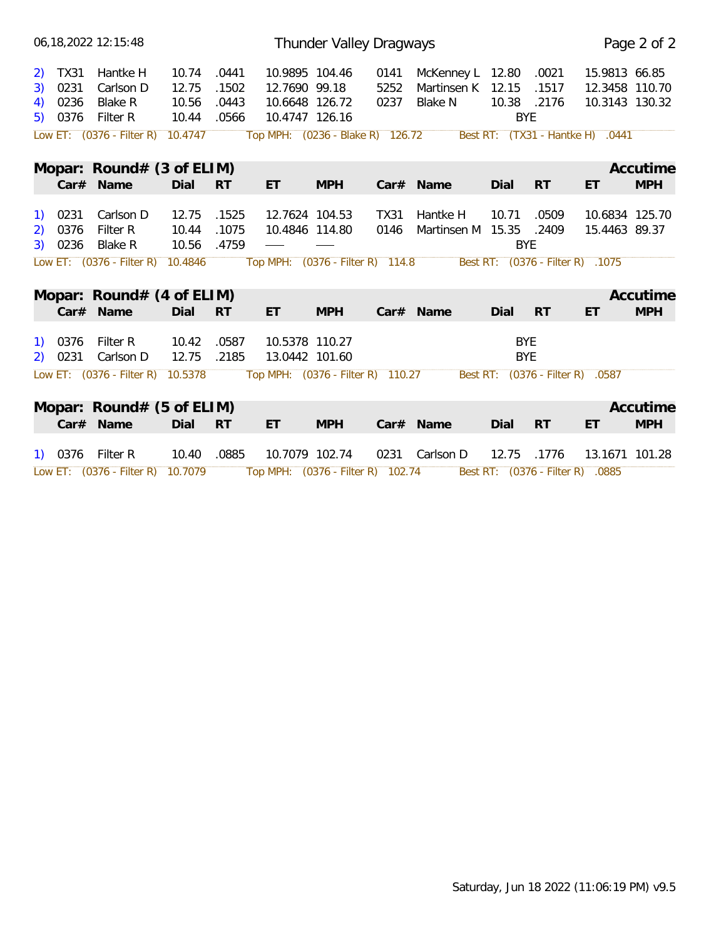|    |                    | 06, 18, 2022 12: 15: 48           |                |                |                                   | Thunder Valley Dragways |                     |                                     |                           |           |                                  | Page 2 of 2 |
|----|--------------------|-----------------------------------|----------------|----------------|-----------------------------------|-------------------------|---------------------|-------------------------------------|---------------------------|-----------|----------------------------------|-------------|
|    | 2) TX31            | Hantke H                          | 10.74          | .0441          | 10.9895 104.46                    |                         | 0141                | McKenney L 12.80                    |                           | .0021     | 15.9813 66.85                    |             |
| 3) | 0231               | Carlson D                         | 12.75          | .1502          | 12.7690 99.18                     |                         | 5252                | Martinsen K                         | 12.15                     | .1517     | 12.3458 110.70                   |             |
| 4) | 0236<br>5) 0376    | Blake R<br>Filter R               | 10.56<br>10.44 | .0443<br>.0566 | 10.6648 126.72<br>10.4747 126.16  |                         | 0237                | Blake N                             | 10.38 .2176<br><b>BYE</b> |           | 10.3143 130.32                   |             |
|    |                    | Low ET: $(0376 - Filter R)$       | 10.4747        |                | Top MPH: (0236 - Blake R) 126.72  |                         |                     |                                     |                           |           | Best RT: (TX31 - Hantke H) .0441 |             |
|    |                    | Mopar: $Round# (3 of ELIM)$       |                |                |                                   |                         |                     |                                     |                           |           |                                  | Accutime    |
|    |                    | Car# Name                         | Dial           | <b>RT</b>      | ET                                | <b>MPH</b>              |                     | Car# Name                           | Dial                      | <b>RT</b> | ET                               | <b>MPH</b>  |
|    | 1) 0231<br>2) 0376 | Carlson D<br>Filter R             | 12.75<br>10.44 | .1525<br>.1075 | 12.7624 104.53<br>10.4846 114.80  |                         | <b>TX31</b><br>0146 | Hantke H<br>Martinsen M 15.35 .2409 | 10.71                     | .0509     | 10.6834 125.70<br>15.4463 89.37  |             |
|    | 3) 0236            | Blake R                           | 10.56          | .4759          |                                   |                         |                     |                                     | <b>BYE</b>                |           |                                  |             |
|    |                    | Low ET: $(0376 - Filter R)$       | 10.4846        |                | Top MPH: (0376 - Filter R) 114.8  |                         |                     |                                     |                           |           | Best RT: (0376 - Filter R) .1075 |             |
|    |                    | Mopar: Round# (4 of ELIM)         |                |                |                                   |                         |                     |                                     |                           |           |                                  | Accutime    |
|    |                    | Car# Name                         | Dial           | <b>RT</b>      | ET                                | <b>MPH</b>              |                     | Car# Name                           | Dial                      | <b>RT</b> | ET                               | <b>MPH</b>  |
|    | 1) 0376<br>2) 0231 | Filter R<br>Carlson D             | 10.42<br>12.75 | .0587<br>.2185 | 10.5378 110.27<br>13.0442 101.60  |                         |                     |                                     | <b>BYE</b><br><b>BYE</b>  |           |                                  |             |
|    |                    | Low ET: $(0376 - Filter R)$       | 10.5378        |                | Top MPH: (0376 - Filter R) 110.27 |                         |                     |                                     |                           |           | Best RT: (0376 - Filter R) .0587 |             |
|    |                    | Mopar: $Round# (5 of ELIM)$       |                |                |                                   |                         |                     |                                     |                           |           |                                  | Accutime    |
|    |                    | Car# Name                         | Dial           | <b>RT</b>      | ET                                | <b>MPH</b>              |                     | Car# Name                           | Dial                      | <b>RT</b> | ET                               | <b>MPH</b>  |
|    |                    | 1) 0376 Filter R                  | 10.40          | .0885          | 10.7079 102.74                    |                         |                     | 0231 Carlson D                      | 12.75                     | .1776     | 13.1671 101.28                   |             |
|    |                    | Low ET: (0376 - Filter R) 10.7079 |                |                | Top MPH: (0376 - Filter R) 102.74 |                         |                     |                                     |                           |           | Best RT: (0376 - Filter R) .0885 |             |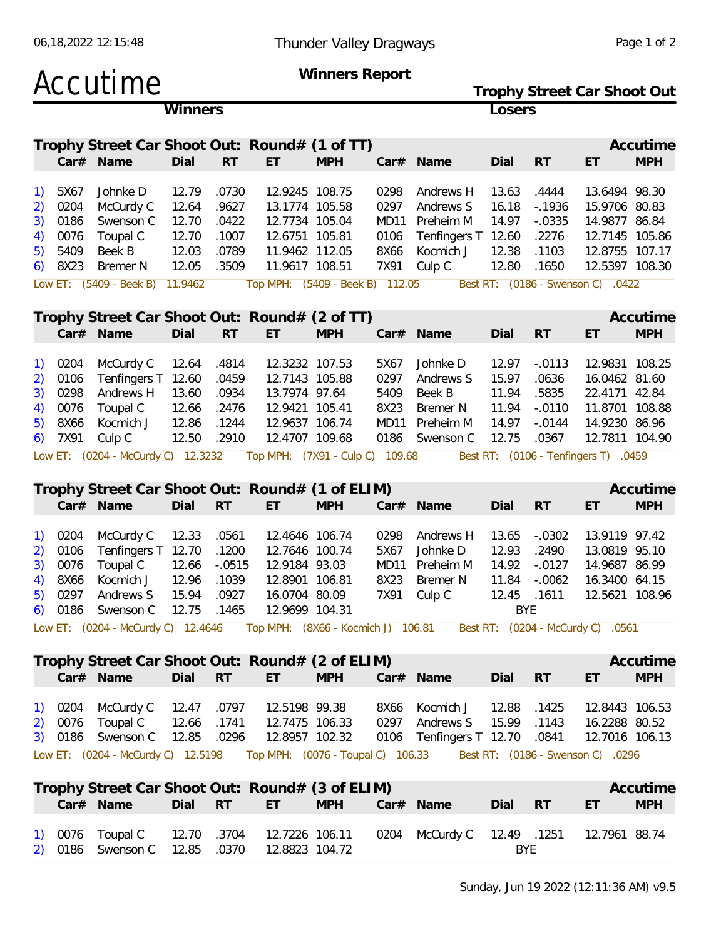Accutime **Winners Report Trophy Street Car Shoot Out Winners Losers Trophy Street Car Shoot Out: Round# (1 of TT) Accutime Car# Name Dial RT ET MPH Car# Name Dial RT ET MPH** 1) 5X67 Johnke D 12.79 .0730 12.9245 108.75 0298 Andrews H 13.63 .4444 13.6494 98.30 2) 0204 McCurdy C 12.64 .9627 13.1774 105.58 0297 Andrews S 16.18 -.1936 15.9706 80.83 3) 0186 Swenson C 12.70 .0422 12.7734 105.04 MD11 Preheim M 14.97 -.0335 14.9877 86.84 4) 0076 Toupal C 12.70 .1007 12.6751 105.81 0106 Tenfingers T 12.60 .2276 12.7145 105.86 5) 5409 Beek B 12.03 .0789 11.9462 112.05 8X66 Kocmich J 12.38 .1103 12.8755 107.17 6) 8X23 Bremer N 12.05 .3509 11.9617 108.51 7X91 Culp C 12.80 .1650 12.5397 108.30 Low ET: (5409 - Beek B) 11.9462 Top MPH: (5409 - Beek B) 112.05 Best RT: (0186 - Swenson C) .0422 **Trophy Street Car Shoot Out: Round# (2 of TT) Accutime Car# Name Dial RT ET MPH Car# Name Dial RT ET MPH** 1) 0204 McCurdy C 12.64 .4814 12.3232 107.53 5X67 Johnke D 12.97 -.0113 12.9831 108.25 2) 0106 Tenfingers T 12.60 .0459 12.7143 105.88 0297 Andrews S 15.97 .0636 16.0462 81.60 3) 0298 Andrews H 13.60 .0934 13.7974 97.64 5409 Beek B 11.94 .5835 22.4171 42.84 4) 0076 Toupal C 12.66 .2476 12.9421 105.41 8X23 Bremer N 11.94 -.0110 11.8701 108.88 5) 8X66 Kocmich J 12.86 .1244 12.9637 106.74 MD11 Preheim M 14.97 -.0144 14.9230 86.96 6) 7X91 Culp C 12.50 .2910 12.4707 109.68 0186 Swenson C 12.75 .0367 12.7811 104.90 Low ET: (0204 - McCurdy C) 12.3232 Top MPH: (7X91 - Culp C) 109.68 Best RT: (0106 - Tenfingers T) .0459 **Trophy Street Car Shoot Out: Round# (1 of ELIM) Accutime Car# Name Dial RT ET MPH Car# Name Dial RT ET MPH** 1) 0204 McCurdy C 12.33 .0561 12.4646 106.74 0298 Andrews H 13.65 -.0302 13.9119 97.42 2) 0106 Tenfingers T 12.70 .1200 12.7646 100.74 5X67 Johnke D 12.93 .2490 13.0819 95.10 3) 0076 Toupal C 12.66 -.0515 12.9184 93.03 MD11 Preheim M 14.92 -.0127 14.9687 86.99 4) 8X66 Kocmich J 12.96 .1039 12.8901 106.81 8X23 Bremer N 11.84 -.0062 16.3400 64.15 5) 0297 Andrews S 15.94 .0927 16.0704 80.09 7X91 Culp C 12.45 .1611 12.5621 108.96 6) 0186 Swenson C 12.75 .1465 12.9699 104.31 BYE Low ET: (0204 - McCurdy C) 12.4646 Top MPH: (8X66 - Kocmich J) 106.81 Best RT: (0204 - McCurdy C) .0561 **Trophy Street Car Shoot Out: Round# (2 of ELIM) Accutime Car# Name Dial RT ET MPH Car# Name Dial RT ET MPH** 1) 0204 McCurdy C 12.47 .0797 12.5198 99.38 8X66 Kocmich J 12.88 .1425 12.8443 106.53 2) 0076 Toupal C 12.66 .1741 12.7475 106.33 0297 Andrews S 15.99 .1143 16.2288 80.52 3) 0186 Swenson C 12.85 .0296 12.8957 102.32 0106 Tenfingers T 12.70 .0841 12.7016 106.13 Low ET: (0204 - McCurdy C) 12.5198 Top MPH: (0076 - Toupal C) 106.33 Best RT: (0186 - Swenson C) .0296 **Trophy Street Car Shoot Out: Round# (3 of ELIM) Accutime Car# Name Dial RT ET MPH Car# Name Dial RT ET MPH** 1) 0076 Toupal C 12.70 .3704 12.7226 106.11 0204 McCurdy C 12.49 .1251 12.7961 88.74

2) 0186 Swenson C 12.85 .0370 12.8823 104.72 BYE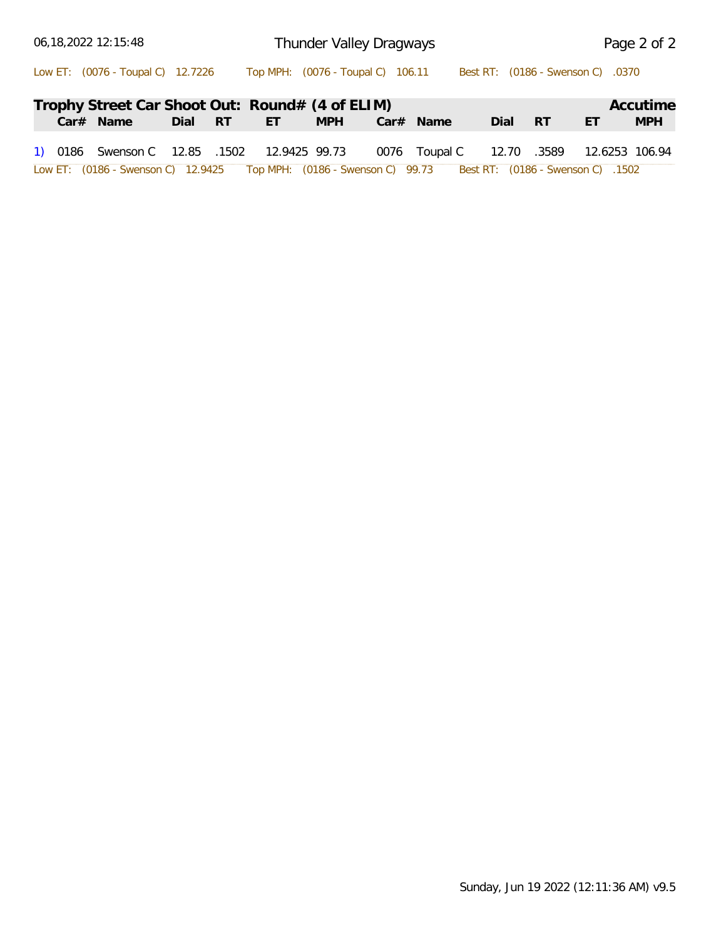| 06,18,2022 12:15:48                                                                                  |         |    | Thunder Valley Dragways |             | Page 2 of 2 |             |                |            |  |
|------------------------------------------------------------------------------------------------------|---------|----|-------------------------|-------------|-------------|-------------|----------------|------------|--|
| Low ET: (0076 - Toupal C) 12.7226 Top MPH: (0076 - Toupal C) 106.11 Best RT: (0186 - Swenson C) 0370 |         |    |                         |             |             |             |                |            |  |
| Trophy Street Car Shoot Out: Round# (4 of ELIM)                                                      |         |    |                         |             |             |             |                | Accutime   |  |
| $Car#$ Name                                                                                          | Dial RT | ET | <b>MPH</b>              | $Car#$ Name | Dial RT     |             | ET             | <b>MPH</b> |  |
| 1) 0186 Swenson C 12.85 .1502 12.9425 99.73 0076 Toupal C                                            |         |    |                         |             |             | 12.70 .3589 | 12.6253 106.94 |            |  |
| 1502. [0186 - Swenson C) 12.9425 Top MPH: (0186 - Swenson C) 99.73 Best RT: (0186 - Swenson C) 1502  |         |    |                         |             |             |             |                |            |  |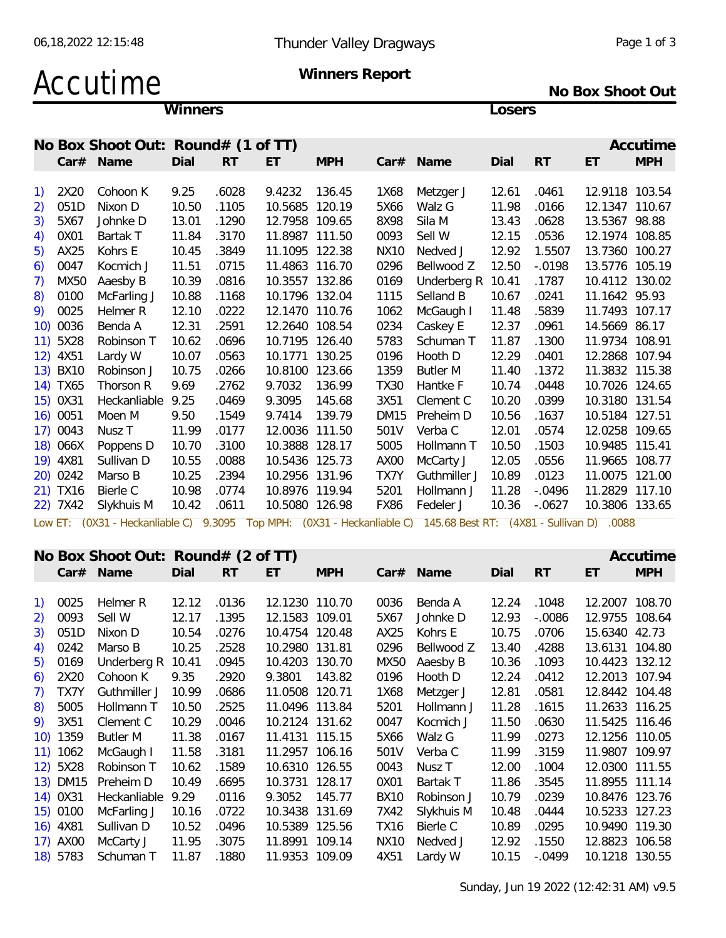# Accutime **Winners Report**

**No Box Shoot Out**

**Winners Losers**

|    |          | No Box Shoot Out: Round# (1 of TT) |       |           |                |            |             |                                                                                                                   |       |           |                | Accutime   |
|----|----------|------------------------------------|-------|-----------|----------------|------------|-------------|-------------------------------------------------------------------------------------------------------------------|-------|-----------|----------------|------------|
|    |          | Car# Name                          | Dial  | <b>RT</b> | ET.            | <b>MPH</b> |             | Car# Name                                                                                                         | Dial  | <b>RT</b> | ET             | <b>MPH</b> |
| 1) | 2X20     | Cohoon K                           | 9.25  | .6028     | 9.4232         | 136.45     | 1X68        | Metzger J                                                                                                         | 12.61 | .0461     | 12.9118 103.54 |            |
| 2) | 051D     | Nixon D                            | 10.50 | .1105     | 10.5685 120.19 |            | 5X66        | Walz G                                                                                                            | 11.98 | .0166     | 12.1347 110.67 |            |
| 3) | 5X67     | Johnke D                           | 13.01 | .1290     | 12.7958 109.65 |            | 8X98        | Sila M                                                                                                            | 13.43 | .0628     | 13.5367 98.88  |            |
| 4) | 0X01     | Bartak T                           | 11.84 | .3170     | 11.8987 111.50 |            | 0093        | Sell W                                                                                                            | 12.15 | .0536     | 12.1974 108.85 |            |
| 5) | AX25     | Kohrs E                            | 10.45 | .3849     | 11.1095 122.38 |            | <b>NX10</b> | Nedved J                                                                                                          | 12.92 | 1.5507    | 13.7360 100.27 |            |
| 6) | 0047     | Kocmich J                          | 11.51 | .0715     | 11.4863 116.70 |            | 0296        | Bellwood Z                                                                                                        | 12.50 | $-.0198$  | 13.5776 105.19 |            |
| 7) | MX50     | Aaesby B                           | 10.39 | .0816     | 10.3557 132.86 |            | 0169        | Underberg R 10.41                                                                                                 |       | .1787     | 10.4112 130.02 |            |
| 8) | 0100     | McFarling J                        | 10.88 | .1168     | 10.1796 132.04 |            | 1115        | Selland B                                                                                                         | 10.67 | .0241     | 11.1642 95.93  |            |
|    | 9) 0025  | Helmer R                           | 12.10 | .0222     | 12.1470 110.76 |            | 1062        | McGaugh I                                                                                                         | 11.48 | .5839     | 11.7493 107.17 |            |
|    | 10) 0036 | Benda A                            | 12.31 | .2591     | 12.2640 108.54 |            | 0234        | Caskey E                                                                                                          | 12.37 | .0961     | 14.5669 86.17  |            |
|    | 11) 5X28 | Robinson T                         | 10.62 | .0696     | 10.7195 126.40 |            | 5783        | Schuman T                                                                                                         | 11.87 | .1300     | 11.9734 108.91 |            |
|    | 12) 4X51 | Lardy W                            | 10.07 | .0563     | 10.1771 130.25 |            | 0196        | Hooth D                                                                                                           | 12.29 | .0401     | 12.2868 107.94 |            |
|    | 13) BX10 | Robinson J                         | 10.75 | .0266     | 10.8100 123.66 |            | 1359        | <b>Butler M</b>                                                                                                   | 11.40 | .1372     | 11.3832 115.38 |            |
|    | 14) TX65 | Thorson R                          | 9.69  | .2762     | 9.7032         | 136.99     | <b>TX30</b> | Hantke F                                                                                                          | 10.74 | .0448     | 10.7026 124.65 |            |
|    | 15) 0X31 | Heckanliable 9.25                  |       | .0469     | 9.3095         | 145.68     | 3X51        | Clement C                                                                                                         | 10.20 | .0399     | 10.3180 131.54 |            |
|    | 16) 0051 | Moen M                             | 9.50  | .1549     | 9.7414         | 139.79     | DM15        | Preheim D                                                                                                         | 10.56 | .1637     | 10.5184 127.51 |            |
|    | 17) 0043 | Nusz T                             | 11.99 | .0177     | 12.0036 111.50 |            | 501V        | Verba C                                                                                                           | 12.01 | .0574     | 12.0258 109.65 |            |
|    | 18) 066X | Poppens D                          | 10.70 | .3100     | 10.3888 128.17 |            | 5005        | Hollmann T                                                                                                        | 10.50 | .1503     | 10.9485 115.41 |            |
|    | 19) 4X81 | Sullivan D                         | 10.55 | .0088     | 10.5436 125.73 |            | AX00        | McCarty J                                                                                                         | 12.05 | .0556     | 11.9665 108.77 |            |
|    | 20) 0242 | Marso B                            | 10.25 | .2394     | 10.2956 131.96 |            | TX7Y        | Guthmiller J                                                                                                      | 10.89 | .0123     | 11.0075 121.00 |            |
|    | 21) TX16 | Bierle C                           | 10.98 | .0774     | 10.8976 119.94 |            | 5201        | Hollmann J                                                                                                        | 11.28 | $-.0496$  | 11.2829 117.10 |            |
|    | 22) 7X42 | Slykhuis M                         | 10.42 | .0611     | 10.5080 126.98 |            | FX86        | Fedeler J                                                                                                         | 10.36 | $-.0627$  | 10.3806 133.65 |            |
|    |          |                                    |       |           |                |            |             | Low ET: (0X31 - Heckanliable C) 9.3095 Top MPH: (0X31 - Heckanliable C) 145.68 Best RT: (4X81 - Sullivan D) .0088 |       |           |                |            |
|    |          | No Box Shoot Out: Round# (2 of TT) |       |           |                |            |             |                                                                                                                   |       |           |                | Accutime   |
|    |          | Car# Name                          | Dial  | <b>RT</b> | ET             | <b>MPH</b> |             | Car# Name                                                                                                         | Dial  | <b>RT</b> | ET             | <b>MPH</b> |
|    |          |                                    |       |           |                |            |             |                                                                                                                   |       |           |                |            |
|    | 1) 0025  | Helmer R                           | 12.12 | .0136     | 12.1230 110.70 |            | 0036        | Benda A                                                                                                           | 12.24 | .1048     | 12.2007 108.70 |            |
| 2) | 0093     | Sell W                             | 12.17 | .1395     | 12.1583 109.01 |            | 5X67        | Johnke D                                                                                                          | 12.93 | $-0.0086$ | 12.9755 108.64 |            |
| 3) | 051D     | Nixon D                            | 10.54 | .0276     | 10.4754 120.48 |            | AX25        | Kohrs E                                                                                                           | 10.75 | .0706     | 15.6340 42.73  |            |
| 4) | 0242     | Marso B                            | 10.25 | .2528     | 10.2980 131.81 |            | 0296        | Bellwood Z                                                                                                        | 13.40 | .4288     | 13.6131 104.80 |            |
|    | 5) 0169  | Underberg R 10.41                  |       | .0945     | 10.4203 130.70 |            |             | MX50 Aaesby B                                                                                                     | 10.36 | .1093     | 10.4423 132.12 |            |
| 6) | 2X20     | Cohoon K                           | 9.35  | .2920     | 9.3801 143.82  |            | 0196        | Hooth D                                                                                                           | 12.24 | .0412     | 12.2013 107.94 |            |
| 7) | TX7Y     | Guthmiller J                       | 10.99 | .0686     | 11.0508 120.71 |            | 1X68        | Metzger J                                                                                                         | 12.81 | .0581     | 12.8442 104.48 |            |
| 8) | 5005     | Hollmann T                         | 10.50 | .2525     | 11.0496 113.84 |            | 5201        | Hollmann J                                                                                                        | 11.28 | .1615     | 11.2633 116.25 |            |
|    | 9) 3X51  | Clement C                          | 10.29 | .0046     | 10.2124 131.62 |            | 0047        | Kocmich J                                                                                                         | 11.50 | .0630     | 11.5425 116.46 |            |
|    | 10) 1359 | <b>Butler M</b>                    | 11.38 | .0167     | 11.4131 115.15 |            | 5X66        | Walz G                                                                                                            | 11.99 | .0273     | 12.1256 110.05 |            |
|    | 11) 1062 | McGaugh I                          | 11.58 | .3181     | 11.2957 106.16 |            | 501V        | Verba C                                                                                                           | 11.99 | .3159     | 11.9807 109.97 |            |
|    | 12) 5X28 | Robinson T                         | 10.62 | .1589     | 10.6310 126.55 |            | 0043        | Nusz T                                                                                                            | 12.00 | .1004     | 12.0300 111.55 |            |
|    | 13) DM15 | Preheim D                          | 10.49 | .6695     | 10.3731 128.17 |            | 0X01        | Bartak T                                                                                                          | 11.86 | .3545     | 11.8955 111.14 |            |
|    | 14) 0X31 | Heckanliable 9.29                  |       | .0116     | 9.3052 145.77  |            | <b>BX10</b> | Robinson J                                                                                                        | 10.79 | .0239     | 10.8476 123.76 |            |
|    | 15) 0100 | McFarling J                        | 10.16 | .0722     | 10.3438 131.69 |            | 7X42        | Slykhuis M                                                                                                        | 10.48 | .0444     | 10.5233 127.23 |            |

16) 4X81 Sullivan D 10.52 .0496 10.5389 125.56 TX16 Bierle C 10.89 .0295 10.9490 119.30 17) AX00 McCarty J 11.95 .3075 11.8991 109.14 NX10 Nedved J 12.92 .1550 12.8823 106.58 18) 5783 Schuman T 11.87 .1880 11.9353 109.09 4X51 Lardy W 10.15 -.0499 10.1218 130.55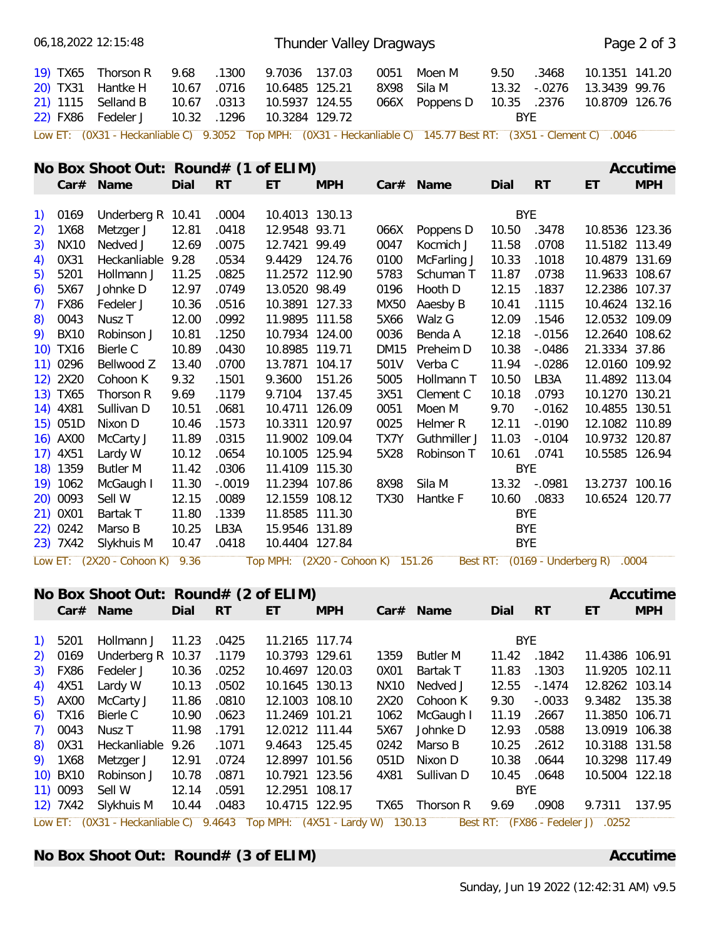|                          | 06, 18, 2022 12: 15: 48                                                                                          |       |           |                                   | Thunder Valley Dragways |             |              |            |            |                                     | Page 2 of 3 |
|--------------------------|------------------------------------------------------------------------------------------------------------------|-------|-----------|-----------------------------------|-------------------------|-------------|--------------|------------|------------|-------------------------------------|-------------|
| 19) TX65                 | Thorson R                                                                                                        | 9.68  | .1300     | 9.7036 137.03                     |                         | 0051        | Moen M       | 9.50       | .3468      | 10.1351 141.20                      |             |
| 20) TX31                 | Hantke H                                                                                                         | 10.67 | .0716     | 10.6485 125.21                    |                         | 8X98        | Sila M       | 13.32      | $-.0276$   | 13.3439 99.76                       |             |
| 21) 1115                 | Selland B                                                                                                        | 10.67 | .0313     | 10.5937 124.55                    |                         | 066X        | Poppens D    | 10.35      | .2376      | 10.8709 126.76                      |             |
| 22) FX86                 | Fedeler J                                                                                                        | 10.32 | .1296     | 10.3284 129.72                    |                         |             |              | <b>BYE</b> |            |                                     |             |
|                          | Low ET: (0X31 - Heckanliable C) 9.3052 Top MPH: (0X31 - Heckanliable C) 145.77 Best RT: (3X51 - Clement C) .0046 |       |           |                                   |                         |             |              |            |            |                                     |             |
|                          | No Box Shoot Out: Round# (1 of ELIM)                                                                             |       |           |                                   |                         |             |              |            |            |                                     | Accutime    |
|                          |                                                                                                                  |       |           |                                   |                         |             |              |            |            |                                     |             |
|                          | Car# Name                                                                                                        | Dial  | RT        | ET                                | <b>MPH</b>              |             | Car# Name    | Dial       | <b>RT</b>  | ET                                  | <b>MPH</b>  |
| 0169<br>1)               | Underberg R 10.41                                                                                                |       | .0004     | 10.4013 130.13                    |                         |             |              |            | <b>BYE</b> |                                     |             |
| 2)                       | 1X68<br>Metzger J                                                                                                | 12.81 | .0418     | 12.9548 93.71                     |                         | 066X        | Poppens D    | 10.50      | .3478      | 10.8536 123.36                      |             |
| 3)                       | <b>NX10</b><br>Nedved J                                                                                          | 12.69 | .0075     | 12.7421 99.49                     |                         | 0047        | Kocmich J    | 11.58      | .0708      | 11.5182 113.49                      |             |
| 0X31<br>4)               | Heckanliable 9.28                                                                                                |       | .0534     | 9.4429 124.76                     |                         | 0100        | McFarling J  | 10.33      | .1018      | 10.4879 131.69                      |             |
| 5201<br>$\left(5\right)$ | Hollmann J                                                                                                       | 11.25 | .0825     | 11.2572 112.90                    |                         | 5783        | Schuman T    | 11.87      | .0738      | 11.9633 108.67                      |             |
| 6)                       | 5X67<br>Johnke D                                                                                                 | 12.97 | .0749     | 13.0520 98.49                     |                         | 0196        | Hooth D      | 12.15      | .1837      | 12.2386 107.37                      |             |
| 7)                       | <b>FX86</b><br>Fedeler J                                                                                         | 10.36 | .0516     | 10.3891 127.33                    |                         | MX50        | Aaesby B     | 10.41      | .1115      | 10.4624 132.16                      |             |
| 8)                       | 0043<br>Nusz <sub>T</sub>                                                                                        | 12.00 | .0992     | 11.9895 111.58                    |                         | 5X66        | Walz G       | 12.09      | .1546      | 12.0532 109.09                      |             |
| 9)                       | <b>BX10</b><br>Robinson J                                                                                        | 10.81 | .1250     | 10.7934 124.00                    |                         | 0036        | Benda A      | 12.18      | $-0.0156$  | 12.2640 108.62                      |             |
| 10) TX16                 | Bierle C                                                                                                         | 10.89 | .0430     | 10.8985 119.71                    |                         | <b>DM15</b> | Preheim D    | 10.38      | $-0.0486$  | 21.3334 37.86                       |             |
| 11) 0296                 | Bellwood Z                                                                                                       | 13.40 | .0700     | 13.7871 104.17                    |                         | 501V        | Verba C      | 11.94      | $-0.0286$  | 12.0160 109.92                      |             |
| 12) 2X20                 | Cohoon K                                                                                                         | 9.32  | .1501     | 9.3600                            | 151.26                  | 5005        | Hollmann T   | 10.50      | LB3A       | 11.4892 113.04                      |             |
| 13) TX65                 | Thorson R                                                                                                        | 9.69  | .1179     | 9.7104                            | 137.45                  | 3X51        | Clement C    | 10.18      | .0793      | 10.1270 130.21                      |             |
| 14) 4X81                 | Sullivan D                                                                                                       | 10.51 | .0681     | 10.4711 126.09                    |                         | 0051        | Moen M       | 9.70       | $-0.0162$  | 10.4855 130.51                      |             |
| 15) 051D                 | Nixon D                                                                                                          | 10.46 | .1573     | 10.3311 120.97                    |                         | 0025        | Helmer R     | 12.11      | $-.0190$   | 12.1082 110.89                      |             |
| 16) AX00                 | McCarty J                                                                                                        | 11.89 | .0315     | 11.9002 109.04                    |                         | TX7Y        | Guthmiller J | 11.03      | $-.0104$   | 10.9732 120.87                      |             |
| 17) 4X51                 | Lardy W                                                                                                          | 10.12 | .0654     | 10.1005 125.94                    |                         | 5X28        | Robinson T   | 10.61      | .0741      | 10.5585 126.94                      |             |
| 18) 1359                 | <b>Butler M</b>                                                                                                  | 11.42 | .0306     | 11.4109 115.30                    |                         |             |              |            | <b>BYE</b> |                                     |             |
| 19) 1062                 | McGaugh I                                                                                                        | 11.30 | $-.0019$  | 11.2394 107.86                    |                         | 8X98        | Sila M       | 13.32      | $-.0981$   | 13.2737 100.16                      |             |
| 20) 0093                 | Sell W                                                                                                           | 12.15 | .0089     | 12.1559 108.12                    |                         | <b>TX30</b> | Hantke F     | 10.60      | .0833      | 10.6524 120.77                      |             |
| 21) 0X01                 | Bartak T                                                                                                         | 11.80 | .1339     | 11.8585 111.30                    |                         |             |              |            | <b>BYE</b> |                                     |             |
| 22) 0242                 | Marso B                                                                                                          | 10.25 | LB3A      | 15.9546 131.89                    |                         |             |              |            | <b>BYE</b> |                                     |             |
| 23) 7X42                 | Slykhuis M                                                                                                       | 10.47 | .0418     | 10.4404 127.84                    |                         |             |              | <b>BYE</b> |            |                                     |             |
|                          | Low ET: (2X20 - Cohoon K) 9.36                                                                                   |       |           | Top MPH: (2X20 - Cohoon K) 151.26 |                         |             |              |            |            | Best RT: (0169 - Underberg R) .0004 |             |
|                          |                                                                                                                  |       |           |                                   |                         |             |              |            |            |                                     |             |
|                          | No Box Shoot Out: Round# (2 of ELIM)                                                                             |       |           |                                   |                         |             |              |            |            |                                     | Accutime    |
|                          | Car# Name                                                                                                        | Dial  | <b>RT</b> | ET                                | <b>MPH</b>              |             | Car# Name    | Dial       | <b>RT</b>  | ET                                  | <b>MPH</b>  |

| 1) 5201  | Hollmann J 11.23                                                                                          |       | .0425       | 11.2165 117.74 |      |                     |       | BYE.        |                |  |
|----------|-----------------------------------------------------------------------------------------------------------|-------|-------------|----------------|------|---------------------|-------|-------------|----------------|--|
|          | 2) 0169 Underberg R 10.37                                                                                 |       | .1179       | 10.3793 129.61 | 1359 | Butler M            |       | 11.42 .1842 | 11.4386 106.91 |  |
|          | 3) FX86 Fedeler J                                                                                         | 10.36 | .0252       | 10.4697 120.03 | 0X01 | Bartak T            | 11.83 | .1303       | 11.9205 102.11 |  |
|          | 4) $4X51$ Lardy W                                                                                         | 10.13 | .0502       | 10.1645 130.13 |      | NX10 Nedved J       | 12.55 | - 1474      | 12.8262 103.14 |  |
|          | 5) AX00 McCarty J                                                                                         | 11.86 | .0810       | 12.1003 108.10 |      | 2X20 Cohoon K       | 9.30  | -.0033      | 9.3482 135.38  |  |
|          | 6) TX16 Bierle C                                                                                          | 10.90 | .0623       | 11.2469 101.21 |      | 1062 McGaugh I      | 11.19 | .2667       | 11.3850 106.71 |  |
|          | 7) 0043 Nusz T                                                                                            | 11.98 | .1791       | 12.0212 111.44 |      | 5X67 Johnke D       | 12.93 | .0588       | 13.0919 106.38 |  |
|          | 8) 0X31 Heckanliable 9.26 .1071                                                                           |       |             | 9.4643 125.45  | 0242 | Marso B             | 10.25 | .2612       | 10.3188 131.58 |  |
|          | 9) 1X68 Metzger J                                                                                         | 12.91 | .0724       | 12.8997 101.56 |      | 051D Nixon D        | 10.38 | .0644       | 10.3298 117.49 |  |
|          | 10) BX10 Robinson J                                                                                       | 10.78 | .0871       | 10.7921 123.56 |      | 4X81 Sullivan D     |       | 10.45 .0648 | 10.5004 122.18 |  |
| 11) 0093 | Sell W                                                                                                    |       | 12.14 .0591 | 12.2951 108.17 |      |                     | BYE.  |             |                |  |
|          | 12) 7X42 Slykhuis M                                                                                       |       | 10.44 .0483 | 10.4715 122.95 |      | TX65 Thorson R 9.69 |       | .0908       | 9.7311 137.95  |  |
|          | Low ET: (0X31 - Heckanliable C) 9.4643 Top MPH: (4X51 - Lardy W) 130.13 Best RT: (FX86 - Fedeler J) .0252 |       |             |                |      |                     |       |             |                |  |

**No Box Shoot Out: Round# (3 of ELIM) Accutime Accutime Accutime**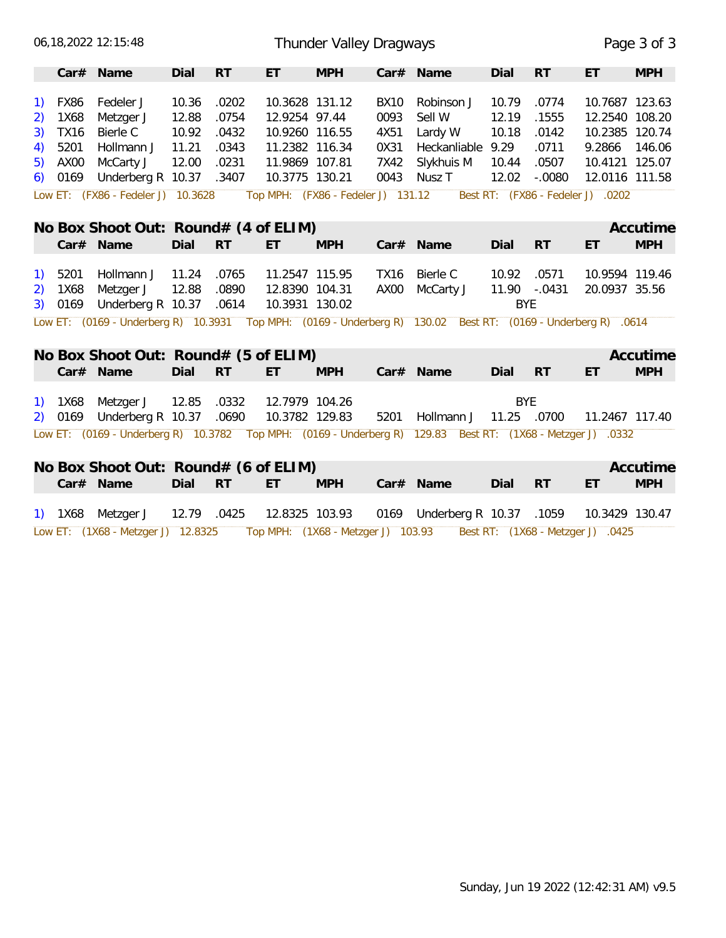| 06, 18, 2022 12: 15: 48                                                                                          |                                                    | Thunder Valley Dragways            |                              |                           |                                   |                                  | Page 3 of 3 |
|------------------------------------------------------------------------------------------------------------------|----------------------------------------------------|------------------------------------|------------------------------|---------------------------|-----------------------------------|----------------------------------|-------------|
| Car# Name<br>Dial                                                                                                | <b>RT</b><br>ET                                    | <b>MPH</b>                         | Car# Name                    | Dial                      | <b>RT</b>                         | ET                               | <b>MPH</b>  |
| 10.36<br>FX86<br>Fedeler J<br>$\left( \begin{matrix} 1 \end{matrix} \right)$<br>12.88<br>1X68<br>Metzger J<br>2) | .0202<br>10.3628 131.12<br>.0754<br>12.9254 97.44  | <b>BX10</b><br>0093                | Robinson J<br>Sell W         | 10.79<br>12.19            | .0774<br>.1555                    | 10.7687 123.63<br>12.2540 108.20 |             |
| 10.92<br><b>TX16</b><br><b>Bierle C</b><br>3)                                                                    | .0432<br>10.9260 116.55                            | 4X51                               | Lardy W                      | 10.18                     | .0142                             | 10.2385 120.74                   |             |
| 11.21<br>5201<br>Hollmann J<br>4)                                                                                | 11.2382 116.34<br>.0343                            | 0X31                               | Heckanliable 9.29            |                           | .0711                             | 9.2866                           | 146.06      |
| AX00<br>McCarty J<br>12.00<br>5)                                                                                 | .0231<br>11.9869 107.81                            | 7X42                               | Slykhuis M                   | 10.44                     | .0507                             | 10.4121 125.07                   |             |
| Underberg R 10.37 .3407<br>$6)$ 0169                                                                             | 10.3775 130.21                                     | 0043                               | Nusz T                       | 12.02                     | $-.0080$                          | 12.0116 111.58                   |             |
| Low ET: (FX86 - Fedeler J) 10.3628                                                                               |                                                    | Top MPH: (FX86 - Fedeler J) 131.12 |                              |                           | Best RT: (FX86 - Fedeler J) .0202 |                                  |             |
| No Box Shoot Out: Round# (4 of ELIM)                                                                             |                                                    |                                    |                              |                           |                                   |                                  | Accutime    |
| Car# Name<br>Dial                                                                                                | <b>RT</b><br>ET.                                   | <b>MPH</b>                         | Car# Name                    | Dial                      | RT                                | ET                               | <b>MPH</b>  |
| 5201<br>Hollmann J<br>11.24<br>$\left( \begin{matrix} 1 \end{matrix} \right)$                                    | 11.2547 115.95<br>.0765                            | <b>TX16</b>                        | Bierle C                     | 10.92                     | .0571                             | 10.9594 119.46                   |             |
| 12.88<br>Metzger J<br>1X68<br>2)                                                                                 | .0890<br>12.8390 104.31                            | AX00                               | McCarty J                    | 11.90 -.0431              |                                   | 20.0937 35.56                    |             |
| Underberg R 10.37<br>3) 0169                                                                                     | .0614<br>10.3931 130.02                            |                                    |                              | <b>BYE</b>                |                                   |                                  |             |
| Low ET: (0169 - Underberg R) 10.3931 Top MPH: (0169 - Underberg R) 130.02 Best RT: (0169 - Underberg R) .0614    |                                                    |                                    |                              |                           |                                   |                                  |             |
| No Box Shoot Out: Round# (5 of ELIM)                                                                             |                                                    |                                    |                              |                           |                                   |                                  | Accutime    |
| Dial<br>Car# Name                                                                                                | <b>RT</b><br>ET                                    | <b>MPH</b>                         | Car# Name                    | Dial                      | <b>RT</b>                         | ET                               | <b>MPH</b>  |
|                                                                                                                  |                                                    |                                    |                              |                           |                                   |                                  |             |
| Metzger J<br>12.85<br>1) 1X68<br>Underberg R 10.37<br>2) 0169                                                    | .0332<br>12.7979 104.26<br>10.3782 129.83<br>.0690 |                                    | 5201 Hollmann J              | <b>BYE</b><br>11.25 .0700 |                                   | 11.2467 117.40                   |             |
|                                                                                                                  |                                                    |                                    |                              |                           |                                   |                                  |             |
| Low ET: (0169 - Underberg R) 10.3782 Top MPH: (0169 - Underberg R) 129.83 Best RT: (1X68 - Metzger J) .0332      |                                                    |                                    |                              |                           |                                   |                                  |             |
| No Box Shoot Out: Round# (6 of ELIM)                                                                             |                                                    |                                    |                              |                           |                                   |                                  | Accutime    |
| Car# Name<br>Dial                                                                                                | <b>RT</b><br>ET                                    | <b>MPH</b>                         | Car# Name                    | Dial                      | <b>RT</b>                         | ET                               | <b>MPH</b>  |
| 1) 1X68<br>Metzger J<br>12.79 .0425                                                                              | 12.8325 103.93                                     |                                    | 0169 Underberg R 10.37 .1059 |                           |                                   | 10.3429 130.47                   |             |
| Low ET: (1X68 - Metzger J) 12.8325                                                                               |                                                    | Top MPH: (1X68 - Metzger J) 103.93 |                              |                           | Best RT: (1X68 - Metzger J) .0425 |                                  |             |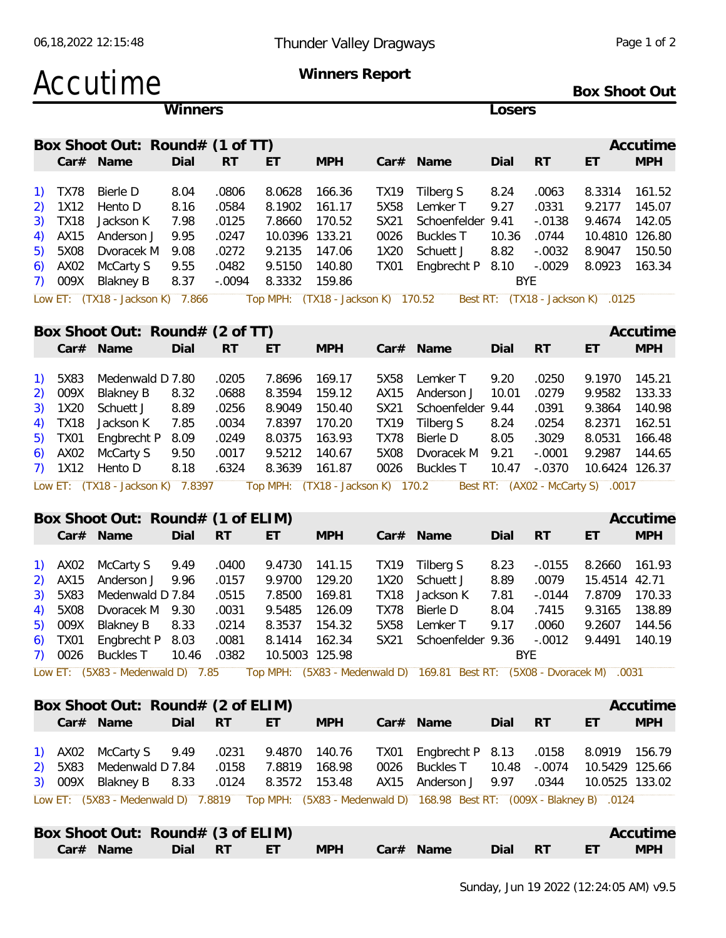# Accutime **Winners Report**

**Box Shoot Out**

|                    |                                    | <b>Winners</b> |           |                                    |            |      |                   | Losers |            |                            |            |
|--------------------|------------------------------------|----------------|-----------|------------------------------------|------------|------|-------------------|--------|------------|----------------------------|------------|
|                    | Box Shoot Out: Round# (1 of TT)    |                |           |                                    |            |      |                   |        |            |                            | Accutime   |
|                    | Car# Name                          | Dial           | <b>RT</b> | ET                                 | <b>MPH</b> |      | $Car#$ Name       | Dial   | <b>RT</b>  | ET                         | <b>MPH</b> |
| TX78<br>T)         | Bierle D                           | 8.04           | .0806     | 8.0628                             | 166.36     | TX19 | Tilberg S         | 8.24   | .0063      | 8.3314 161.52              |            |
| 1X12<br>2)         | Hento D                            | 8.16           | .0584     | 8.1902                             | 161.17     | 5X58 | Lemker T          | 9.27   | .0331      | 9.2177                     | 145.07     |
| <b>TX18</b><br>3)  | Jackson K                          | 7.98           | .0125     | 7.8660                             | 170.52     | SX21 | Schoenfelder 9.41 |        | -.0138     | 9.4674 142.05              |            |
| AX15<br>4)         | Anderson J                         | 9.95           | .0247     | 10.0396 133.21                     |            | 0026 | Buckles T         | 10.36  | .0744      | 10.4810 126.80             |            |
| 5X08<br>5)         | Dvoracek M                         | 9.08           | .0272     | 9.2135                             | 147.06     | 1X20 | Schuett J         | 8.82   | $-.0032$   | 8.9047                     | 150.50     |
| AX02<br>6)         | McCarty S                          | 9.55           | .0482     | 9.5150                             | 140.80     | TX01 | Engbrecht P 8.10  |        | -.0029     | 8.0923 163.34              |            |
| 009X<br>$\sqrt{ }$ | Blakney B                          | 8.37           | $-.0094$  | 8.3332                             | 159.86     |      |                   |        | <b>BYE</b> |                            |            |
|                    | Low ET: $(TX18 - Jackson K)$ 7.866 |                |           | Top MPH: (TX18 - Jackson K) 170.52 |            |      | Best RT:          |        |            | $(TX18 - Jackson K)$ .0125 |            |

|         | Box Shoot Out: $Round# (2 of TT)$ |      |           |        |            |      |                                                                                                       |       |           |                | Accutime   |
|---------|-----------------------------------|------|-----------|--------|------------|------|-------------------------------------------------------------------------------------------------------|-------|-----------|----------------|------------|
|         | Car# Name                         | Dial | <b>RT</b> | ET     | <b>MPH</b> |      | $Car#$ Name                                                                                           | Dial  | <b>RT</b> | ET             | <b>MPH</b> |
| 1) 5X83 | Medenwald D 7.80                  |      | .0205     | 7.8696 | 169.17     | 5X58 | Lemker T                                                                                              | 9.20  | .0250     | 9.1970         | 145.21     |
|         | 2) 009X Blakney B                 | 8.32 | .0688     | 8.3594 | 159.12     |      | AX15 Anderson J                                                                                       | 10.01 | .0279     | 9.9582         | 133.33     |
|         | 3) 1X20 Schuett J                 | 8.89 | .0256     | 8.9049 | 150.40     |      | SX21 Schoenfelder 9.44                                                                                |       | .0391     | 9.3864         | 140.98     |
|         | 4) TX18 Jackson K                 | 7.85 | .0034     | 7.8397 | 170.20     | TX19 | Tilberg S                                                                                             | 8.24  | .0254     | 8.2371         | 162.51     |
|         | 5) TX01 Engbrecht P 8.09          |      | .0249     | 8.0375 | 163.93     | TX78 | Bierle D                                                                                              | 8.05  | .3029     | 8.0531         | 166.48     |
|         | 6) AX02 McCarty S                 | 9.50 | .0017     | 9.5212 | 140.67     |      | 5X08 Dvoracek M 9.21                                                                                  |       | $-.0001$  | 9.2987         | 144.65     |
|         | 7) 1X12 Hento D                   | 8.18 | .6324     | 8.3639 | 161.87     | 0026 | Buckles T                                                                                             | 10.47 | -.0370    | 10.6424 126.37 |            |
|         |                                   |      |           |        |            |      | Low ET: (TX18 - Jackson K) 7.8397 Top MPH: (TX18 - Jackson K) 170.2 Best RT: (AX02 - McCarty S) .0017 |       |           |                |            |

| <b>MPH</b><br>Dial<br>ET<br>Car# Name<br><b>MPH</b><br>-RT<br>- RT<br>ET<br>Dial<br>$Car#$ Name<br>Tilberg S<br>.0400<br>9.4730<br>141.15<br>TX19<br>8.23<br>8.2660 161.93<br>-.0155 |
|--------------------------------------------------------------------------------------------------------------------------------------------------------------------------------------|
| 1) AX02 McCarty S 9.49                                                                                                                                                               |
|                                                                                                                                                                                      |
| 2) AX15 Anderson J 9.96<br>9.9700<br>129.20<br>1X20 Schuett J<br>.0157<br>8.89<br>.0079<br>15.4514 42.71                                                                             |
| 3) 5X83 Medenwald D 7.84<br>7.8500<br>169.81<br>.0515<br>TX18 Jackson K<br>7.81<br>-.0144<br>170.33<br>7.8709                                                                        |
| 4) 5X08 Dvoracek M 9.30<br>.0031<br>9.5485 126.09<br>TX78<br>Bierle D<br>8.04<br>.7415<br>9.3165<br>138.89                                                                           |
| 8.3537 154.32<br>5) 009X Blakney B 8.33<br>.0214<br>9.17<br>.0060<br>9.2607<br>5X58<br>Lemker T<br>144.56                                                                            |
| 6) TX01 Engbrecht P 8.03<br>8.1414 162.34<br>SX21 Schoenfelder 9.36<br>.0081<br>$-.0012$<br>9.4491<br>140.19                                                                         |
| 7) 0026 Buckles T<br>.0382<br>10.5003 125.98<br>10.46<br><b>BYE</b>                                                                                                                  |

Low ET: (5X83 - Medenwald D) 7.85 Top MPH: (5X83 - Medenwald D) 169.81 Best RT: (5X08 - Dvoracek M) .0031

|  | Box Shoot Out: Round# (2 of ELIM)                                                                          |            |            |                                               |         |    | Accutime   |
|--|------------------------------------------------------------------------------------------------------------|------------|------------|-----------------------------------------------|---------|----|------------|
|  | Car# Name                                                                                                  | Dial RT ET | <b>MPH</b> | Car# Name                                     | Dial RT | ET | <b>MPH</b> |
|  | 1) AX02 McCarty S 9.49 .0231 9.4870 140.76 TX01 Engbrecht P 8.13 .0158 8.0919 156.79                       |            |            |                                               |         |    |            |
|  | 2) 5X83 Medenwald D 7.84 .0158 7.8819 168.98                                                               |            |            | 0026 Buckles T  10.48 -.0074  10.5429  125.66 |         |    |            |
|  | 3) 009X Blakney B 8.33 .0124 8.3572 153.48 AX15 Anderson J 9.97 .0344 10.0525 133.02                       |            |            |                                               |         |    |            |
|  | Low ET: (5X83 - Medenwald D) 7.8819 Top MPH: (5X83 - Medenwald D) 168.98 Best RT: (009X - Blakney B) .0124 |            |            |                                               |         |    |            |

| Box Shoot Out: Round# (3 of ELIM) |      |           |            |              |      |           |   | Accutime   |  |
|-----------------------------------|------|-----------|------------|--------------|------|-----------|---|------------|--|
| Car# Name                         | Dial | <b>RT</b> | <b>MPH</b> | Car#<br>Name | Dial | <b>RT</b> | ᇊ | <b>MPH</b> |  |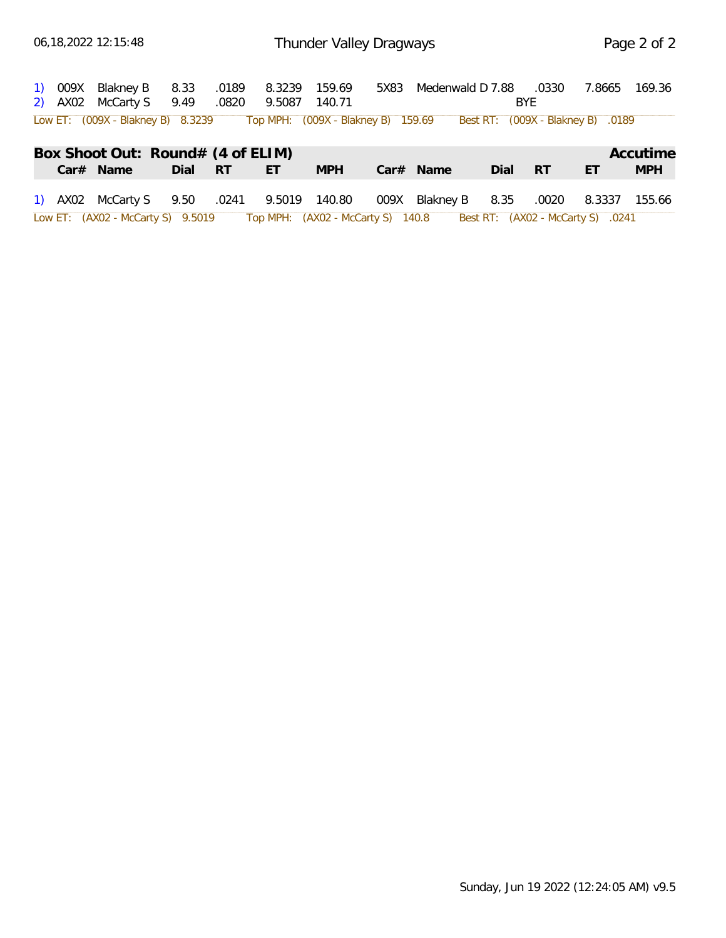|  | 1) 009X Blakney B<br>2) AX02 McCarty S 9.49 .0820                    | 8.33    | .0189 | 8.3239 159.69<br>9.5087 | 140.71                            | 5X83 Medenwald D 7.88 |      | .0330<br><b>BYF</b>               | 7.8665 | 169.36     |
|--|----------------------------------------------------------------------|---------|-------|-------------------------|-----------------------------------|-----------------------|------|-----------------------------------|--------|------------|
|  | Low ET: (009X - Blakney B) 8.3239 Top MPH: (009X - Blakney B) 159.69 |         |       |                         |                                   |                       |      | Best RT: (009X - Blakney B) .0189 |        |            |
|  | Box Shoot Out: Round# (4 of ELIM)                                    |         |       |                         |                                   |                       |      |                                   |        | Accutime   |
|  | Car# Name                                                            | Dial RT |       | ET                      | <b>MPH</b>                        | Car# Name             | Dial | RT                                | ET     | <b>MPH</b> |
|  | 1) AX02 McCarty S 9.50                                               |         | .0241 | 9.5019 140.80           |                                   | 009X Blakney B        | 8.35 | .0020                             | 8.3337 | 155.66     |
|  | Low ET: (AX02 - McCarty S) 9.5019                                    |         |       |                         | Top MPH: (AX02 - McCarty S) 140.8 |                       |      | Best RT: (AX02 - McCarty S) .0241 |        |            |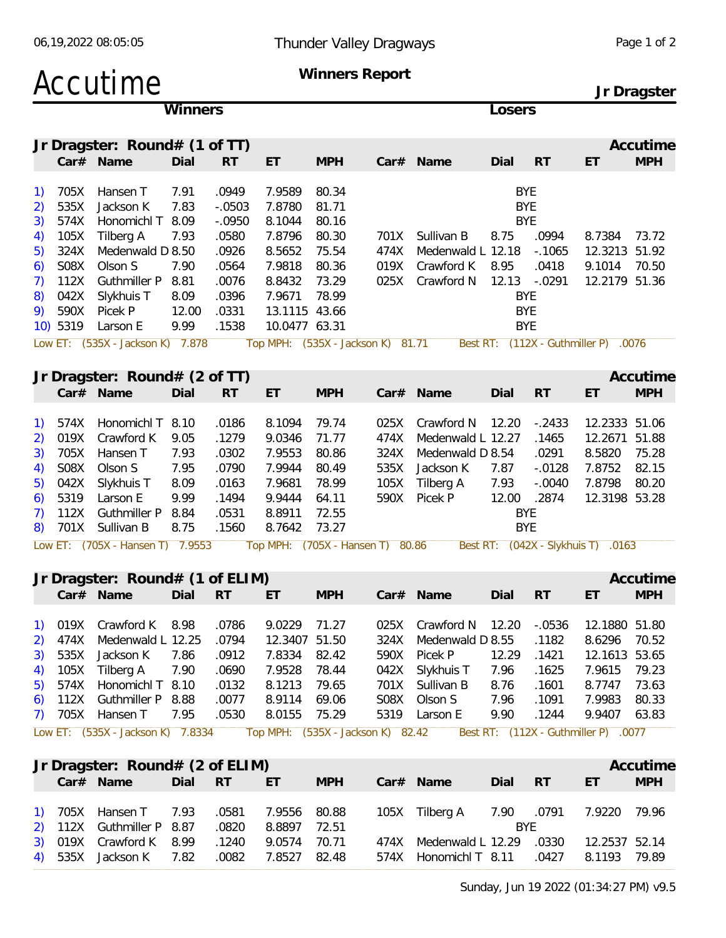|                                                       |                                                  | Accutime                                                                              |                               |                                                    |                                                                        |                                  | Winners Report       | Jr Dragster                                   |                                                         |                                |                                          |                         |  |
|-------------------------------------------------------|--------------------------------------------------|---------------------------------------------------------------------------------------|-------------------------------|----------------------------------------------------|------------------------------------------------------------------------|----------------------------------|----------------------|-----------------------------------------------|---------------------------------------------------------|--------------------------------|------------------------------------------|-------------------------|--|
|                                                       |                                                  |                                                                                       | Winners                       |                                                    |                                                                        |                                  |                      |                                               | Losers                                                  |                                |                                          |                         |  |
|                                                       |                                                  | Jr Dragster: Round# $(1$ of TT)<br>Car# Name                                          | Dial                          | <b>RT</b>                                          | ET                                                                     | <b>MPH</b>                       |                      | Car# Name                                     | Dial                                                    | <b>RT</b>                      | ET                                       | Accutime<br><b>MPH</b>  |  |
| 1)<br>2)<br>3)<br>4)                                  | 705X<br>535X<br>574X<br>105X                     | Hansen T<br>Jackson K<br>Honomichl T 8.09<br>Tilberg A                                | 7.91<br>7.83<br>7.93          | .0949<br>$-.0503$<br>$-.0950$<br>.0580             | 7.9589<br>7.8780<br>8.1044<br>7.8796                                   | 80.34<br>81.71<br>80.16<br>80.30 | 701X                 | Sullivan B                                    | <b>BYE</b><br><b>BYE</b><br><b>BYE</b><br>8.75          | .0994                          | 8.7384                                   | 73.72                   |  |
| 5)<br>6)<br>7)<br>8)<br>9)                            | 324X<br>S08X<br>112X<br>042X<br>590X<br>10) 5319 | Medenwald D 8.50<br>Olson S<br>Guthmiller P 8.81<br>Slykhuis T<br>Picek P<br>Larson E | 7.90<br>8.09<br>12.00<br>9.99 | .0926<br>.0564<br>.0076<br>.0396<br>.0331<br>.1538 | 8.5652<br>7.9818<br>8.8432<br>7.9671<br>13.1115 43.66<br>10.0477 63.31 | 75.54<br>80.36<br>73.29<br>78.99 | 474X<br>019X<br>025X | Medenwald L 12.18<br>Crawford K<br>Crawford N | 8.95<br>12.13<br><b>BYE</b><br><b>BYE</b><br><b>BYE</b> | $-0.1065$<br>.0418<br>$-.0291$ | 12.3213 51.92<br>9.1014<br>12.2179 51.36 | 70.50                   |  |
|                                                       |                                                  | Low ET: (535X - Jackson K) 7.878                                                      |                               |                                                    | Top MPH: (535X - Jackson K) 81.71                                      |                                  |                      |                                               |                                                         |                                | Best RT: (112X - Guthmiller P) .0076     |                         |  |
|                                                       |                                                  | Jr Dragster: Round# (2 of TT)<br>Car# Name                                            | Dial                          | <b>RT</b>                                          | ET                                                                     | <b>MPH</b>                       |                      | Car# Name                                     | Dial                                                    | <b>RT</b>                      | ET                                       | Accutime<br><b>MPH</b>  |  |
| 1)<br>2)                                              | 574X<br>019X                                     | Honomichl T<br>Crawford K                                                             | 8.10<br>9.05                  | .0186<br>.1279                                     | 8.1094<br>9.0346                                                       | 79.74<br>71.77                   | 025X<br>474X         | Crawford N<br>Medenwald L 12.27               | 12.20                                                   | $-.2433$<br>.1465              | 12.2333 51.06<br>12.2671 51.88           |                         |  |
| 3)<br>4)<br>5)                                        | 705X<br>S08X<br>042X                             | Hansen T<br>Olson S<br>Slykhuis T                                                     | 7.93<br>7.95<br>8.09          | .0302<br>.0790<br>.0163                            | 7.9553<br>7.9944<br>7.9681                                             | 80.86<br>80.49<br>78.99          | 324X<br>535X<br>105X | Medenwald D 8.54<br>Jackson K<br>Tilberg A    | 7.87<br>7.93                                            | .0291<br>$-.0128$<br>$-.0040$  | 8.5820<br>7.8752<br>7.8798               | 75.28<br>82.15<br>80.20 |  |
| 6)<br>7)<br>8)                                        | 5319<br>112X<br>701X                             | Larson E<br>Guthmiller P 8.84<br>Sullivan B                                           | 9.99<br>8.75                  | .1494<br>.0531<br>.1560                            | 9.9444<br>8.8911<br>8.7642                                             | 64.11<br>72.55<br>73.27          | 590X                 | Picek P                                       | 12.00<br><b>BYE</b><br><b>BYE</b>                       | .2874                          | 12.3198 53.28                            |                         |  |
|                                                       |                                                  | Low ET: (705X - Hansen T) 7.9553                                                      |                               |                                                    | Top MPH: (705X - Hansen T) 80.86                                       |                                  |                      |                                               |                                                         |                                | Best RT: (042X - Slykhuis T) .0163       |                         |  |
|                                                       |                                                  | Jr Dragster: Round# (1 of ELIM)                                                       |                               |                                                    |                                                                        |                                  |                      |                                               |                                                         |                                |                                          | Accutime                |  |
|                                                       |                                                  | Car# Name                                                                             | Dial                          | RT RT                                              | ET                                                                     | <b>MPH</b>                       |                      | $Car#$ Name                                   | Dial                                                    | <b>RT</b>                      | ET                                       | <b>MPH</b>              |  |
| 2)                                                    | 1) 019X<br>474X                                  | Crawford K<br>Medenwald L 12.25                                                       | 8.98                          | .0786<br>.0794                                     | 9.0229<br>12.3407 51.50                                                | 71.27                            | 025X<br>324X         | Crawford N 12.20<br>Medenwald D 8.55          |                                                         | $-.0536$<br>.1182              | 12.1880 51.80<br>8.6296                  | 70.52                   |  |
| 3)<br>4)<br>$\left(5\right)$                          | 535X<br>105X<br>574X                             | Jackson K<br>Tilberg A<br>Honomichl T 8.10                                            | 7.86<br>7.90                  | .0912<br>.0690<br>.0132                            | 7.8334<br>7.9528<br>8.1213                                             | 82.42<br>78.44<br>79.65          | 590X<br>042X<br>701X | Picek P<br>Slykhuis T<br>Sullivan B           | 12.29<br>7.96<br>8.76                                   | .1421<br>.1625<br>.1601        | 12.1613 53.65<br>7.9615<br>8.7747        | 79.23<br>73.63          |  |
| 6)<br>7)                                              | 112X<br>705X                                     | Guthmiller P 8.88<br>Hansen T                                                         | 7.95                          | .0077<br>.0530                                     | 8.9114<br>8.0155                                                       | 69.06<br>75.29                   | S08X<br>5319         | Olson S<br>Larson E                           | 7.96<br>9.90                                            | .1091<br>.1244                 | 7.9983<br>9.9407                         | 80.33<br>63.83          |  |
|                                                       |                                                  | Low ET: (535X - Jackson K) 7.8334                                                     |                               |                                                    | Top MPH: (535X - Jackson K) 82.42                                      |                                  |                      |                                               |                                                         |                                | Best RT: (112X - Guthmiller P) .0077     |                         |  |
|                                                       |                                                  | Jr Dragster: Round# (2 of ELIM)<br>Car# Name                                          | Dial                          | <b>RT</b>                                          | ET                                                                     | <b>MPH</b>                       |                      | Car# Name                                     | Dial                                                    | <b>RT</b>                      | ET                                       | Accutime<br><b>MPH</b>  |  |
| $\left( \begin{array}{c} 1 \end{array} \right)$<br>2) | 705X<br>112X                                     | Hansen T<br><b>Guthmiller P</b>                                                       | 7.93<br>8.87                  | .0581<br>.0820                                     | 7.9556<br>8.8897                                                       | 80.88<br>72.51                   |                      | 105X Tilberg A                                | 7.90<br><b>BYE</b>                                      | .0791                          | 7.9220                                   | 79.96                   |  |
| 3)<br>4)                                              | 019X<br>535X                                     | Crawford K<br>Jackson K                                                               | 8.99<br>7.82                  | .1240<br>.0082                                     | 9.0574<br>7.8527                                                       | 70.71<br>82.48                   | 474X<br>574X         | Medenwald L 12.29<br>Honomichl T 8.11         |                                                         | .0330<br>.0427                 | 12.2537 52.14<br>8.1193 79.89            |                         |  |

| 06,19,2022 08:05:05 | Thunder Valley Dragways | Page 1 of 2 |
|---------------------|-------------------------|-------------|
|                     |                         |             |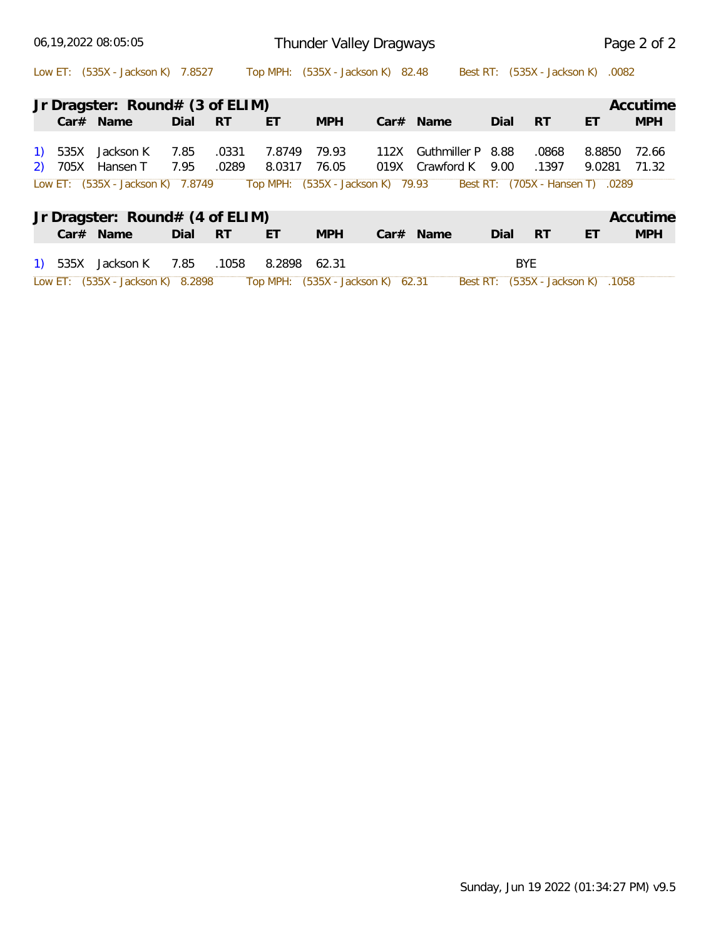|         | 06,19,2022 08:05:05               |      |           | Thunder Valley Dragways |                                   | Page 2 of 2 |                      |      |            |                                   |            |
|---------|-----------------------------------|------|-----------|-------------------------|-----------------------------------|-------------|----------------------|------|------------|-----------------------------------|------------|
|         | Low ET: (535X - Jackson K) 7.8527 |      |           |                         | Top MPH: (535X - Jackson K) 82.48 |             |                      |      |            | Best RT: (535X - Jackson K) .0082 |            |
|         | Jr Dragster: Round# (3 of ELIM)   |      |           |                         |                                   |             |                      |      |            |                                   | Accutime   |
|         | $Car#$ Name                       | Dial | RT        | ET                      | <b>MPH</b>                        |             | Car# Name            | Dial | <b>RT</b>  | ET                                | <b>MPH</b> |
|         | 1) 535X Jackson K                 | 7.85 | .0331     | 7.8749                  | 79.93                             | 112X        | Guthmiller P 8.88    |      | .0868      | 8.8850                            | 72.66      |
|         | 2) 705X Hansen T                  | 7.95 | .0289     | 8.0317                  | 76.05                             |             | 019X Crawford K 9.00 |      | .1397      | 9.0281                            | 71.32      |
|         | Low ET: (535X - Jackson K) 7.8749 |      |           |                         | Top MPH: (535X - Jackson K) 79.93 |             |                      |      |            | Best RT: (705X - Hansen T) .0289  |            |
|         | Jr Dragster: Round# (4 of ELIM)   |      |           |                         |                                   |             |                      |      |            |                                   | Accutime   |
|         | $Car#$ Name                       | Dial | <b>RT</b> | ET                      | <b>MPH</b>                        |             | Car# Name            | Dial | <b>RT</b>  | ET                                | <b>MPH</b> |
| 1) 535X | Jackson K                         | 7.85 | .1058     | 8.2898 62.31            |                                   |             |                      |      | <b>BYE</b> |                                   |            |
|         | Low ET: (535X - Jackson K) 8.2898 |      |           |                         | Top MPH: (535X - Jackson K) 62.31 |             |                      |      |            | Best RT: (535X - Jackson K) .1058 |            |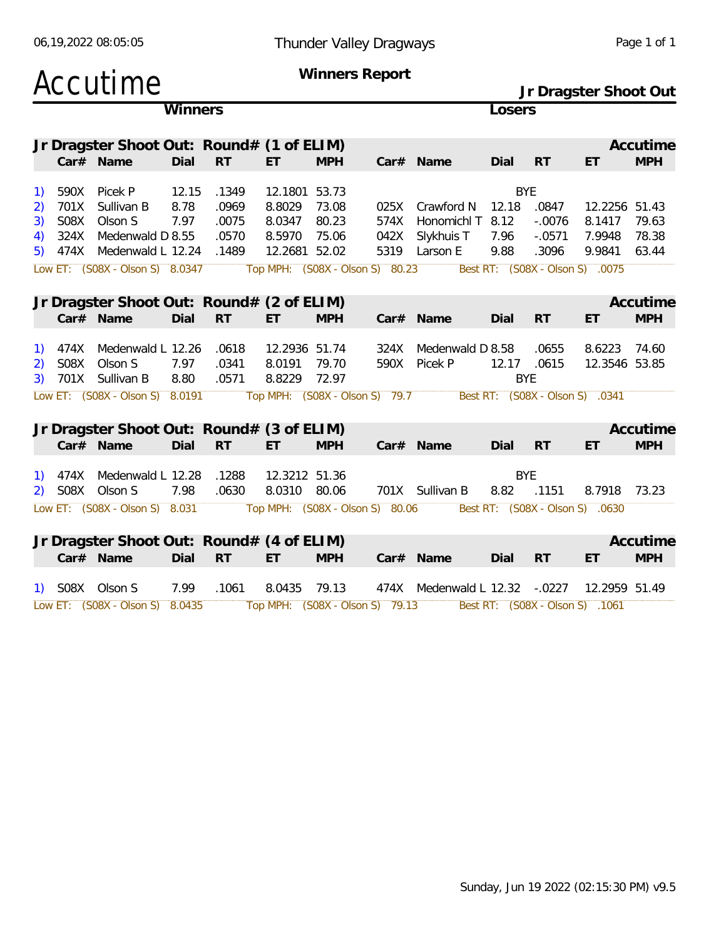|  | 06,19,2022 08:05:05 |
|--|---------------------|
|  |                     |

#### 06,19,2022 08:05:05 Thunder Valley Dragways Page 1 of 1

|              |         | Accutime                                  |         |           |               |            | Winners Report                  |                               |            |            | Jr Dragster Shoot Out           |            |
|--------------|---------|-------------------------------------------|---------|-----------|---------------|------------|---------------------------------|-------------------------------|------------|------------|---------------------------------|------------|
|              |         |                                           | Winners |           |               |            |                                 |                               | Losers     |            |                                 |            |
|              |         | Jr Dragster Shoot Out: Round# (1 of ELIM) |         |           |               |            |                                 |                               |            |            |                                 | Accutime   |
|              |         | Car# Name                                 | Dial    | RT        | ET            | <b>MPH</b> |                                 | Car# Name                     | Dial       | <b>RT</b>  | ET                              | <b>MPH</b> |
| <sup>1</sup> | 590X    | Picek P                                   | 12.15   | .1349     | 12.1801 53.73 |            |                                 |                               |            | <b>BYE</b> |                                 |            |
| 2)           | 701X    | Sullivan B                                | 8.78    | .0969     | 8.8029        | 73.08      | 025X                            | Crawford N                    | 12.18      | .0847      | 12.2256 51.43                   |            |
| 3)           | S08X    | Olson S                                   | 7.97    | .0075     | 8.0347        | 80.23      | 574X                            | Honomichl T 8.12              |            | $-.0076$   | 8.1417                          | 79.63      |
| 4)           | 324X    | Medenwald D 8.55                          |         | .0570     | 8.5970        | 75.06      | 042X                            | Slykhuis T                    | 7.96       | $-.0571$   | 7.9948                          | 78.38      |
| 5)           |         | 474X Medenwald L 12.24                    |         | .1489     | 12.2681 52.02 |            |                                 | 5319 Larson E                 | 9.88       | .3096      | 9.9841                          | 63.44      |
|              |         | Low ET: (S08X - Olson S) 8.0347           |         |           |               |            | Top MPH: (S08X - Olson S) 80.23 |                               |            |            | Best RT: (S08X - Olson S) .0075 |            |
|              |         |                                           |         |           |               |            |                                 |                               |            |            |                                 |            |
|              |         | Jr Dragster Shoot Out: Round# (2 of ELIM) |         |           |               |            |                                 |                               |            |            |                                 | Accutime   |
|              |         | Car# Name                                 | Dial    | <b>RT</b> | ET.           | <b>MPH</b> |                                 | Car# Name                     | Dial       | <b>RT</b>  | ET                              | <b>MPH</b> |
| 1)           | 474X    | Medenwald L 12.26                         |         | .0618     | 12.2936 51.74 |            | 324X                            | Medenwald D 8.58              |            | .0655      | 8.6223                          | 74.60      |
| 2)           | S08X    | Olson S                                   | 7.97    | .0341     | 8.0191 79.70  |            | 590X                            | Picek P                       | 12.17      | .0615      | 12.3546 53.85                   |            |
| 3)           |         | 701X Sullivan B                           | 8.80    | .0571     | 8.8229        | 72.97      |                                 |                               | <b>BYE</b> |            |                                 |            |
|              |         | Low ET: (S08X - Olson S) 8.0191           |         |           |               |            | Top MPH: (S08X - Olson S) 79.7  |                               |            |            | Best RT: (S08X - Olson S) .0341 |            |
|              |         | Jr Dragster Shoot Out: Round# (3 of ELIM) |         |           |               |            |                                 |                               |            |            |                                 | Accutime   |
|              |         | Car# Name                                 | Dial    | <b>RT</b> | ET            | <b>MPH</b> |                                 | Car# Name                     | Dial       | <b>RT</b>  | ET                              | <b>MPH</b> |
|              | 474X    | Medenwald L 12.28                         |         | .1288     | 12.3212 51.36 |            |                                 |                               | <b>BYE</b> |            |                                 |            |
|              | 2) S08X | Olson S                                   | 7.98    | .0630     | 8.0310 80.06  |            |                                 | 701X Sullivan B               | 8.82       | .1151      | 8.7918                          | 73.23      |
|              |         | Low ET: (S08X - Olson S) 8.031            |         |           |               |            | Top MPH: (S08X - Olson S) 80.06 |                               |            |            | Best RT: (S08X - Olson S) .0630 |            |
|              |         |                                           |         |           |               |            |                                 |                               |            |            |                                 |            |
|              |         | Jr Dragster Shoot Out: Round# (4 of ELIM) |         |           |               |            |                                 |                               |            |            |                                 | Accutime   |
|              |         | Car# Name                                 | Dial    | <b>RT</b> | ET.           | <b>MPH</b> |                                 | Car# Name                     | Dial       | <b>RT</b>  | ET                              | <b>MPH</b> |
|              |         | 1) SO8X Olson S                           | 7.99    | .1061     | 8.0435        | 79.13      |                                 | 474X Medenwald L 12.32 -.0227 |            |            | 12.2959 51.49                   |            |
|              |         | Low ET: (S08X - Olson S) 8.0435           |         |           |               |            | Top MPH: (S08X - Olson S) 79.13 |                               |            |            | Best RT: (S08X - Olson S) .1061 |            |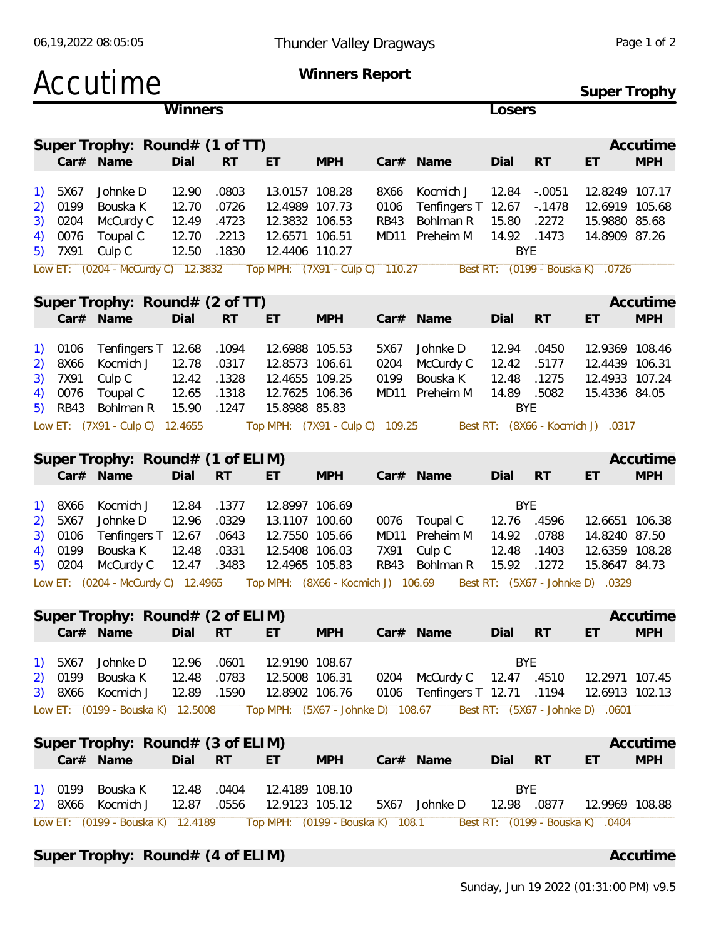| Accutime                                                                                                                                                                      |                                           |                                           | <b>Winners Report</b>                                                                  | Super Trophy                       |                                     |                                                             |                                                |                                                                       |                                                                                                        |                        |
|-------------------------------------------------------------------------------------------------------------------------------------------------------------------------------|-------------------------------------------|-------------------------------------------|----------------------------------------------------------------------------------------|------------------------------------|-------------------------------------|-------------------------------------------------------------|------------------------------------------------|-----------------------------------------------------------------------|--------------------------------------------------------------------------------------------------------|------------------------|
|                                                                                                                                                                               | Winners                                   |                                           |                                                                                        |                                    |                                     |                                                             | Losers                                         |                                                                       |                                                                                                        |                        |
| Super Trophy: Round# (1 of TT)<br>Car# Name                                                                                                                                   | Dial                                      | <b>RT</b>                                 | ET                                                                                     | <b>MPH</b>                         |                                     | Car# Name                                                   | Dial                                           | <b>RT</b>                                                             | ET                                                                                                     | Accutime<br><b>MPH</b> |
| Johnke D<br>5X67<br>1)<br>0199<br>Bouska K<br>2)<br>0204<br>McCurdy C<br>3)<br>0076<br>Toupal C<br>4)<br>7X91<br>Culp C<br>5)<br>Low ET: (0204 - McCurdy C) 12.3832           | 12.90<br>12.70<br>12.49<br>12.70<br>12.50 | .0803<br>.0726<br>.4723<br>.2213<br>.1830 | 13.0157 108.28<br>12.4989 107.73<br>12.3832 106.53<br>12.6571 106.51<br>12.4406 110.27 | Top MPH: (7X91 - Culp C) 110.27    | 8X66<br>0106<br><b>RB43</b><br>MD11 | Kocmich J<br>Tenfingers T<br>Bohlman R<br>Preheim M         | 12.84<br>12.67<br>15.80<br>14.92<br><b>BYE</b> | $-.0051$<br>$-0.1478$<br>.2272<br>.1473<br>Best RT: (0199 - Bouska K) | 12.8249 107.17<br>12.6919 105.68<br>15.9880 85.68<br>14.8909 87.26<br>.0726                            |                        |
| Super Trophy: Round# (2 of TT)                                                                                                                                                |                                           |                                           |                                                                                        |                                    |                                     |                                                             |                                                |                                                                       |                                                                                                        | Accutime               |
| Car# Name                                                                                                                                                                     | Dial                                      | <b>RT</b>                                 | ET                                                                                     | <b>MPH</b>                         |                                     | Car# Name                                                   | Dial                                           | <b>RT</b>                                                             | ET                                                                                                     | <b>MPH</b>             |
| 0106<br>Tenfingers T<br>1)<br>8X66<br>Kocmich J<br>2)<br>7X91<br>Culp C<br>3)<br>0076<br>Toupal C<br>4)<br><b>RB43</b><br>Bohlman R<br>5)                                     | 12.68<br>12.78<br>12.42<br>12.65<br>15.90 | .1094<br>.0317<br>.1328<br>.1318<br>.1247 | 12.6988 105.53<br>12.8573 106.61<br>12.4655 109.25<br>12.7625 106.36<br>15.8988 85.83  |                                    | 5X67<br>0204<br>0199<br>MD11        | Johnke D<br>McCurdy C<br>Bouska K<br>Preheim M              | 12.94<br>12.42<br>12.48<br>14.89<br><b>BYE</b> | .0450<br>.5177<br>.1275<br>.5082                                      | 12.9369 108.46<br>12.4439 106.31<br>12.4933 107.24<br>15.4336 84.05                                    |                        |
| Low ET: (7X91 - Culp C) 12.4655                                                                                                                                               |                                           |                                           |                                                                                        | Top MPH: (7X91 - Culp C)           | 109.25                              |                                                             |                                                |                                                                       | Best RT: (8X66 - Kocmich J) .0317                                                                      |                        |
| Super Trophy: Round# (1 of ELIM)                                                                                                                                              |                                           |                                           |                                                                                        |                                    |                                     |                                                             |                                                |                                                                       |                                                                                                        | Accutime               |
| Car# Name                                                                                                                                                                     | Dial                                      | <b>RT</b>                                 | ET                                                                                     | <b>MPH</b>                         |                                     | Car# Name                                                   | Dial                                           | <b>RT</b>                                                             | ET                                                                                                     | <b>MPH</b>             |
| 8X66<br>Kocmich J<br>1)<br>Johnke D<br>5X67<br>2)<br>0106<br>Tenfingers T<br>3)<br>0199<br>Bouska K<br>4)<br>0204<br>McCurdy C<br>5)<br>(0204 - McCurdy C) 12.4965<br>Low ET: | 12.84<br>12.96<br>12.67<br>12.48<br>12.47 | .1377<br>.0329<br>.0643<br>.0331<br>.3483 | 12.8997 106.69<br>13.1107 100.60<br>12.7550 105.66<br>12.5408 106.03<br>12.4965 105.83 | Top MPH: (8X66 - Kocmich J) 106.69 | 0076<br>MD11<br>7X91<br><b>RB43</b> | Toupal C<br>Preheim M<br>Culp C<br>Bohlman R                | <b>BYE</b><br>12.76<br>14.92<br>12.48<br>15.92 | .4596<br>.0788<br>.1403<br>.1272                                      | 12.6651 106.38<br>14.8240 87.50<br>12.6359 108.28<br>15.8647 84.73<br>Best RT: (5X67 - Johnke D) .0329 |                        |
| Super Trophy: Round# (2 of ELIM)                                                                                                                                              |                                           |                                           |                                                                                        |                                    |                                     |                                                             |                                                |                                                                       |                                                                                                        | Accutime               |
| Car# Name                                                                                                                                                                     | Dial RT                                   |                                           | ET.                                                                                    | <b>MPH</b>                         |                                     | Car# Name                                                   | Dial                                           | <b>RT</b>                                                             | ET.                                                                                                    | <b>MPH</b>             |
| Johnke D<br>5X67<br>1)<br>0199<br>Bouska K<br>2)<br>8X66 Kocmich J<br>3)                                                                                                      | 12.96<br>12.48<br>12.89                   | .0601<br>.0783<br>.1590                   | 12.9190 108.67<br>12.5008 106.31<br>12.8902 106.76                                     |                                    |                                     | 0204 McCurdy C 12.47 .4510<br>0106 Tenfingers T 12.71 .1194 | <b>BYE</b>                                     |                                                                       | 12.2971 107.45<br>12.6913 102.13                                                                       |                        |
| Low ET: (0199 - Bouska K) 12.5008                                                                                                                                             |                                           |                                           |                                                                                        | Top MPH: (5X67 - Johnke D) 108.67  |                                     |                                                             |                                                |                                                                       | Best RT: (5X67 - Johnke D) .0601                                                                       |                        |
| Super Trophy: Round# (3 of ELIM)<br>Car# Name                                                                                                                                 | Dial                                      | <b>RT</b>                                 | ET                                                                                     | <b>MPH</b>                         |                                     | Car# Name                                                   | Dial                                           | <b>RT</b>                                                             | ET                                                                                                     | Accutime<br><b>MPH</b> |
| Bouska K<br>1) 0199<br>Kocmich J<br>8X66<br>2)<br>Low ET: (0199 - Bouska K) 12.4189                                                                                           | 12.48<br>12.87                            | .0404<br>.0556                            | 12.4189 108.10<br>12.9123 105.12                                                       | Top MPH: (0199 - Bouska K) 108.1   |                                     | 5X67 Johnke D                                               | <b>BYE</b><br>12.98 .0877                      |                                                                       | 12.9969 108.88<br>Best RT: (0199 - Bouska K) .0404                                                     |                        |

Super Trophy: Round# (4 of ELIM) **Accutime** Accutime

06,19,2022 08:05:05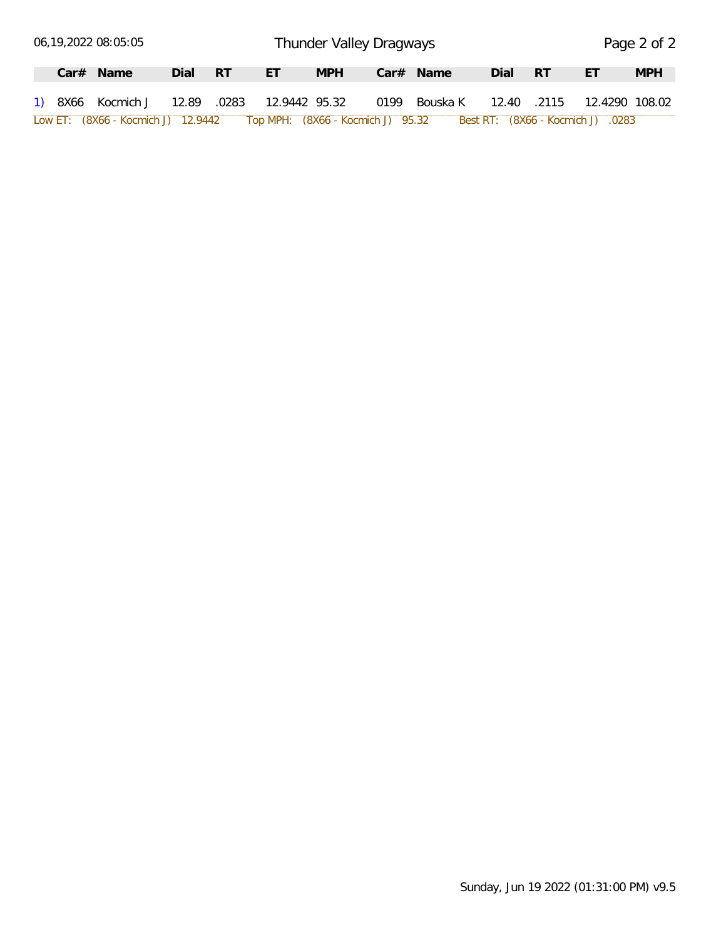|  | 06,19,2022 08:05:05                         |      |     |    |            | Thunder Valley Dragways           |             |      |             |                                   | Page 2 of 2 |
|--|---------------------------------------------|------|-----|----|------------|-----------------------------------|-------------|------|-------------|-----------------------------------|-------------|
|  | $Car#$ Name                                 | Dial | -RT | ЕT | <b>MPH</b> |                                   | $Car#$ Name | Dial | - RT        | ΕT                                | <b>MPH</b>  |
|  | 1) 8X66 Kocmich J 12.89 .0283 12.9442 95.32 |      |     |    |            | 0199                              | Bouska K    |      | 12.40 .2115 | 12.4290 108.02                    |             |
|  | Low ET: (8X66 - Kocmich J) 12.9442          |      |     |    |            | Top MPH: (8X66 - Kocmich J) 95.32 |             |      |             | Best RT: (8X66 - Kocmich J) .0283 |             |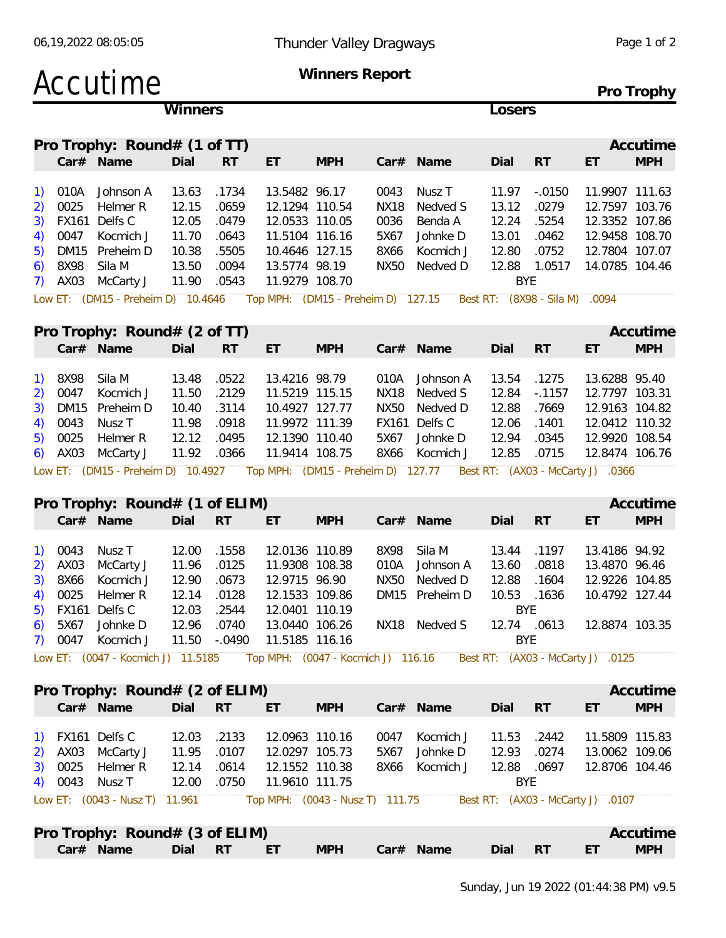# Accutime **Winners Report**

**Winners Losers**

**Pro Trophy**

| Pro Trophy: Round# (1 of TT)<br>Car# Name<br><b>RT</b><br>ET<br><b>MPH</b><br>-RT<br>Dial<br>Dial<br>$Car#$ Name<br>ET<br>.1734<br>13.5482 96.17<br>Johnson A<br>13.63<br>0043<br>Nusz T<br>11.97<br>$-.0150$<br>.0659<br>12.1294 110.54<br>Nedved S<br>12.15<br>13.12<br>NX18<br>.0279<br>12.05<br>.0479<br>12.0533 110.05<br>12.24<br>.5254<br>0036<br>Benda A |                |
|------------------------------------------------------------------------------------------------------------------------------------------------------------------------------------------------------------------------------------------------------------------------------------------------------------------------------------------------------------------|----------------|
|                                                                                                                                                                                                                                                                                                                                                                  | Accutime       |
| 1) 010A<br>2) 0025 Helmer R<br>3) FX161 Delfs C                                                                                                                                                                                                                                                                                                                  | <b>MPH</b>     |
|                                                                                                                                                                                                                                                                                                                                                                  |                |
|                                                                                                                                                                                                                                                                                                                                                                  | 11.9907 111.63 |
|                                                                                                                                                                                                                                                                                                                                                                  | 12.7597 103.76 |
|                                                                                                                                                                                                                                                                                                                                                                  | 12.3352 107.86 |
| 4) 0047 Kocmich J<br>.0643<br>11.70<br>Johnke D<br>13.01<br>.0462<br>11.5104 116.16<br>5X67                                                                                                                                                                                                                                                                      | 12.9458 108.70 |
| 5) DM15 Preheim D<br>10.38<br>.5505<br>12.80<br>.0752<br>10.4646 127.15<br>8X66<br>Kocmich J                                                                                                                                                                                                                                                                     | 12.7804 107.07 |
| 6) 8X98 Sila M<br>13.50<br>.0094<br>13.5774 98.19<br>Nedved D<br>1.0517<br>NX50<br>12.88                                                                                                                                                                                                                                                                         | 14.0785 104.46 |
| 7) AX03 McCarty J<br>11.90<br>.0543<br>BYE.<br>11.9279 108.70                                                                                                                                                                                                                                                                                                    |                |

Low ET: (DM15 - Preheim D) 10.4646 Top MPH: (DM15 - Preheim D) 127.15 Best RT: (8X98 - Sila M) .0094

|  | Pro Trophy: Round# (2 of TT)                 |             |   |                |            |                                                                                                        |              |       |                | Accutime   |
|--|----------------------------------------------|-------------|---|----------------|------------|--------------------------------------------------------------------------------------------------------|--------------|-------|----------------|------------|
|  | Car# Name                                    | Dial        | R | $-ET$          | <b>MPH</b> | Car# Name                                                                                              | Dial RT      |       | ET             | <b>MPH</b> |
|  | 1) 8X98 Sila M                               | 13.48 .0522 |   | 13.4216 98.79  |            | 010A Johnson A                                                                                         | 13.54        | .1275 | 13.6288 95.40  |            |
|  | 2) 0047 Kocmich J                            | 11.50 .2129 |   | 11.5219 115.15 |            | NX18 Nedved S                                                                                          | 12.84 - 1157 |       | 12.7797 103.31 |            |
|  | 3) DM15 Preheim D                            | 10.40 .3114 |   | 10.4927 127.77 |            | NX50 Nedved D                                                                                          | 12.88        | .7669 | 12.9163 104.82 |            |
|  | 4) 0043 Nusz T 11.98 .0918                   |             |   | 11.9972 111.39 |            | FX161 Delfs C                                                                                          | 12.06        | .1401 | 12.0412 110.32 |            |
|  | 5) 0025 Helmer R 12.12 .0495                 |             |   | 12.1390 110.40 |            | 5X67 Johnke D                                                                                          | 12.94        | .0345 | 12.9920 108.54 |            |
|  | 6) AX03 McCarty J 11.92 .0366 11.9414 108.75 |             |   |                |            | 8X66 Kocmich J                                                                                         | 12.85        | .0715 | 12.8474 106.76 |            |
|  |                                              |             |   |                |            | Low ET: (DM15 - Preheim D) 10.4927 Top MPH: (DM15 - Preheim D) 127.77 Best RT: (AX03 - McCarty J) 0366 |              |       |                |            |

|  | Pro Trophy: Round# (1 of ELIM) |             |              |                |            |      |                                                                                                         |             |       |                | Accutime   |
|--|--------------------------------|-------------|--------------|----------------|------------|------|---------------------------------------------------------------------------------------------------------|-------------|-------|----------------|------------|
|  | Car# Name                      | Dial        | <b>RT</b>    | ET             | <b>MPH</b> |      | $Car#$ Name                                                                                             | Dial        | - RT  | ET             | <b>MPH</b> |
|  | 1) 0043 Nusz T                 | 12.00       | .1558        | 12.0136 110.89 |            | 8X98 | Sila M                                                                                                  | 13.44       | .1197 | 13.4186 94.92  |            |
|  | 2) AX03 McCarty J              | 11.96 .0125 |              | 11.9308 108.38 |            |      | 010A Johnson A                                                                                          | 13.60       | .0818 | 13.4870 96.46  |            |
|  | 3) 8X66 Kocmich J              | 12.90 .0673 |              | 12.9715 96.90  |            |      | NX50 Nedved D                                                                                           | 12.88       | .1604 | 12.9226 104.85 |            |
|  | 4) 0025 Helmer R               | 12.14 .0128 |              | 12.1533 109.86 |            |      | DM15 Preheim D                                                                                          | 10.53       | .1636 | 10.4792 127.44 |            |
|  | $5)$ FX161 Delfs C             | 12.03 .2544 |              | 12.0401 110.19 |            |      |                                                                                                         | BYF.        |       |                |            |
|  | 6) 5X67 Johnke D               | 12.96       | .0740        | 13.0440 106.26 |            | NX18 | Nedved S                                                                                                | 12.74 .0613 |       | 12.8874 103.35 |            |
|  | 7) 0047 Kocmich J              |             | 11.50 -.0490 | 11.5185 116.16 |            |      |                                                                                                         | BYE         |       |                |            |
|  |                                |             |              |                |            |      | Low ET: (0047 - Kocmich J) 11.5185 Top MPH: (0047 - Kocmich J) 116.16 Best RT: (AX03 - McCarty J) .0125 |             |       |                |            |

|  | Pro Trophy: $Round# (2 of ELIM)$ |             |       |                                 |            |      |             |            |       |                                   | Accutime       |
|--|----------------------------------|-------------|-------|---------------------------------|------------|------|-------------|------------|-------|-----------------------------------|----------------|
|  | Car# Name                        | Dial RT     |       | ET                              | <b>MPH</b> |      | $Car#$ Name | Dial       | RT    | ET                                | <b>MPH</b>     |
|  | 1) FX161 Delfs C                 | 12.03       | .2133 | 12.0963 110.16                  |            | 0047 | Kocmich J   | 11.53      | .2442 | 11.5809 115.83                    |                |
|  | 2) AX03 McCarty J                | 11.95 .0107 |       | 12.0297 105.73                  |            | 5X67 | Johnke D    | 12.93      | .0274 |                                   | 13.0062 109.06 |
|  | 3) 0025 Helmer R                 | 12.14 .0614 |       | 12.1552 110.38                  |            | 8X66 | Kocmich J   | 12.88      | .0697 | 12.8706 104.46                    |                |
|  | 4) 0043 Nusz T                   | 12.00       | .0750 | 11.9610 111.75                  |            |      |             | <b>BYE</b> |       |                                   |                |
|  | Low ET: (0043 - Nusz T) 11.961   |             |       | Top MPH: (0043 - Nusz T) 111.75 |            |      |             |            |       | Best RT: (AX03 - McCarty J) .0107 |                |
|  | Pro Trophy: Round# (3 of ELIM)   |             |       |                                 |            |      |             |            |       |                                   | Accutime       |

| Car# Name | Dial | <b>RT</b> | $ -$<br>⊢.<br><u>.</u> | <b>MPH</b> | Car# Name | Dial | <b>RT</b> | $ -$ | <b>MPH</b> |
|-----------|------|-----------|------------------------|------------|-----------|------|-----------|------|------------|
|           |      |           |                        |            |           |      |           |      |            |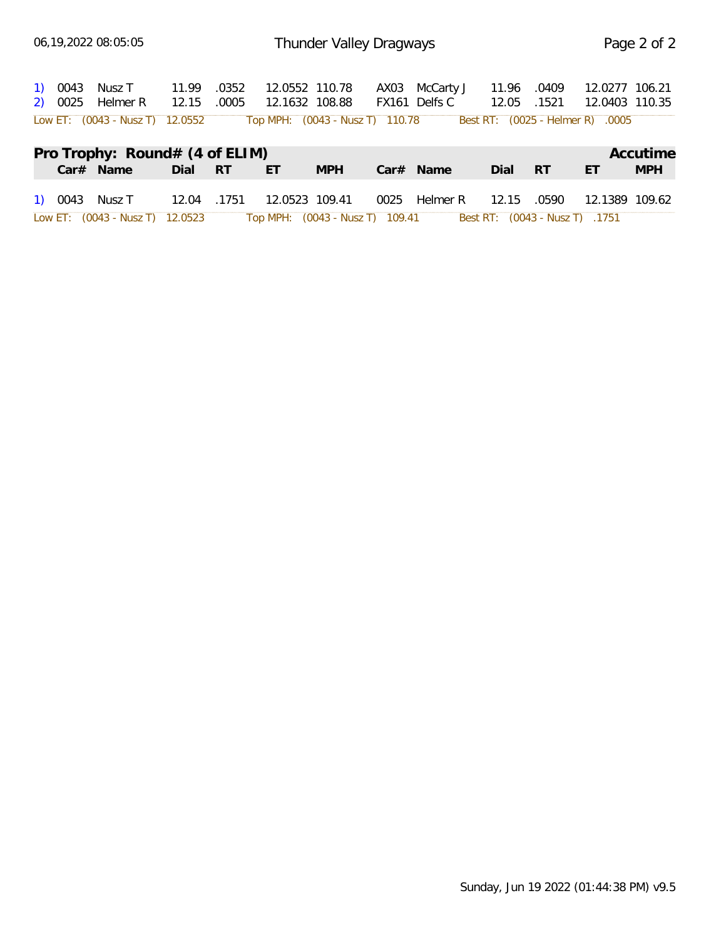| 1) 0043 Nusz T 11.99 .0352<br>2) 0025 Helmer R 12.15 .0005                                       |         | 12.0552 110.78<br>12.1632 108.88 |            | AX03 McCarty J<br>FX161 Delfs C                                | 11.96 .0409<br>12.05 | .1521 | 12.0277 106.21<br>12.0403 110.35 |            |
|--------------------------------------------------------------------------------------------------|---------|----------------------------------|------------|----------------------------------------------------------------|----------------------|-------|----------------------------------|------------|
| Low ET: (0043 - Nusz T) 12.0552 Top MPH: (0043 - Nusz T) 110.78 Best RT: (0025 - Helmer R) .0005 |         |                                  |            |                                                                |                      |       |                                  |            |
| Pro Trophy: Round# (4 of ELIM)                                                                   |         |                                  |            |                                                                |                      |       |                                  | Accutime   |
| Car# Name                                                                                        | Dial RT | ET.                              | <b>MPH</b> | Car# Name                                                      | Dial RT              |       | ET                               | <b>MPH</b> |
| 1) 0043 Nusz T 12.04 .1751                                                                       |         | 12.0523 109.41                   |            | 0025 Helmer R                                                  | 12.15                | .0590 | 12.1389 109.62                   |            |
| Low ET: (0043 - Nusz T) 12.0523                                                                  |         |                                  |            | Top MPH: (0043 - Nusz T) 109.41 Best RT: (0043 - Nusz T) .1751 |                      |       |                                  |            |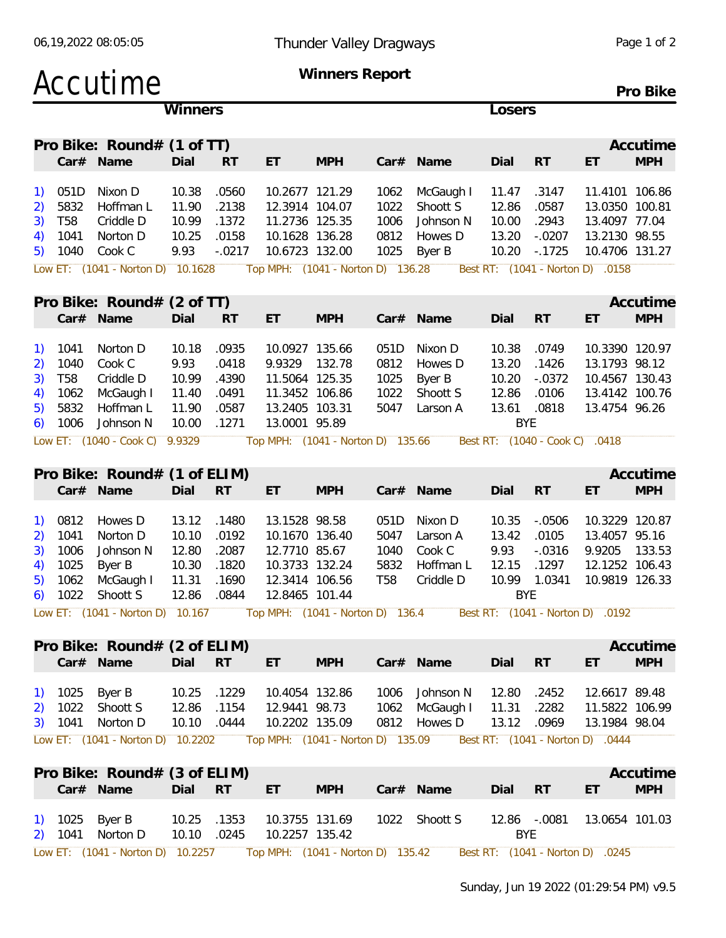|                                                                                                  | Accutime                                                                                                       |                                                                     |                                                                 |                                                                                                        | Winners Report                                            |                                            |                                                                                                                                                                |                                                                 |                                                                                |                                                                                                     | Pro Bike               |
|--------------------------------------------------------------------------------------------------|----------------------------------------------------------------------------------------------------------------|---------------------------------------------------------------------|-----------------------------------------------------------------|--------------------------------------------------------------------------------------------------------|-----------------------------------------------------------|--------------------------------------------|----------------------------------------------------------------------------------------------------------------------------------------------------------------|-----------------------------------------------------------------|--------------------------------------------------------------------------------|-----------------------------------------------------------------------------------------------------|------------------------|
|                                                                                                  |                                                                                                                | Winners                                                             |                                                                 |                                                                                                        |                                                           |                                            |                                                                                                                                                                | Losers                                                          |                                                                                |                                                                                                     |                        |
|                                                                                                  | Pro Bike: Round# (1 of TT)<br>Car# Name                                                                        | Dial                                                                | <b>RT</b>                                                       | ET                                                                                                     | <b>MPH</b>                                                |                                            | Car# Name                                                                                                                                                      | Dial                                                            | <b>RT</b>                                                                      | ET                                                                                                  | Accutime<br><b>MPH</b> |
| 051D<br><sup>1</sup><br>5832<br>2)<br><b>T58</b><br>3)<br>1041<br>4)<br>1040<br>5)               | Nixon D<br>Hoffman L<br>Criddle D<br>Norton D<br>Cook C                                                        | 10.38<br>11.90<br>10.99<br>10.25<br>9.93                            | .0560<br>.2138<br>.1372<br>.0158<br>$-.0217$                    | 10.2677 121.29<br>12.3914 104.07<br>11.2736 125.35<br>10.1628 136.28<br>10.6723 132.00                 |                                                           | 1062<br>1022<br>1006<br>0812<br>1025       | McGaugh I<br>Shoott S<br>Johnson N<br>Howes D<br>Byer B                                                                                                        | 11.47<br>12.86<br>10.00<br>13.20<br>10.20                       | .3147<br>.0587<br>.2943<br>$-.0207$<br>$-0.1725$                               | 11.4101 106.86<br>13.0350 100.81<br>13.4097 77.04<br>13.2130 98.55<br>10.4706 131.27                |                        |
|                                                                                                  | Low ET: (1041 - Norton D) 10.1628                                                                              |                                                                     |                                                                 |                                                                                                        | Top MPH: (1041 - Norton D) 136.28                         |                                            |                                                                                                                                                                |                                                                 |                                                                                | Best RT: (1041 - Norton D) .0158                                                                    |                        |
|                                                                                                  | Pro Bike: Round# (2 of TT)                                                                                     |                                                                     |                                                                 |                                                                                                        |                                                           |                                            |                                                                                                                                                                |                                                                 |                                                                                |                                                                                                     | Accutime               |
| 1041<br><sup>1</sup><br>1040<br>2)<br><b>T58</b><br>3)<br>1062<br>4)<br>5832<br>5)<br>1006<br>6) | Car# Name<br>Norton D<br>Cook C<br>Criddle D<br>McGaugh I<br>Hoffman L<br>Johnson N<br>Low ET: (1040 - Cook C) | Dial<br>10.18<br>9.93<br>10.99<br>11.40<br>11.90<br>10.00<br>9.9329 | <b>RT</b><br>.0935<br>.0418<br>.4390<br>.0491<br>.0587<br>.1271 | ET<br>10.0927 135.66<br>9.9329<br>11.5064 125.35<br>11.3452 106.86<br>13.2405 103.31<br>13.0001 95.89  | <b>MPH</b><br>132.78<br>Top MPH: (1041 - Norton D) 135.66 | 051D<br>0812<br>1025<br>1022<br>5047       | Car# Name<br>Nixon D<br>Howes D<br>Byer B<br>Shoott S<br>Larson A                                                                                              | Dial<br>10.38<br>13.20<br>10.20<br>12.86<br>13.61<br><b>BYE</b> | RT<br>.0749<br>.1426<br>$-.0372$<br>.0106<br>.0818<br>Best RT: (1040 - Cook C) | ET<br>10.3390 120.97<br>13.1793 98.12<br>10.4567 130.43<br>13.4142 100.76<br>13.4754 96.26<br>.0418 | <b>MPH</b>             |
|                                                                                                  |                                                                                                                |                                                                     |                                                                 |                                                                                                        |                                                           |                                            |                                                                                                                                                                |                                                                 |                                                                                |                                                                                                     |                        |
|                                                                                                  | Pro Bike: Round# (1 of ELIM)<br>Car# Name                                                                      | Dial                                                                | <b>RT</b>                                                       | ET                                                                                                     | <b>MPH</b>                                                |                                            | Car# Name                                                                                                                                                      | Dial                                                            | <b>RT</b>                                                                      | ET                                                                                                  | Accutime<br><b>MPH</b> |
| 0812<br><sup>1</sup><br>1041<br>2)<br>1006<br>3)<br>1025<br>4)<br>1062<br>5)<br>$6)$ 1022        | Howes D<br>Norton D<br>Johnson N<br>Byer B<br>McGaugh I<br>Shoott S                                            | 13.12<br>10.10<br>12.80<br>10.30<br>11.31<br>12.86 .0844            | .1480<br>.0192<br>.2087<br>.1820<br>.1690                       | 13.1528 98.58<br>10.1670 136.40<br>12.7710 85.67<br>10.3733 132.24<br>12.3414 106.56<br>12.8465 101.44 |                                                           | 051D<br>5047<br>1040<br>5832<br><b>T58</b> | Nixon D<br>Larson A<br>Cook C<br>Hoffman L<br>Criddle D<br>Low ET: (1041 - Norton D) 10.167 Top MPH: (1041 - Norton D) 136.4 Best RT: (1041 - Norton D) 0.0192 | 10.35<br>13.42<br>9.93<br>12.15<br>10.99<br><b>BYE</b>          | $-.0506$<br>.0105<br>$-.0316$<br>.1297<br>1.0341                               | 10.3229 120.87<br>13.4057 95.16<br>9.9205<br>12.1252 106.43<br>10.9819 126.33                       | 133.53                 |
|                                                                                                  |                                                                                                                |                                                                     |                                                                 |                                                                                                        |                                                           |                                            |                                                                                                                                                                |                                                                 |                                                                                |                                                                                                     |                        |
|                                                                                                  | Pro Bike: Round# (2 of ELIM)<br>Car# Name                                                                      | Dial RT                                                             |                                                                 | ET.                                                                                                    | <b>MPH</b>                                                |                                            | Car# Name                                                                                                                                                      | Dial                                                            | RT                                                                             | ET                                                                                                  | Accutime<br><b>MPH</b> |
| 1) 1025 Byer B<br>2)                                                                             | 1022 Shoott S<br>3) 1041 Norton D<br>Low ET: (1041 - Norton D) 10.2202                                         | 10.25 .1229<br>12.86 .1154<br>10.10 .0444                           |                                                                 | 10.4054 132.86<br>12.9441 98.73<br>10.2202 135.09                                                      |                                                           |                                            | 1006 Johnson N<br>1062 McGaugh I<br>0812 Howes D<br>Top MPH: (1041 - Norton D) 135.09  Best RT: (1041 - Norton D) .0444                                        | 12.80<br>11.31<br>13.12 .0969                                   | .2452<br>.2282                                                                 | 12.6617 89.48<br>11.5822 106.99<br>13.1984 98.04                                                    |                        |
|                                                                                                  |                                                                                                                |                                                                     |                                                                 |                                                                                                        |                                                           |                                            |                                                                                                                                                                |                                                                 |                                                                                |                                                                                                     |                        |
|                                                                                                  | Pro Bike: Round# (3 of ELIM)<br>Car# Name                                                                      | Dial RT                                                             |                                                                 | ET.                                                                                                    | <b>MPH</b>                                                |                                            | Car# Name                                                                                                                                                      | Dial RT                                                         |                                                                                | ET                                                                                                  | Accutime<br><b>MPH</b> |
| 1) 1025<br>2) 1041                                                                               | Byer B<br>Norton D                                                                                             | 10.25 .1353<br>10.10                                                | .0245                                                           | 10.3755 131.69<br>10.2257 135.42                                                                       |                                                           |                                            | 1022 Shoott S                                                                                                                                                  | BYE                                                             | 12.86 -.0081                                                                   | 13.0654 101.03                                                                                      |                        |

Low ET: (1041 - Norton D) 10.2257 Top MPH: (1041 - Norton D) 135.42 Best RT: (1041 - Norton D) .0245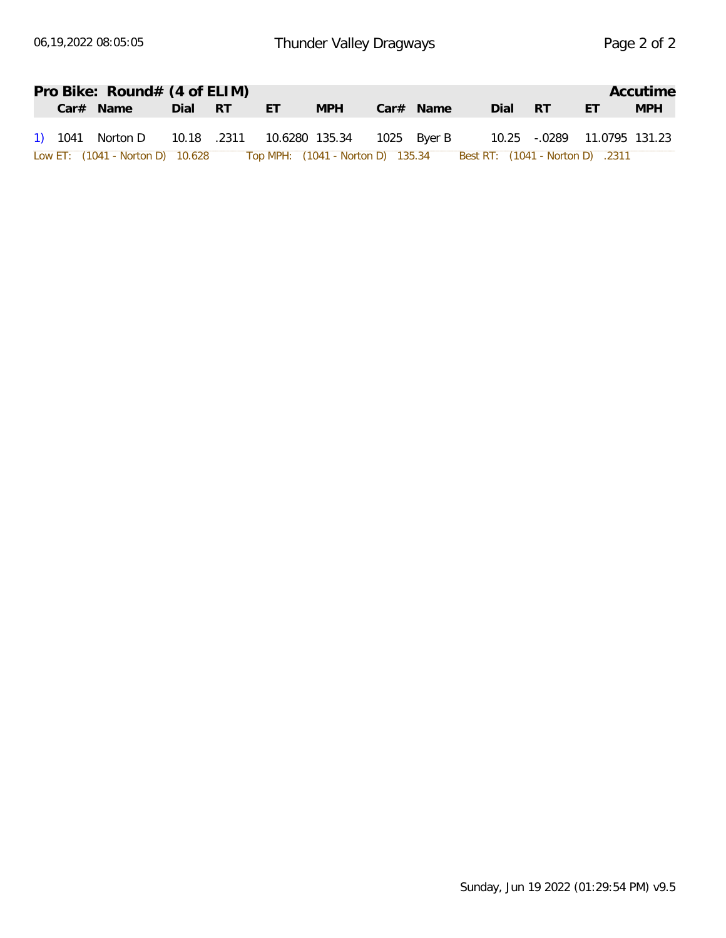|  | Pro Bike: Round# (4 of ELIM)                |      |      |                                                                    |            |             |             |      |      |                             | Accutime   |
|--|---------------------------------------------|------|------|--------------------------------------------------------------------|------------|-------------|-------------|------|------|-----------------------------|------------|
|  | Car# Name                                   | Dial | - RT | <b>FT</b>                                                          | <b>MPH</b> |             | $Car#$ Name | Dial | - RT | ET                          | <b>MPH</b> |
|  | 1) 1041 Norton D 10.18 .2311 10.6280 135.34 |      |      |                                                                    |            | 1025 Byer B |             |      |      | 10.25 -.0289 11.0795 131.23 |            |
|  | Low ET: (1041 - Norton D) 10.628            |      |      | Top MPH: (1041 - Norton D) 135.34 Best RT: (1041 - Norton D) .2311 |            |             |             |      |      |                             |            |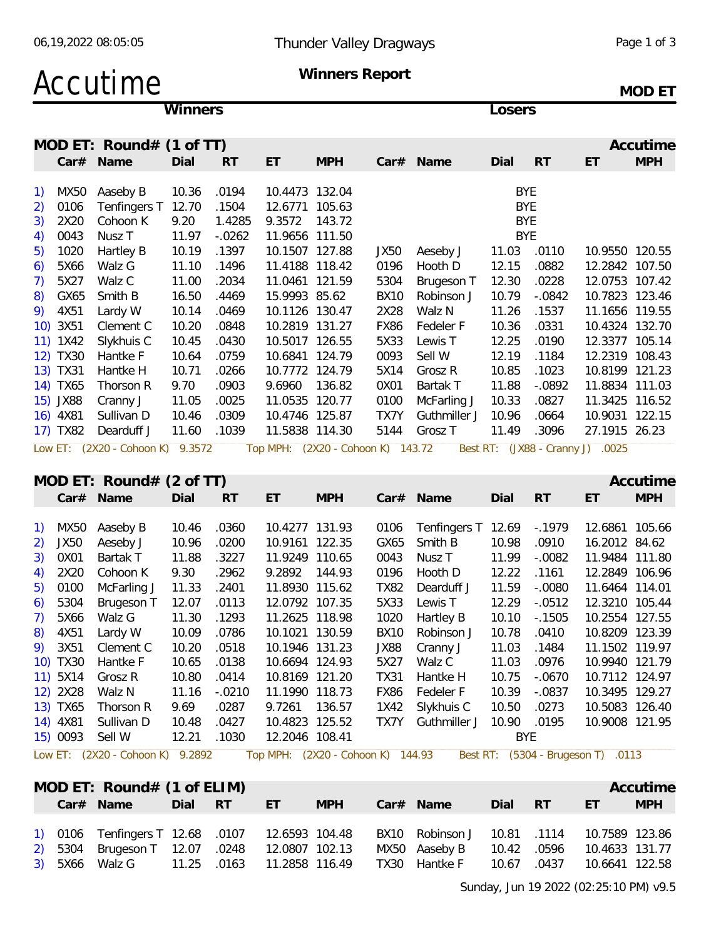# Accutime **Winners Report**

**Winners Losers**

**MOD ET**

|    |          | MOD ET: Round# $(1$ of TT)          |       |           |                |                                   |             |                                 |            |                            |                | Accutime   |
|----|----------|-------------------------------------|-------|-----------|----------------|-----------------------------------|-------------|---------------------------------|------------|----------------------------|----------------|------------|
|    |          | Car# Name                           | Dial  | <b>RT</b> | ET             | <b>MPH</b>                        |             | Car# Name                       | Dial       | <b>RT</b>                  | ET             | <b>MPH</b> |
|    | 1) MX50  | Aaseby B                            | 10.36 | .0194     | 10.4473 132.04 |                                   |             |                                 | <b>BYE</b> |                            |                |            |
| 2) | 0106     | Tenfingers T 12.70                  |       | .1504     | 12.6771 105.63 |                                   |             |                                 | <b>BYE</b> |                            |                |            |
| 3) | 2X20     | Cohoon K                            | 9.20  | 1.4285    | 9.3572 143.72  |                                   |             |                                 | <b>BYE</b> |                            |                |            |
| 4) | 0043     | Nusz <sub>T</sub>                   | 11.97 | $-0.0262$ | 11.9656 111.50 |                                   |             |                                 | <b>BYE</b> |                            |                |            |
| 5) | 1020     | Hartley B                           | 10.19 | .1397     | 10.1507 127.88 |                                   | JX50        | Aeseby J                        | 11.03      | .0110                      | 10.9550 120.55 |            |
| 6) | 5X66     | Walz G                              | 11.10 | .1496     | 11.4188 118.42 |                                   | 0196        | Hooth D                         | 12.15      | .0882                      | 12.2842 107.50 |            |
| 7) | 5X27     | Walz C                              | 11.00 | .2034     | 11.0461 121.59 |                                   | 5304        | Brugeson T                      | 12.30      | .0228                      | 12.0753 107.42 |            |
| 8) | GX65     | Smith B                             | 16.50 | .4469     | 15.9993 85.62  |                                   | <b>BX10</b> | Robinson J                      | 10.79      | $-.0842$                   | 10.7823 123.46 |            |
|    | 9) 4X51  | Lardy W                             | 10.14 | .0469     | 10.1126 130.47 |                                   | 2X28        | Walz N                          | 11.26      | .1537                      | 11.1656 119.55 |            |
|    | 10) 3X51 | Clement C                           | 10.20 | .0848     | 10.2819 131.27 |                                   | FX86        | Fedeler F                       | 10.36      | .0331                      | 10.4324 132.70 |            |
|    | 11) 1X42 | Slykhuis C                          | 10.45 | .0430     | 10.5017 126.55 |                                   | 5X33        | Lewis T                         | 12.25      | .0190                      | 12.3377 105.14 |            |
|    | 12) TX30 | Hantke F                            | 10.64 | .0759     | 10.6841 124.79 |                                   | 0093        | Sell W                          | 12.19      | .1184                      | 12.2319 108.43 |            |
|    | 13) TX31 | Hantke H                            | 10.71 | .0266     | 10.7772 124.79 |                                   | 5X14        | Grosz R                         | 10.85      | .1023                      | 10.8199 121.23 |            |
|    | 14) TX65 | Thorson R                           | 9.70  | .0903     | 9.6960         | 136.82                            | 0X01        | Bartak T                        | 11.88      | $-.0892$                   | 11.8834 111.03 |            |
|    | 15) JX88 | Cranny J                            | 11.05 | .0025     | 11.0535 120.77 |                                   | 0100        | McFarling J                     | 10.33      | .0827                      | 11.3425 116.52 |            |
|    | 16) 4X81 | Sullivan D                          | 10.46 | .0309     | 10.4746 125.87 |                                   | TX7Y        | Guthmiller J                    | 10.96      | .0664                      | 10.9031 122.15 |            |
|    | 17) TX82 | Dearduff J                          | 11.60 | .1039     | 11.5838 114.30 |                                   | 5144        | Grosz T                         | 11.49      | .3096                      | 27.1915 26.23  |            |
|    |          | Low ET: (2X20 - Cohoon K) 9.3572    |       |           |                | Top MPH: (2X20 - Cohoon K) 143.72 |             |                                 |            | Best RT: (JX88 - Cranny J) | .0025          |            |
|    |          |                                     |       |           |                |                                   |             |                                 |            |                            |                |            |
|    |          | MOD ET: Round# $(2 \text{ of } TT)$ |       |           |                |                                   |             |                                 |            |                            |                | Accutime   |
|    |          | Car# Name                           | Dial  | <b>RT</b> | ET             | <b>MPH</b>                        |             | Car# Name                       | Dial       | <b>RT</b>                  | ET             | <b>MPH</b> |
|    |          |                                     | 10.46 | .0360     | 10.4277 131.93 |                                   |             |                                 |            |                            |                |            |
|    |          | 1) MX50 Aaseby B                    |       |           |                |                                   |             | 0106 Tenfingers T 12.69 - .1979 |            |                            | 12.6861 105.66 |            |

|          | I) IVIAJU HASENYI D              | UU.40 .UJUU |          | 10.4277 131.73 |      | $UUU$ . Tellingers in 12.09 - 1979                                   |             |           | 12.0001 100.00 |  |
|----------|----------------------------------|-------------|----------|----------------|------|----------------------------------------------------------------------|-------------|-----------|----------------|--|
| 2) JX50  | Aeseby J                         | 10.96       | .0200    | 10.9161 122.35 |      | GX65 Smith B                                                         | 10.98       | .0910     | 16.2012 84.62  |  |
| 3) OXO1  | Bartak T                         | 11.88       | .3227    | 11.9249 110.65 |      | 0043 Nusz T                                                          | 11.99       | $-.0082$  | 11.9484 111.80 |  |
|          | 4) 2X20 Cohoon K                 | 9.30        | .2962    | 9.2892 144.93  |      | 0196 Hooth D                                                         | 12.22       | .1161     | 12.2849 106.96 |  |
|          | 5) 0100 McFarling J              | 11.33       | .2401    | 11.8930 115.62 |      | TX82 Dearduff J                                                      | 11.59       | -.0080    | 11.6464 114.01 |  |
| 6) 5304  | Brugeson T 12.07 .0113           |             |          | 12.0792 107.35 |      | 5X33 Lewis T                                                         | 12.29       | $-.0512$  | 12.3210 105.44 |  |
| 7) 5X66  | Walz G                           | 11.30       | .1293    | 11.2625 118.98 | 1020 | Hartley B                                                            | 10.10       | $-0.1505$ | 10.2554 127.55 |  |
| 8) 4X51  | Lardy W                          | 10.09       | .0786    | 10.1021 130.59 |      | BX10 Robinson J                                                      | 10.78       | .0410     | 10.8209 123.39 |  |
|          | 9) 3X51 Clement C                | 10.20       | .0518    | 10.1946 131.23 | JX88 | Cranny J                                                             | 11.03       | .1484     | 11.1502 119.97 |  |
|          | 10) TX30 Hantke F                | 10.65       | .0138    | 10.6694 124.93 | 5X27 | Walz C 11.03                                                         |             | .0976     | 10.9940 121.79 |  |
|          | 11) 5X14 Grosz R                 | 10.80       | .0414    | 10.8169 121.20 |      | TX31 Hantke H                                                        | 10.75       | -.0670    | 10.7112 124.97 |  |
| 12) 2X28 | Walz N                           | 11.16       | $-.0210$ | 11.1990 118.73 | FX86 | Fedeler F                                                            | 10.39       | $-.0837$  | 10.3495 129.27 |  |
|          | 13) TX65 Thorson R               | 9.69        | .0287    | 9.7261 136.57  |      | 1X42 Slykhuis C                                                      | 10.50       | .0273     | 10.5083 126.40 |  |
|          | 14) 4X81 Sullivan D              | 10.48       | .0427    | 10.4823 125.52 |      | TX7Y Guthmiller J                                                    | 10.90 .0195 |           | 10.9008 121.95 |  |
|          | 15) 0093 Sell W                  | 12.21 .1030 |          | 12.2046 108.41 |      |                                                                      | BYE         |           |                |  |
|          | Low ET: (2X20 - Cohoon K) 9.2892 |             |          |                |      | Top MPH: (2X20 - Cohoon K) 144.93 Best RT: (5304 - Brugeson T) .0113 |             |           |                |  |

| Dial RT ET<br>Car# Name<br><b>MPH</b><br><b>MPH</b><br>Dial RT<br>ET                                                                                                                            |  | MOD ET: Round# $(1 \text{ of ELIM})$ |  |  |  |  | Accutime |
|-------------------------------------------------------------------------------------------------------------------------------------------------------------------------------------------------|--|--------------------------------------|--|--|--|--|----------|
|                                                                                                                                                                                                 |  | Car# Name                            |  |  |  |  |          |
| 1) 0106 Tenfingers T 12.68 .0107  12.6593  104.48  BX10  Robinson J  10.81  .1114  10.7589  123.86<br>2) 5304 Brugeson T 12.07 .0248 12.0807 102.13<br>MX50 Aaseby B 10.42 .0596 10.4633 131.77 |  |                                      |  |  |  |  |          |

Sunday, Jun 19 2022 (02:25:10 PM) v9.5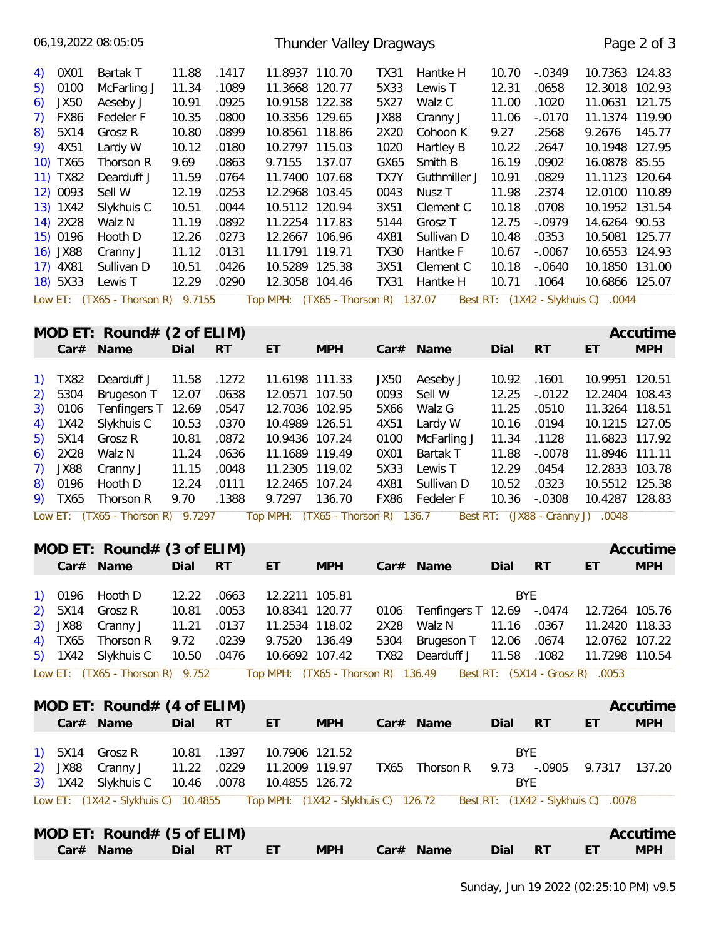|                                                                                                                                                              |                                                                                                                                                                    | 06,19,2022 08:05:05                                                                                                                                                                                                                                                                         |                                                                                                                                    |                                                                                                                                     |                                                                                                                                                                                                                                                                                                                                   | Thunder Valley Dragways |                                                                                                                             |                                                                                                                                                                                               |                                                                                                                                    |                                                                                                                                                    |                                                                                                                                                                                                                                                                                                                       | Page 2 of 3            |
|--------------------------------------------------------------------------------------------------------------------------------------------------------------|--------------------------------------------------------------------------------------------------------------------------------------------------------------------|---------------------------------------------------------------------------------------------------------------------------------------------------------------------------------------------------------------------------------------------------------------------------------------------|------------------------------------------------------------------------------------------------------------------------------------|-------------------------------------------------------------------------------------------------------------------------------------|-----------------------------------------------------------------------------------------------------------------------------------------------------------------------------------------------------------------------------------------------------------------------------------------------------------------------------------|-------------------------|-----------------------------------------------------------------------------------------------------------------------------|-----------------------------------------------------------------------------------------------------------------------------------------------------------------------------------------------|------------------------------------------------------------------------------------------------------------------------------------|----------------------------------------------------------------------------------------------------------------------------------------------------|-----------------------------------------------------------------------------------------------------------------------------------------------------------------------------------------------------------------------------------------------------------------------------------------------------------------------|------------------------|
| 5)<br>6)<br>7)<br>8)<br>9)                                                                                                                                   | 4) 0X01<br>0100<br>JX50<br><b>FX86</b><br>5X14<br>4X51<br>10) TX65<br>11) TX82<br>12) 0093<br>13) 1X42<br>14) 2X28<br>15) 0196<br>16) JX88<br>17) 4X81<br>18) 5X33 | Bartak T<br>McFarling J<br>Aeseby J<br>Fedeler F<br>Grosz R<br>Lardy W<br>Thorson R<br>Dearduff J<br>Sell W<br>Slykhuis C<br>Walz N<br>Hooth D<br>Cranny J<br>Sullivan D<br>Lewis T                                                                                                         | 11.88<br>11.34<br>10.91<br>10.35<br>10.80<br>10.12<br>9.69<br>11.59<br>12.19<br>10.51<br>11.19<br>12.26<br>11.12<br>10.51<br>12.29 | .1417<br>.1089<br>.0925<br>.0800<br>.0899<br>.0180<br>.0863<br>.0764<br>.0253<br>.0044<br>.0892<br>.0273<br>.0131<br>.0426<br>.0290 | 11.8937 110.70<br>11.3668 120.77<br>10.9158 122.38<br>10.3356 129.65<br>10.8561 118.86<br>10.2797 115.03<br>9.7155 137.07<br>11.7400 107.68<br>12.2968 103.45<br>10.5112 120.94<br>11.2254 117.83<br>12.2667 106.96<br>11.1791 119.71<br>10.5289 125.38<br>12.3058 104.46                                                         |                         | TX31<br>5X33<br>5X27<br>JX88<br>2X20<br>1020<br>GX65<br>TX7Y<br>0043<br>3X51<br>5144<br>4X81<br><b>TX30</b><br>3X51<br>TX31 | Hantke H<br>Lewis T<br>Walz C<br>Cranny J<br>Cohoon K<br>Hartley B<br>Smith B<br>Guthmiller J<br>Nusz T<br>Clement C<br>Grosz <sub>T</sub><br>Sullivan D<br>Hantke F<br>Clement C<br>Hantke H | 10.70<br>12.31<br>11.00<br>11.06<br>9.27<br>10.22<br>16.19<br>10.91<br>11.98<br>10.18<br>12.75<br>10.48<br>10.67<br>10.18<br>10.71 | $-.0349$<br>.0658<br>.1020<br>$-.0170$<br>.2568<br>.2647<br>.0902<br>.0829<br>.2374<br>.0708<br>$-.0979$<br>.0353<br>$-.0067$<br>$-.0640$<br>.1064 | 10.7363 124.83<br>12.3018 102.93<br>11.0631 121.75<br>11.1374 119.90<br>9.2676 145.77<br>10.1948 127.95<br>16.0878 85.55<br>11.1123 120.64<br>12.0100 110.89<br>10.1952 131.54<br>14.6264 90.53<br>10.5081 125.77<br>10.6553 124.93<br>10.1850 131.00<br>10.6866 125.07                                               |                        |
|                                                                                                                                                              |                                                                                                                                                                    | Low ET: (TX65 - Thorson R) 9.7155                                                                                                                                                                                                                                                           |                                                                                                                                    |                                                                                                                                     | Top MPH: (TX65 - Thorson R) 137.07                                                                                                                                                                                                                                                                                                |                         |                                                                                                                             |                                                                                                                                                                                               |                                                                                                                                    |                                                                                                                                                    | Best RT: (1X42 - Slykhuis C) .0044                                                                                                                                                                                                                                                                                    |                        |
|                                                                                                                                                              |                                                                                                                                                                    | MOD ET: Round# $(2 \text{ of ELIM})$                                                                                                                                                                                                                                                        |                                                                                                                                    |                                                                                                                                     |                                                                                                                                                                                                                                                                                                                                   |                         |                                                                                                                             |                                                                                                                                                                                               |                                                                                                                                    |                                                                                                                                                    |                                                                                                                                                                                                                                                                                                                       | Accutime               |
|                                                                                                                                                              |                                                                                                                                                                    | Car# Name                                                                                                                                                                                                                                                                                   | Dial                                                                                                                               | <b>RT</b>                                                                                                                           | ET                                                                                                                                                                                                                                                                                                                                | <b>MPH</b>              |                                                                                                                             | Car# Name                                                                                                                                                                                     | Dial                                                                                                                               | <b>RT</b>                                                                                                                                          | ET                                                                                                                                                                                                                                                                                                                    | <b>MPH</b>             |
| $\left( \begin{matrix} 1 \end{matrix} \right)$<br>2)<br>3)<br>4)<br>5)<br>6)<br>7)<br>8)<br>$\left( \begin{matrix} 1 \end{matrix} \right)$<br>2)<br>3)<br>4) | <b>TX82</b><br>5304<br>0106<br>1X42<br>5X14<br>2X28<br>JX88<br>0196<br>9) TX65<br>0196<br>5X14<br>JX88<br>TX65<br>$5)$ 1X42                                        | Dearduff J<br>Brugeson T<br>Tenfingers T 12.69<br>Slykhuis C<br>Grosz R<br>Walz N<br>Cranny J<br>Hooth D<br>Thorson R<br>Low ET: (TX65 - Thorson R) 9.7297<br>MOD ET: Round# $(3$ of ELIM)<br>Hooth D<br>Grosz R<br>Cranny J<br>Thorson R<br>Slykhuis C<br>Low ET: (TX65 - Thorson R) 9.752 | 11.58<br>12.07<br>10.53<br>10.81<br>11.24<br>11.15<br>12.24<br>9.70<br>12.22<br>10.81<br>11.21<br>9.72<br>10.50                    | .1272<br>.0638<br>.0547<br>.0370<br>.0872<br>.0636<br>.0048<br>.0111<br>.1388<br>.0663<br>.0053<br>.0137<br>.0239<br>.0476          | 11.6198 111.33<br>12.0571 107.50<br>12.7036 102.95<br>10.4989 126.51<br>10.9436 107.24<br>11.1689 119.49<br>11.2305 119.02<br>12.2465 107.24<br>9.7297 136.70<br>Top MPH: (TX65 - Thorson R) 136.7<br>12.2211 105.81<br>10.8341 120.77<br>11.2534 118.02<br>9.7520 136.49<br>10.6692 107.42<br>Top MPH: (TX65 - Thorson R) 136.49 |                         | JX50<br>0093<br>5X66<br>4X51<br>0100<br>0X01<br>5X33<br>4X81<br>FX86<br>0106<br>2X28<br>5304<br>TX82                        | Aeseby J<br>Sell W<br>Walz G<br>Lardy W<br>McFarling J<br>Bartak T<br>Lewis T<br>Sullivan D<br>Fedeler F<br>Tenfingers T 12.69 -.0474<br>Walz N<br>Brugeson T 12.06<br>Dearduff J             | 10.92<br>12.25<br>11.25<br>10.16<br>11.34<br>11.88<br>12.29<br>10.52<br>10.36<br><b>BYE</b><br>11.16<br>11.58                      | .1601<br>$-.0122$<br>.0510<br>.0194<br>.1128<br>$-.0078$<br>.0454<br>.0323<br>$-.0308$<br>.0367<br>.0674<br>.1082                                  | 10.9951 120.51<br>12.2404 108.43<br>11.3264 118.51<br>10.1215 127.05<br>11.6823 117.92<br>11.8946 111.11<br>12.2833 103.78<br>10.5512 125.38<br>10.4287 128.83<br>Best RT: (JX88 - Cranny J) .0048<br>ET  <br>12.7264 105.76<br>11.2420 118.33<br>12.0762 107.22<br>11.7298 110.54<br>Best RT: (5X14 - Grosz R) .0053 | Accutime<br><b>MPH</b> |
|                                                                                                                                                              |                                                                                                                                                                    |                                                                                                                                                                                                                                                                                             |                                                                                                                                    |                                                                                                                                     |                                                                                                                                                                                                                                                                                                                                   |                         |                                                                                                                             |                                                                                                                                                                                               |                                                                                                                                    |                                                                                                                                                    |                                                                                                                                                                                                                                                                                                                       |                        |
|                                                                                                                                                              |                                                                                                                                                                    | MOD ET: Round# $(4 \text{ of ELIM})$<br>Car# Name                                                                                                                                                                                                                                           | Dial                                                                                                                               | <b>RT</b>                                                                                                                           | ET                                                                                                                                                                                                                                                                                                                                | <b>MPH</b>              |                                                                                                                             | Car# Name                                                                                                                                                                                     | Dial                                                                                                                               | <b>RT</b>                                                                                                                                          | ET                                                                                                                                                                                                                                                                                                                    | Accutime<br><b>MPH</b> |
| 2)                                                                                                                                                           | 1) 5X14<br>JX88<br>3) 1X42                                                                                                                                         | Grosz R<br>Cranny J<br>Slykhuis C<br>Low ET: (1X42 - Slykhuis C) 10.4855                                                                                                                                                                                                                    | 10.81<br>11.22<br>10.46                                                                                                            | .1397<br>.0229<br>.0078                                                                                                             | 10.7906 121.52<br>11.2009 119.97<br>10.4855 126.72<br>Top MPH: (1X42 - Slykhuis C) 126.72                                                                                                                                                                                                                                         |                         |                                                                                                                             | TX65 Thorson R                                                                                                                                                                                | <b>BYE</b><br><b>BYE</b>                                                                                                           | 9.73 -.0905                                                                                                                                        | 9.7317 137.20<br>Best RT: (1X42 - Slykhuis C) .0078                                                                                                                                                                                                                                                                   |                        |
|                                                                                                                                                              |                                                                                                                                                                    | MOD ET: Round# $(5 \text{ of ELIM})$<br>Car# Name                                                                                                                                                                                                                                           | Dial                                                                                                                               | <b>RT</b>                                                                                                                           | ET.                                                                                                                                                                                                                                                                                                                               | <b>MPH</b>              |                                                                                                                             | Car# Name                                                                                                                                                                                     | Dial                                                                                                                               | <b>RT</b>                                                                                                                                          | ET                                                                                                                                                                                                                                                                                                                    | Accutime<br><b>MPH</b> |
|                                                                                                                                                              |                                                                                                                                                                    |                                                                                                                                                                                                                                                                                             |                                                                                                                                    |                                                                                                                                     |                                                                                                                                                                                                                                                                                                                                   |                         |                                                                                                                             |                                                                                                                                                                                               |                                                                                                                                    |                                                                                                                                                    |                                                                                                                                                                                                                                                                                                                       |                        |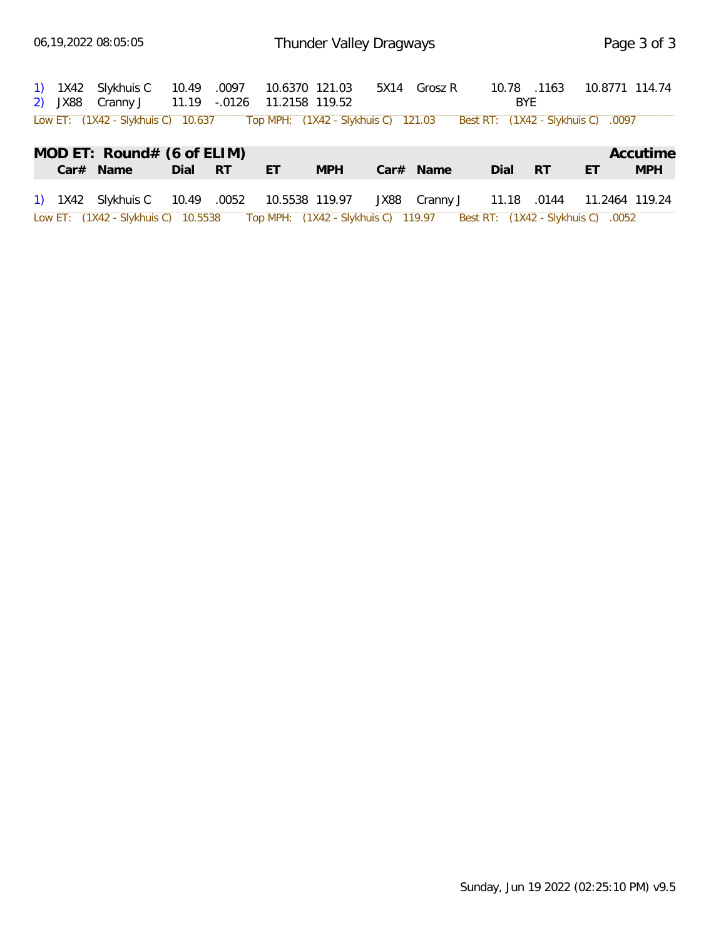|  | 1) 1X42 Slykhuis C 10.49 .0097 10.6370 121.03 5X14 Grosz R<br>2) JX88 Cranny J 11.19 -.0126 11.2158 119.52 |         |     |            |             | 10.78 .1163<br>BYE |    | 10.8771 114.74 |
|--|------------------------------------------------------------------------------------------------------------|---------|-----|------------|-------------|--------------------|----|----------------|
|  | Low ET: (1X42 - Slykhuis C) 10.637 Top MPH: (1X42 - Slykhuis C) 121.03 Best RT: (1X42 - Slykhuis C) .0097  |         |     |            |             |                    |    |                |
|  | MOD ET: Round# (6 of ELIM)                                                                                 |         |     |            |             |                    |    | Accutime       |
|  | Car# Name                                                                                                  | Dial RT | ET. | <b>MPH</b> | $Car#$ Name | Dial RT            | ET | <b>MPH</b>     |
|  | 1) 1X42 Slykhuis C 10.49 .0052 10.5538 119.97 JX88 Cranny J 11.18 .0144 11.2464 119.24                     |         |     |            |             |                    |    |                |
|  | Low ET: (1X42 - Slykhuis C) 10.5538 Top MPH: (1X42 - Slykhuis C) 119.97 Best RT: (1X42 - Slykhuis C) .0052 |         |     |            |             |                    |    |                |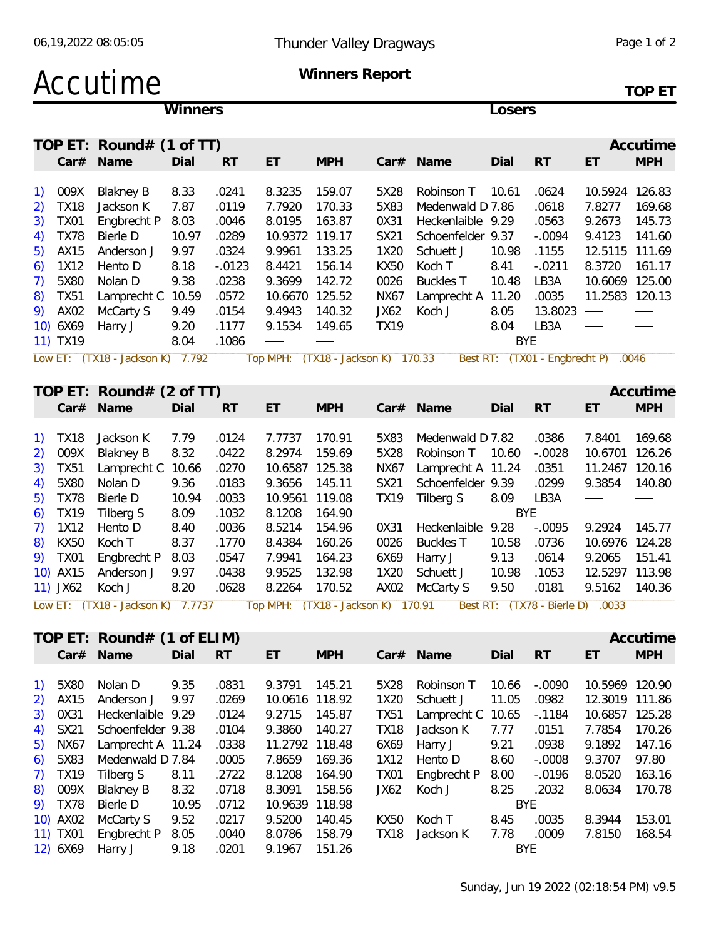| Accutime | Winners Report |        |
|----------|----------------|--------|
|          |                | TOP FT |

|                                                               | Winners                           |       | Losers    |                                    |            |             |                   |            |                                     |                          |            |
|---------------------------------------------------------------|-----------------------------------|-------|-----------|------------------------------------|------------|-------------|-------------------|------------|-------------------------------------|--------------------------|------------|
|                                                               | TOP ET: Round# $(1$ of TT)        |       |           |                                    |            |             |                   |            |                                     |                          | Accutime   |
| Car#                                                          | Name                              | Dial  | <b>RT</b> | ET                                 | <b>MPH</b> |             | Car# Name         | Dial       | <b>RT</b>                           | ET                       | <b>MPH</b> |
|                                                               |                                   |       |           |                                    |            |             |                   |            |                                     |                          |            |
| $\left( \begin{array}{c} 1 \end{array} \right)$<br>009X       | <b>Blakney B</b>                  | 8.33  | .0241     | 8.3235                             | 159.07     | 5X28        | Robinson T        | 10.61      | .0624                               | 10.5924 126.83           |            |
| 2)<br><b>TX18</b>                                             | Jackson K                         | 7.87  | .0119     | 7.7920                             | 170.33     | 5X83        | Medenwald D 7.86  |            | .0618                               | 7.8277                   | 169.68     |
| <b>TX01</b><br>3)                                             | Engbrecht P                       | 8.03  | .0046     | 8.0195                             | 163.87     | 0X31        | Heckenlaible 9.29 |            | .0563                               | 9.2673                   | 145.73     |
| <b>TX78</b><br>4)                                             | Bierle D                          | 10.97 | .0289     | 10.9372 119.17                     |            | SX21        | Schoenfelder 9.37 |            | $-.0094$                            | 9.4123                   | 141.60     |
| 5)<br>AX15                                                    | Anderson J                        | 9.97  | .0324     | 9.9961                             | 133.25     | 1X20        | Schuett J         | 10.98      | .1155                               | 12.5115 111.69           |            |
| 1X12                                                          |                                   | 8.18  | $-.0123$  | 8.4421                             | 156.14     |             | Koch T            | 8.41       | $-.0211$                            | 8.3720                   | 161.17     |
| 6)                                                            | Hento D                           |       |           |                                    |            | <b>KX50</b> |                   |            |                                     |                          |            |
| 5X80<br>7)                                                    | Nolan D                           | 9.38  | .0238     | 9.3699                             | 142.72     | 0026        | <b>Buckles T</b>  | 10.48      | LB3A                                | 10.6069 125.00           |            |
| <b>TX51</b><br>8)                                             | Lamprecht C 10.59                 |       | .0572     | 10.6670 125.52                     |            | <b>NX67</b> | Lamprecht A 11.20 |            | .0035                               | 11.2583 120.13           |            |
| 9)<br>AX02                                                    | McCarty S                         | 9.49  | .0154     | 9.4943                             | 140.32     | JX62        | Koch J            | 8.05       | 13.8023                             | $\overline{\phantom{a}}$ |            |
| 10) 6X69                                                      | Harry J                           | 9.20  | .1177     | 9.1534                             | 149.65     | <b>TX19</b> |                   | 8.04       | LB3A                                |                          |            |
| 11) TX19                                                      |                                   | 8.04  | .1086     |                                    |            |             |                   | <b>BYE</b> |                                     |                          |            |
|                                                               | Low ET: (TX18 - Jackson K) 7.792  |       |           | Top MPH: (TX18 - Jackson K) 170.33 |            |             |                   |            | Best RT: (TX01 - Engbrecht P) .0046 |                          |            |
|                                                               | TOP ET: Round# $(2$ of TT)        |       |           |                                    |            |             |                   |            |                                     |                          | Accutime   |
|                                                               | Car# Name                         | Dial  | <b>RT</b> | ET                                 | <b>MPH</b> |             | Car# Name         | Dial       | <b>RT</b>                           | ET                       | <b>MPH</b> |
|                                                               |                                   |       |           |                                    |            |             |                   |            |                                     |                          |            |
| $\left( \begin{matrix} 1 \end{matrix} \right)$<br><b>TX18</b> | Jackson K                         | 7.79  | .0124     | 7.7737                             | 170.91     | 5X83        | Medenwald D 7.82  |            | .0386                               | 7.8401                   | 169.68     |
| 009X<br>2)                                                    | <b>Blakney B</b>                  | 8.32  | .0422     | 8.2974                             | 159.69     | 5X28        | Robinson T 10.60  |            | $-.0028$                            | 10.6701 126.26           |            |
|                                                               |                                   |       |           |                                    |            |             |                   |            |                                     |                          |            |
| 3)<br><b>TX51</b>                                             | Lamprecht C 10.66                 |       | .0270     | 10.6587 125.38                     |            | <b>NX67</b> | Lamprecht A 11.24 |            | .0351                               | 11.2467 120.16           |            |
| 5X80<br>4)                                                    | Nolan D                           | 9.36  | .0183     | 9.3656                             | 145.11     | SX21        | Schoenfelder 9.39 |            | .0299                               | 9.3854                   | 140.80     |
| <b>TX78</b><br>5)                                             | Bierle D                          | 10.94 | .0033     | 10.9561 119.08                     |            | <b>TX19</b> | Tilberg S         | 8.09       | LB3A                                |                          |            |
| <b>TX19</b><br>6)                                             | Tilberg S                         | 8.09  | .1032     | 8.1208                             | 164.90     |             |                   | <b>BYE</b> |                                     |                          |            |
| 1X12<br>7)                                                    | Hento D                           | 8.40  | .0036     | 8.5214                             | 154.96     | 0X31        | Heckenlaible 9.28 |            | $-.0095$                            | 9.2924                   | 145.77     |
| <b>KX50</b><br>8)                                             | Koch T                            | 8.37  | .1770     | 8.4384                             | 160.26     | 0026        | <b>Buckles T</b>  | 10.58      | .0736                               | 10.6976 124.28           |            |
| 9) TX01                                                       | Engbrecht P                       | 8.03  | .0547     | 7.9941                             | 164.23     | 6X69        | Harry J           | 9.13       | .0614                               | 9.2065                   | 151.41     |
| 10) AX15                                                      | Anderson J                        | 9.97  | .0438     | 9.9525                             | 132.98     | 1X20        | Schuett J         | 10.98      | .1053                               | 12.5297 113.98           |            |
| 11) JX62                                                      | Koch J                            | 8.20  | .0628     | 8.2264                             | 170.52     | AX02        | McCarty S         | 9.50       | .0181                               | 9.5162                   | 140.36     |
|                                                               | Low ET: (TX18 - Jackson K) 7.7737 |       |           | Top MPH: (TX18 - Jackson K) 170.91 |            |             |                   |            | Best RT: (TX78 - Bierle D) .0033    |                          |            |
|                                                               |                                   |       |           |                                    |            |             |                   |            |                                     |                          |            |
|                                                               | TOP ET: Round# (1 of ELIM)        |       |           |                                    |            |             |                   |            |                                     |                          | Accutime   |
|                                                               | Car# Name                         | Dial  | <b>RT</b> | ET                                 | <b>MPH</b> |             | Car# Name         | Dial       | <b>RT</b>                           | ET                       | <b>MPH</b> |
|                                                               |                                   |       |           |                                    |            |             |                   |            |                                     |                          |            |
| 1) 5X80                                                       | Nolan D                           | 9.35  | .0831     | 9.3791 145.21                      |            | 5X28        | Robinson T        | 10.66      | $-.0090$                            | 10.5969 120.90           |            |
| AX15                                                          | Anderson J                        | 9.97  | .0269     | 10.0616 118.92                     |            | 1X20        | Schuett J         | 11.05      | .0982                               | 12.3019 111.86           |            |
| 2)                                                            |                                   |       |           |                                    |            |             |                   |            |                                     |                          |            |
| 0X31<br>3)                                                    | Heckenlaible 9.29                 |       | .0124     | 9.2715                             | 145.87     | <b>TX51</b> | Lamprecht C 10.65 |            | $-0.1184$                           | 10.6857 125.28           |            |
| SX21<br>4)                                                    | Schoenfelder 9.38                 |       | .0104     | 9.3860                             | 140.27     | <b>TX18</b> | Jackson K         | 7.77       | .0151                               | 7.7854                   | 170.26     |
| <b>NX67</b><br>5)                                             | Lamprecht A 11.24                 |       | .0338     | 11.2792 118.48                     |            | 6X69        | Harry J           | 9.21       | .0938                               | 9.1892                   | 147.16     |
| 5X83<br>6)                                                    | Medenwald D 7.84                  |       | .0005     | 7.8659                             | 169.36     | 1X12        | Hento D           | 8.60       | $-.0008$                            | 9.3707                   | 97.80      |
| 7)<br><b>TX19</b>                                             | Tilberg S                         | 8.11  | .2722     | 8.1208                             | 164.90     | <b>TX01</b> | Engbrecht P       | 8.00       | $-0.0196$                           | 8.0520                   | 163.16     |
| 009X<br>8)                                                    | Blakney B                         | 8.32  | .0718     | 8.3091                             | 158.56     | JX62        | Koch J            | 8.25       | .2032                               | 8.0634 170.78            |            |

9) TX78 Bierle D 10.95 .0712 10.9639 118.98 M BYE

10) AX02 McCarty S 9.52 .0217 9.5200 140.45 KX50 Koch T 8.45 .0035 8.3944 153.01 11) TX01 Engbrecht P 8.05 .0040 8.0786 158.79 TX18 Jackson K 7.78 .0009 7.8150 168.54

12) 6X69 Harry J 9.18 .0201 9.1967 151.26 BYE